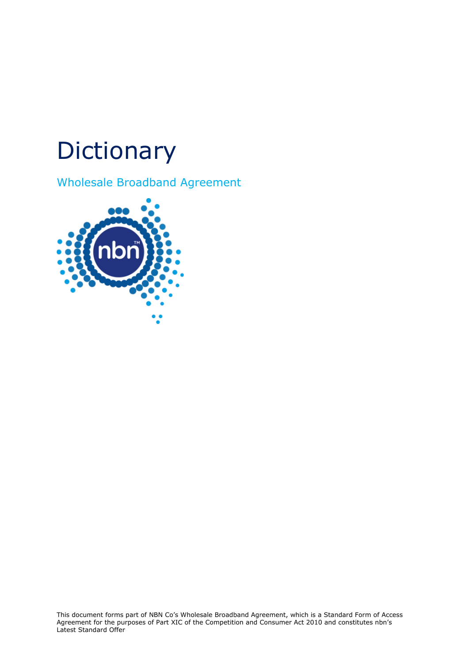## **Dictionary**

Wholesale Broadband Agreement

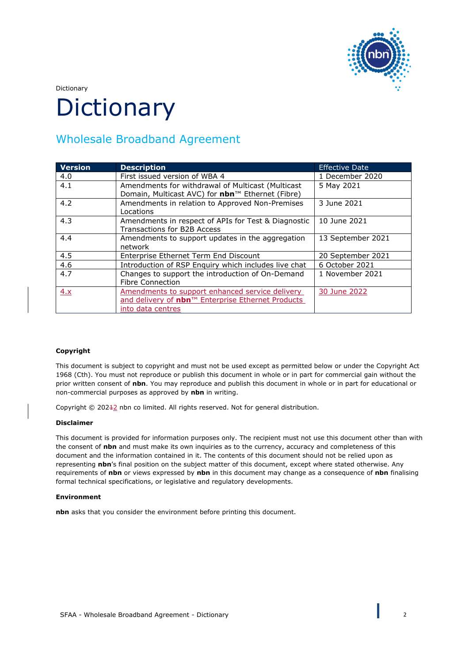

Dictionary

# **Dictionary**

### Wholesale Broadband Agreement

| <b>Version</b> | <b>Description</b>                                                                                                        | <b>Effective Date</b> |
|----------------|---------------------------------------------------------------------------------------------------------------------------|-----------------------|
| 4.0            | First issued version of WBA 4                                                                                             | 1 December 2020       |
| 4.1            | Amendments for withdrawal of Multicast (Multicast<br>Domain, Multicast AVC) for nbn™ Ethernet (Fibre)                     | 5 May 2021            |
| 4.2            | Amendments in relation to Approved Non-Premises<br>Locations                                                              | 3 June 2021           |
| 4.3            | Amendments in respect of APIs for Test & Diagnostic<br><b>Transactions for B2B Access</b>                                 | 10 June 2021          |
| 4.4            | Amendments to support updates in the aggregation<br>network                                                               | 13 September 2021     |
| 4.5            | Enterprise Ethernet Term End Discount                                                                                     | 20 September 2021     |
| 4.6            | Introduction of RSP Enguiry which includes live chat                                                                      | 6 October 2021        |
| 4.7            | Changes to support the introduction of On-Demand<br><b>Fibre Connection</b>                                               | 1 November 2021       |
| 4.x            | Amendments to support enhanced service delivery<br>and delivery of nbn™ Enterprise Ethernet Products<br>into data centres | 30 June 2022          |

#### **Copyright**

This document is subject to copyright and must not be used except as permitted below or under the Copyright Act 1968 (Cth). You must not reproduce or publish this document in whole or in part for commercial gain without the prior written consent of **nbn**. You may reproduce and publish this document in whole or in part for educational or non-commercial purposes as approved by **nbn** in writing.

Copyright © 20242 nbn co limited. All rights reserved. Not for general distribution.

#### **Disclaimer**

This document is provided for information purposes only. The recipient must not use this document other than with the consent of **nbn** and must make its own inquiries as to the currency, accuracy and completeness of this document and the information contained in it. The contents of this document should not be relied upon as representing **nbn**'s final position on the subject matter of this document, except where stated otherwise. Any requirements of **nbn** or views expressed by **nbn** in this document may change as a consequence of **nbn** finalising formal technical specifications, or legislative and regulatory developments.

#### **Environment**

**nbn** asks that you consider the environment before printing this document.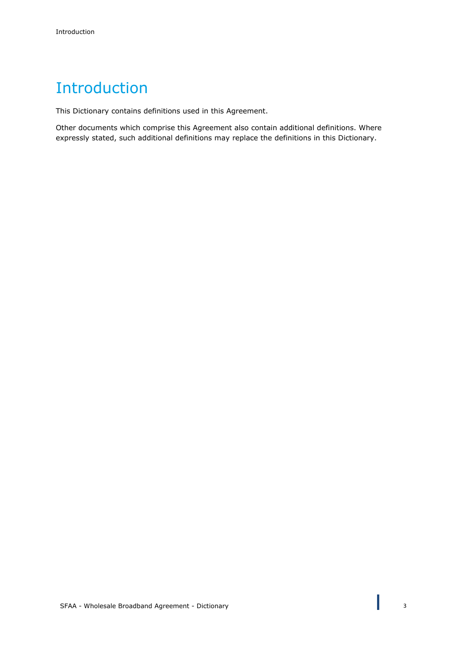## Introduction

This Dictionary contains definitions used in this Agreement.

Other documents which comprise this Agreement also contain additional definitions. Where expressly stated, such additional definitions may replace the definitions in this Dictionary.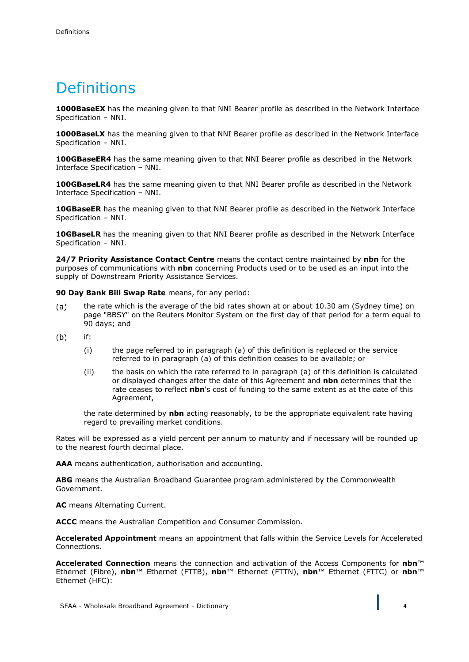## **Definitions**

**1000BaseEX** has the meaning given to that NNI Bearer profile as described in the Network Interface Specification – NNI.

**1000BaseLX** has the meaning given to that NNI Bearer profile as described in the Network Interface Specification – NNI.

**100GBaseER4** has the same meaning given to that NNI Bearer profile as described in the Network Interface Specification – NNI.

**100GBaseLR4** has the same meaning given to that NNI Bearer profile as described in the Network Interface Specification – NNI.

**10GBaseER** has the meaning given to that NNI Bearer profile as described in the Network Interface Specification – NNI.

**10GBaseLR** has the meaning given to that NNI Bearer profile as described in the Network Interface Specification – NNI.

**24/7 Priority Assistance Contact Centre** means the contact centre maintained by **nbn** for the purposes of communications with **nbn** concerning Products used or to be used as an input into the supply of Downstream Priority Assistance Services.

**90 Day Bank Bill Swap Rate** means, for any period:

- $(a)$ the rate which is the average of the bid rates shown at or about 10.30 am (Sydney time) on page "BBSY" on the Reuters Monitor System on the first day of that period for a term equal to 90 days; and
- $(b)$ if:
	- (i) the page referred to in paragraph (a) of this definition is replaced or the service referred to in paragraph (a) of this definition ceases to be available; or
	- (ii) the basis on which the rate referred to in paragraph (a) of this definition is calculated or displayed changes after the date of this Agreement and **nbn** determines that the rate ceases to reflect **nbn**'s cost of funding to the same extent as at the date of this Agreement,

the rate determined by **nbn** acting reasonably, to be the appropriate equivalent rate having regard to prevailing market conditions.

Rates will be expressed as a yield percent per annum to maturity and if necessary will be rounded up to the nearest fourth decimal place.

**AAA** means authentication, authorisation and accounting.

**ABG** means the Australian Broadband Guarantee program administered by the Commonwealth Government.

**AC** means Alternating Current.

**ACCC** means the Australian Competition and Consumer Commission.

**Accelerated Appointment** means an appointment that falls within the Service Levels for Accelerated Connections.

**Accelerated Connection** means the connection and activation of the Access Components for **nbn**™ Ethernet (Fibre), **nbn**™ Ethernet (FTTB), **nbn**™ Ethernet (FTTN), **nbn**™ Ethernet (FTTC) or **nbn**™ Ethernet (HFC):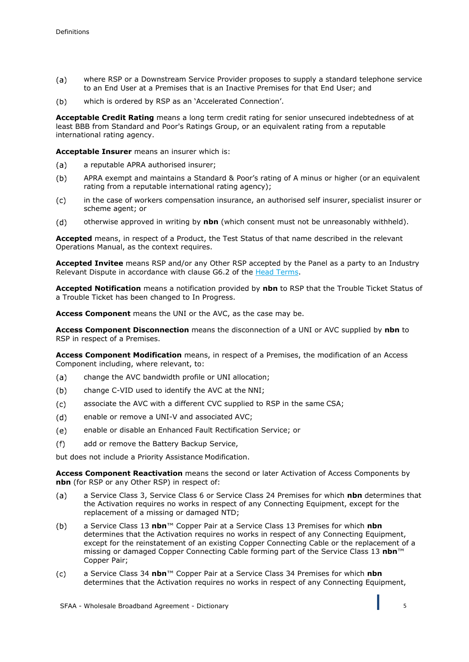- $(a)$ where RSP or a Downstream Service Provider proposes to supply a standard telephone service to an End User at a Premises that is an Inactive Premises for that End User; and
- which is ordered by RSP as an 'Accelerated Connection'.  $(b)$

**Acceptable Credit Rating** means a long term credit rating for senior unsecured indebtedness of at least BBB from Standard and Poor's Ratings Group, or an equivalent rating from a reputable international rating agency.

**Acceptable Insurer** means an insurer which is:

- $(a)$ a reputable APRA authorised insurer;
- $(b)$ APRA exempt and maintains a Standard & Poor's rating of A minus or higher (or an equivalent rating from a reputable international rating agency);
- $(c)$ in the case of workers compensation insurance, an authorised self insurer, specialist insurer or scheme agent; or
- otherwise approved in writing by **nbn** (which consent must not be unreasonably withheld).  $(d)$

**Accepted** means, in respect of a Product, the Test Status of that name described in the relevant Operations Manual, as the context requires.

**Accepted Invitee** means RSP and/or any Other RSP accepted by the Panel as a party to an Industry Relevant Dispute in accordance with clause G6.2 of the Head Terms.

**Accepted Notification** means a notification provided by **nbn** to RSP that the Trouble Ticket Status of a Trouble Ticket has been changed to In Progress.

**Access Component** means the UNI or the AVC, as the case may be.

**Access Component Disconnection** means the disconnection of a UNI or AVC supplied by **nbn** to RSP in respect of a Premises.

**Access Component Modification** means, in respect of a Premises, the modification of an Access Component including, where relevant, to:

- $(a)$ change the AVC bandwidth profile or UNI allocation;
- $(b)$ change C-VID used to identify the AVC at the NNI;
- $(c)$ associate the AVC with a different CVC supplied to RSP in the same CSA;
- $(d)$ enable or remove a UNI-V and associated AVC;
- $(e)$ enable or disable an Enhanced Fault Rectification Service; or
- $(f)$ add or remove the Battery Backup Service,

but does not include a Priority Assistance Modification.

**Access Component Reactivation** means the second or later Activation of Access Components by **nbn** (for RSP or any Other RSP) in respect of:

- a Service Class 3, Service Class 6 or Service Class 24 Premises for which **nbn** determines that  $(a)$ the Activation requires no works in respect of any Connecting Equipment, except for the replacement of a missing or damaged NTD;
- $(b)$ a Service Class 13 **nbn**™ Copper Pair at a Service Class 13 Premises for which **nbn**  determines that the Activation requires no works in respect of any Connecting Equipment, except for the reinstatement of an existing Copper Connecting Cable or the replacement of a missing or damaged Copper Connecting Cable forming part of the Service Class 13 **nbn**™ Copper Pair;
- a Service Class 34 **nbn**™ Copper Pair at a Service Class 34 Premises for which **nbn**   $(c)$ determines that the Activation requires no works in respect of any Connecting Equipment,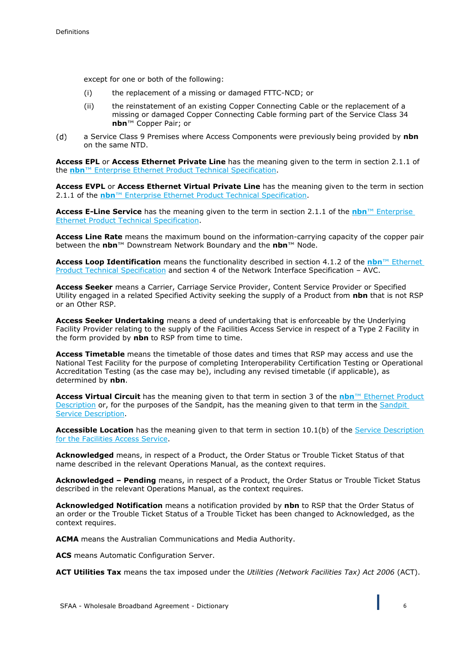except for one or both of the following:

- (i) the replacement of a missing or damaged FTTC-NCD; or
- (ii) the reinstatement of an existing Copper Connecting Cable or the replacement of a missing or damaged Copper Connecting Cable forming part of the Service Class 34 **nbn**™ Copper Pair; or
- $(d)$ a Service Class 9 Premises where Access Components were previously being provided by **nbn**  on the same NTD.

**Access EPL** or **Access Ethernet Private Line** has the meaning given to the term in section 2.1.1 of the **nbn**™ Enterprise Ethernet Product Technical Specification.

**Access EVPL** or **Access Ethernet Virtual Private Line** has the meaning given to the term in section 2.1.1 of the **nbn**™ Enterprise Ethernet Product Technical Specification.

**Access E-Line Service** has the meaning given to the term in section 2.1.1 of the **nbn**™ Enterprise Ethernet Product Technical Specification.

**Access Line Rate** means the maximum bound on the information-carrying capacity of the copper pair between the **nbn**™ Downstream Network Boundary and the **nbn**™ Node.

**Access Loop Identification** means the functionality described in section 4.1.2 of the **nbn**™ Ethernet Product Technical Specification and section 4 of the Network Interface Specification – AVC.

**Access Seeker** means a Carrier, Carriage Service Provider, Content Service Provider or Specified Utility engaged in a related Specified Activity seeking the supply of a Product from **nbn** that is not RSP or an Other RSP.

**Access Seeker Undertaking** means a deed of undertaking that is enforceable by the Underlying Facility Provider relating to the supply of the Facilities Access Service in respect of a Type 2 Facility in the form provided by **nbn** to RSP from time to time.

**Access Timetable** means the timetable of those dates and times that RSP may access and use the National Test Facility for the purpose of completing Interoperability Certification Testing or Operational Accreditation Testing (as the case may be), including any revised timetable (if applicable), as determined by **nbn**.

**Access Virtual Circuit** has the meaning given to that term in section 3 of the **nbn**™ Ethernet Product Description or, for the purposes of the Sandpit, has the meaning given to that term in the Sandpit Service Description.

**Accessible Location** has the meaning given to that term in section 10.1(b) of the Service Description for the Facilities Access Service.

**Acknowledged** means, in respect of a Product, the Order Status or Trouble Ticket Status of that name described in the relevant Operations Manual, as the context requires.

**Acknowledged – Pending** means, in respect of a Product, the Order Status or Trouble Ticket Status described in the relevant Operations Manual, as the context requires.

**Acknowledged Notification** means a notification provided by **nbn** to RSP that the Order Status of an order or the Trouble Ticket Status of a Trouble Ticket has been changed to Acknowledged, as the context requires.

**ACMA** means the Australian Communications and Media Authority.

**ACS** means Automatic Configuration Server.

**ACT Utilities Tax** means the tax imposed under the *Utilities (Network Facilities Tax) Act 2006* (ACT).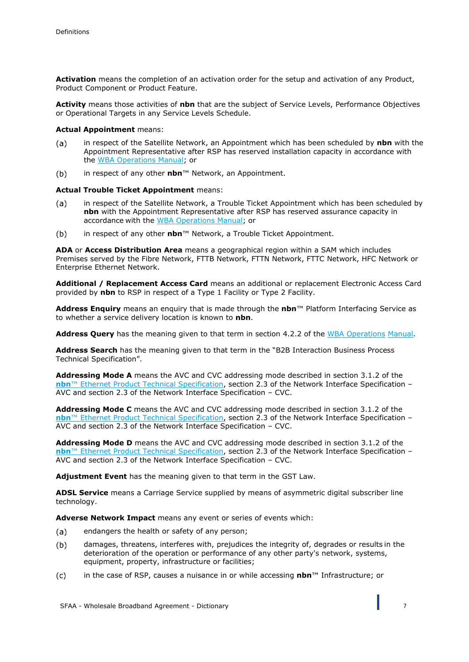**Activation** means the completion of an activation order for the setup and activation of any Product, Product Component or Product Feature.

**Activity** means those activities of **nbn** that are the subject of Service Levels, Performance Objectives or Operational Targets in any Service Levels Schedule.

#### **Actual Appointment** means:

- $(a)$ in respect of the Satellite Network, an Appointment which has been scheduled by **nbn** with the Appointment Representative after RSP has reserved installation capacity in accordance with the WBA Operations Manual; or
- $(b)$ in respect of any other **nbn**™ Network, an Appointment.

#### **Actual Trouble Ticket Appointment** means:

- in respect of the Satellite Network, a Trouble Ticket Appointment which has been scheduled by  $(a)$ **nbn** with the Appointment Representative after RSP has reserved assurance capacity in accordance with the WBA Operations Manual; or
- $(b)$ in respect of any other **nbn**™ Network, a Trouble Ticket Appointment.

**ADA** or **Access Distribution Area** means a geographical region within a SAM which includes Premises served by the Fibre Network, FTTB Network, FTTN Network, FTTC Network, HFC Network or Enterprise Ethernet Network.

**Additional / Replacement Access Card** means an additional or replacement Electronic Access Card provided by **nbn** to RSP in respect of a Type 1 Facility or Type 2 Facility.

**Address Enquiry** means an enquiry that is made through the **nbn**™ Platform Interfacing Service as to whether a service delivery location is known to **nbn**.

**Address Query** has the meaning given to that term in section 4.2.2 of the WBA Operations Manual.

**Address Search** has the meaning given to that term in the "B2B Interaction Business Process Technical Specification".

**Addressing Mode A** means the AVC and CVC addressing mode described in section 3.1.2 of the **nbn**™ Ethernet Product Technical Specification, section 2.3 of the Network Interface Specification – AVC and section 2.3 of the Network Interface Specification – CVC.

**Addressing Mode C** means the AVC and CVC addressing mode described in section 3.1.2 of the **nbn**™ Ethernet Product Technical Specification, section 2.3 of the Network Interface Specification – AVC and section 2.3 of the Network Interface Specification – CVC.

**Addressing Mode D** means the AVC and CVC addressing mode described in section 3.1.2 of the **nbn**™ Ethernet Product Technical Specification, section 2.3 of the Network Interface Specification – AVC and section 2.3 of the Network Interface Specification – CVC.

**Adjustment Event** has the meaning given to that term in the GST Law.

**ADSL Service** means a Carriage Service supplied by means of asymmetric digital subscriber line technology.

**Adverse Network Impact** means any event or series of events which:

- $(a)$ endangers the health or safety of any person;
- $(b)$ damages, threatens, interferes with, prejudices the integrity of, degrades or results in the deterioration of the operation or performance of any other party's network, systems, equipment, property, infrastructure or facilities;
- in the case of RSP, causes a nuisance in or while accessing **nbn**™ Infrastructure; or $(c)$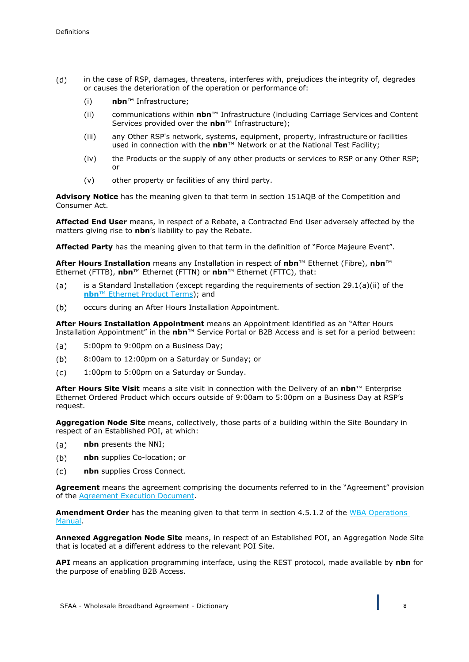- $(d)$ in the case of RSP, damages, threatens, interferes with, prejudices the integrity of, degrades or causes the deterioration of the operation or performance of:
	- (i) **nbn**™ Infrastructure;
	- (ii) communications within **nbn**™ Infrastructure (including Carriage Services and Content Services provided over the **nbn**™ Infrastructure);
	- (iii) any Other RSP's network, systems, equipment, property, infrastructure or facilities used in connection with the **nbn**™ Network or at the National Test Facility;
	- (iv) the Products or the supply of any other products or services to RSP or any Other RSP; or
	- (v) other property or facilities of any third party.

**Advisory Notice** has the meaning given to that term in section 151AQB of the Competition and Consumer Act.

**Affected End User** means, in respect of a Rebate, a Contracted End User adversely affected by the matters giving rise to **nbn**'s liability to pay the Rebate.

**Affected Party** has the meaning given to that term in the definition of "Force Majeure Event".

**After Hours Installation** means any Installation in respect of **nbn**™ Ethernet (Fibre), **nbn**™ Ethernet (FTTB), **nbn**™ Ethernet (FTTN) or **nbn**™ Ethernet (FTTC), that:

- $(a)$ is a Standard Installation (except regarding the requirements of section 29.1(a)(ii) of the **nbn**™ Ethernet Product Terms); and
- occurs during an After Hours Installation Appointment.  $(b)$

**After Hours Installation Appointment** means an Appointment identified as an "After Hours Installation Appointment" in the **nbn**™ Service Portal or B2B Access and is set for a period between:

- $(a)$ 5:00pm to 9:00pm on a Business Day;
- 8:00am to 12:00pm on a Saturday or Sunday; or  $(b)$
- $(c)$ 1:00pm to 5:00pm on a Saturday or Sunday.

**After Hours Site Visit** means a site visit in connection with the Delivery of an **nbn**™ Enterprise Ethernet Ordered Product which occurs outside of 9:00am to 5:00pm on a Business Day at RSP's request.

**Aggregation Node Site** means, collectively, those parts of a building within the Site Boundary in respect of an Established POI, at which:

- **nbn** presents the NNI;  $(a)$
- $(b)$ **nbn** supplies Co-location; or
- **nbn** supplies Cross Connect.  $(c)$

**Agreement** means the agreement comprising the documents referred to in the "Agreement" provision of the Agreement Execution Document.

**Amendment Order** has the meaning given to that term in section 4.5.1.2 of the WBA Operations Manual.

**Annexed Aggregation Node Site** means, in respect of an Established POI, an Aggregation Node Site that is located at a different address to the relevant POI Site.

**API** means an application programming interface, using the REST protocol, made available by **nbn** for the purpose of enabling B2B Access.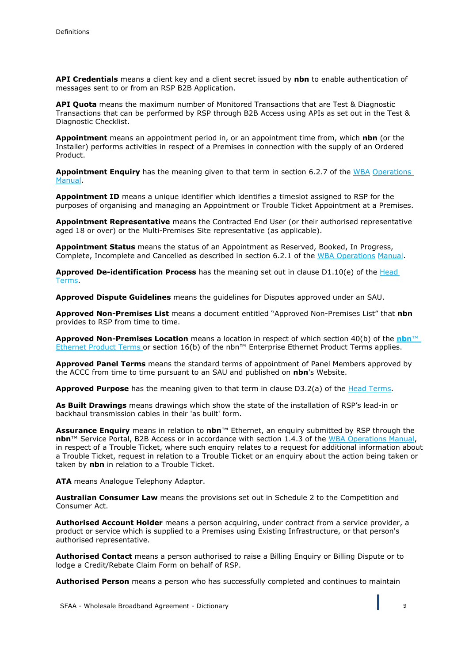**API Credentials** means a client key and a client secret issued by **nbn** to enable authentication of messages sent to or from an RSP B2B Application.

**API Quota** means the maximum number of Monitored Transactions that are Test & Diagnostic Transactions that can be performed by RSP through B2B Access using APIs as set out in the Test & Diagnostic Checklist.

**Appointment** means an appointment period in, or an appointment time from, which **nbn** (or the Installer) performs activities in respect of a Premises in connection with the supply of an Ordered Product.

**Appointment Enquiry** has the meaning given to that term in section 6.2.7 of the WBA Operations Manual.

**Appointment ID** means a unique identifier which identifies a timeslot assigned to RSP for the purposes of organising and managing an Appointment or Trouble Ticket Appointment at a Premises.

**Appointment Representative** means the Contracted End User (or their authorised representative aged 18 or over) or the Multi-Premises Site representative (as applicable).

**Appointment Status** means the status of an Appointment as Reserved, Booked, In Progress, Complete, Incomplete and Cancelled as described in section 6.2.1 of the WBA Operations Manual.

**Approved De-identification Process** has the meaning set out in clause D1.10(e) of the Head Terms.

**Approved Dispute Guidelines** means the guidelines for Disputes approved under an SAU.

**Approved Non-Premises List** means a document entitled "Approved Non-Premises List" that **nbn** provides to RSP from time to time.

**Approved Non-Premises Location** means a location in respect of which section 40(b) of the **nbn**™ Ethernet Product Terms or section 16(b) of the nbn™ Enterprise Ethernet Product Terms applies.

**Approved Panel Terms** means the standard terms of appointment of Panel Members approved by the ACCC from time to time pursuant to an SAU and published on **nbn**'s Website.

**Approved Purpose** has the meaning given to that term in clause D3.2(a) of the Head Terms.

**As Built Drawings** means drawings which show the state of the installation of RSP's lead-in or backhaul transmission cables in their 'as built' form.

**Assurance Enquiry** means in relation to **nbn**™ Ethernet, an enquiry submitted by RSP through the **nbn**™ Service Portal, B2B Access or in accordance with section 1.4.3 of the WBA Operations Manual, in respect of a Trouble Ticket, where such enquiry relates to a request for additional information about a Trouble Ticket, request in relation to a Trouble Ticket or an enquiry about the action being taken or taken by **nbn** in relation to a Trouble Ticket.

**ATA** means Analogue Telephony Adaptor.

**Australian Consumer Law** means the provisions set out in Schedule 2 to the Competition and Consumer Act.

**Authorised Account Holder** means a person acquiring, under contract from a service provider, a product or service which is supplied to a Premises using Existing Infrastructure, or that person's authorised representative.

**Authorised Contact** means a person authorised to raise a Billing Enquiry or Billing Dispute or to lodge a Credit/Rebate Claim Form on behalf of RSP.

**Authorised Person** means a person who has successfully completed and continues to maintain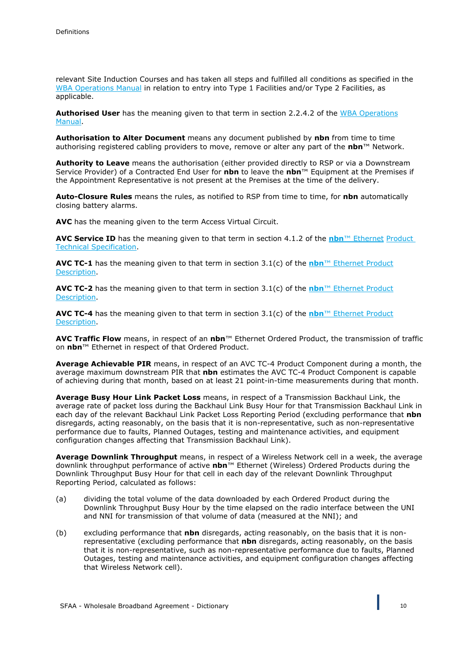relevant Site Induction Courses and has taken all steps and fulfilled all conditions as specified in the WBA Operations Manual in relation to entry into Type 1 Facilities and/or Type 2 Facilities, as applicable.

**Authorised User** has the meaning given to that term in section 2.2.4.2 of the WBA Operations Manual.

**Authorisation to Alter Document** means any document published by **nbn** from time to time authorising registered cabling providers to move, remove or alter any part of the **nbn**™ Network.

**Authority to Leave** means the authorisation (either provided directly to RSP or via a Downstream Service Provider) of a Contracted End User for **nbn** to leave the **nbn**™ Equipment at the Premises if the Appointment Representative is not present at the Premises at the time of the delivery.

**Auto-Closure Rules** means the rules, as notified to RSP from time to time, for **nbn** automatically closing battery alarms.

**AVC** has the meaning given to the term Access Virtual Circuit.

**AVC Service ID** has the meaning given to that term in section 4.1.2 of the **nbn**™ Ethernet Product Technical Specification.

**AVC TC-1** has the meaning given to that term in section 3.1(c) of the **nbn**™ Ethernet Product Description.

**AVC TC-2** has the meaning given to that term in section 3.1(c) of the **nbn**™ Ethernet Product Description.

**AVC TC-4** has the meaning given to that term in section 3.1(c) of the **nbn**™ Ethernet Product Description.

**AVC Traffic Flow** means, in respect of an **nbn**™ Ethernet Ordered Product, the transmission of traffic on **nbn**™ Ethernet in respect of that Ordered Product.

**Average Achievable PIR** means, in respect of an AVC TC-4 Product Component during a month, the average maximum downstream PIR that **nbn** estimates the AVC TC-4 Product Component is capable of achieving during that month, based on at least 21 point-in-time measurements during that month.

**Average Busy Hour Link Packet Loss** means, in respect of a Transmission Backhaul Link, the average rate of packet loss during the Backhaul Link Busy Hour for that Transmission Backhaul Link in each day of the relevant Backhaul Link Packet Loss Reporting Period (excluding performance that **nbn** disregards, acting reasonably, on the basis that it is non-representative, such as non-representative performance due to faults, Planned Outages, testing and maintenance activities, and equipment configuration changes affecting that Transmission Backhaul Link).

**Average Downlink Throughput** means, in respect of a Wireless Network cell in a week, the average downlink throughput performance of active **nbn**™ Ethernet (Wireless) Ordered Products during the Downlink Throughput Busy Hour for that cell in each day of the relevant Downlink Throughput Reporting Period, calculated as follows:

- (a) dividing the total volume of the data downloaded by each Ordered Product during the Downlink Throughput Busy Hour by the time elapsed on the radio interface between the UNI and NNI for transmission of that volume of data (measured at the NNI); and
- (b) excluding performance that **nbn** disregards, acting reasonably, on the basis that it is nonrepresentative (excluding performance that **nbn** disregards, acting reasonably, on the basis that it is non-representative, such as non-representative performance due to faults, Planned Outages, testing and maintenance activities, and equipment configuration changes affecting that Wireless Network cell).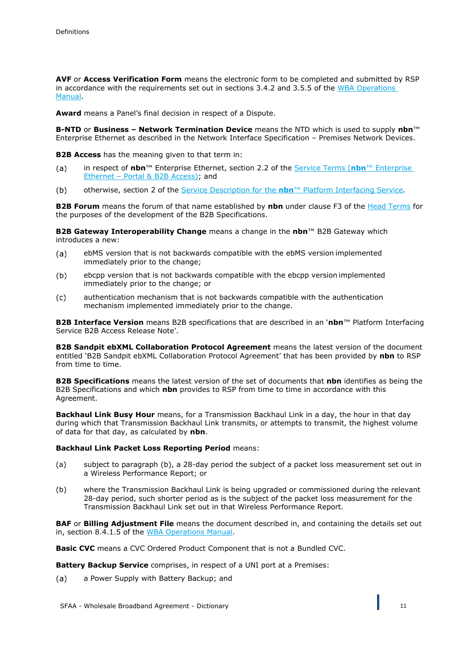**AVF** or **Access Verification Form** means the electronic form to be completed and submitted by RSP in accordance with the requirements set out in sections 3.4.2 and 3.5.5 of the WBA Operations Manual.

**Award** means a Panel's final decision in respect of a Dispute.

**B-NTD** or **Business – Network Termination Device** means the NTD which is used to supply **nbn**™ Enterprise Ethernet as described in the Network Interface Specification – Premises Network Devices.

**B2B Access** has the meaning given to that term in:

- in respect of **nbn**™ Enterprise Ethernet, section 2.2 of the Service Terms (**nbn**™ Enterprise  $(a)$ Ethernet – Portal & B2B Access); and
- otherwise, section 2 of the Service Description for the **nbn**™ Platform Interfacing Service.  $(b)$

**B2B Forum** means the forum of that name established by **nbn** under clause F3 of the Head Terms for the purposes of the development of the B2B Specifications.

**B2B Gateway Interoperability Change** means a change in the **nbn**™ B2B Gateway which introduces a new:

- $(a)$ ebMS version that is not backwards compatible with the ebMS version implemented immediately prior to the change;
- ebcpp version that is not backwards compatible with the ebcpp version implemented  $(b)$ immediately prior to the change; or
- authentication mechanism that is not backwards compatible with the authentication  $(c)$ mechanism implemented immediately prior to the change.

**B2B Interface Version** means B2B specifications that are described in an '**nbn**™ Platform Interfacing Service B2B Access Release Note'.

**B2B Sandpit ebXML Collaboration Protocol Agreement** means the latest version of the document entitled 'B2B Sandpit ebXML Collaboration Protocol Agreement' that has been provided by **nbn** to RSP from time to time.

**B2B Specifications** means the latest version of the set of documents that **nbn** identifies as being the B2B Specifications and which **nbn** provides to RSP from time to time in accordance with this Agreement.

**Backhaul Link Busy Hour** means, for a Transmission Backhaul Link in a day, the hour in that day during which that Transmission Backhaul Link transmits, or attempts to transmit, the highest volume of data for that day, as calculated by **nbn**.

#### **Backhaul Link Packet Loss Reporting Period** means:

- (a) subject to paragraph (b), a 28-day period the subject of a packet loss measurement set out in a Wireless Performance Report; or
- (b) where the Transmission Backhaul Link is being upgraded or commissioned during the relevant 28-day period, such shorter period as is the subject of the packet loss measurement for the Transmission Backhaul Link set out in that Wireless Performance Report.

**BAF** or **Billing Adjustment File** means the document described in, and containing the details set out in, section 8.4.1.5 of the WBA Operations Manual.

**Basic CVC** means a CVC Ordered Product Component that is not a Bundled CVC.

**Battery Backup Service** comprises, in respect of a UNI port at a Premises:

a Power Supply with Battery Backup; and(a)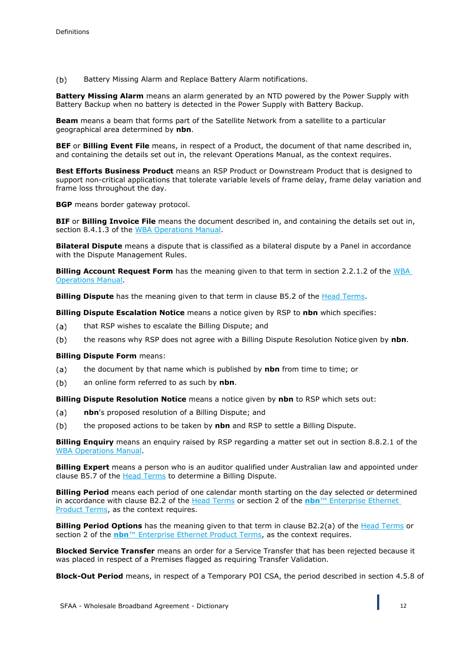$(b)$ Battery Missing Alarm and Replace Battery Alarm notifications.

**Battery Missing Alarm** means an alarm generated by an NTD powered by the Power Supply with Battery Backup when no battery is detected in the Power Supply with Battery Backup.

**Beam** means a beam that forms part of the Satellite Network from a satellite to a particular geographical area determined by **nbn**.

**BEF** or **Billing Event File** means, in respect of a Product, the document of that name described in, and containing the details set out in, the relevant Operations Manual, as the context requires.

**Best Efforts Business Product** means an RSP Product or Downstream Product that is designed to support non-critical applications that tolerate variable levels of frame delay, frame delay variation and frame loss throughout the day.

**BGP** means border gateway protocol.

**BIF** or **Billing Invoice File** means the document described in, and containing the details set out in, section 8.4.1.3 of the WBA Operations Manual.

**Bilateral Dispute** means a dispute that is classified as a bilateral dispute by a Panel in accordance with the Dispute Management Rules.

**Billing Account Request Form** has the meaning given to that term in section 2.2.1.2 of the WBA Operations Manual.

**Billing Dispute** has the meaning given to that term in clause B5.2 of the Head Terms.

**Billing Dispute Escalation Notice** means a notice given by RSP to **nbn** which specifies:

- that RSP wishes to escalate the Billing Dispute; and  $(a)$
- $(b)$ the reasons why RSP does not agree with a Billing Dispute Resolution Notice given by **nbn**.

#### **Billing Dispute Form** means:

- $(a)$ the document by that name which is published by **nbn** from time to time; or
- an online form referred to as such by **nbn**.  $(b)$

**Billing Dispute Resolution Notice** means a notice given by **nbn** to RSP which sets out:

- $(a)$ **nbn**'s proposed resolution of a Billing Dispute; and
- $(b)$ the proposed actions to be taken by **nbn** and RSP to settle a Billing Dispute.

**Billing Enquiry** means an enquiry raised by RSP regarding a matter set out in section 8.8.2.1 of the WBA Operations Manual.

**Billing Expert** means a person who is an auditor qualified under Australian law and appointed under clause B5.7 of the **Head Terms** to determine a Billing Dispute.

**Billing Period** means each period of one calendar month starting on the day selected or determined in accordance with clause B2.2 of the Head Terms or section 2 of the **nbn**™ Enterprise Ethernet Product Terms, as the context requires.

**Billing Period Options** has the meaning given to that term in clause B2.2(a) of the Head Terms or section 2 of the **nbn**<sup>™</sup> Enterprise Ethernet Product Terms, as the context requires.

**Blocked Service Transfer** means an order for a Service Transfer that has been rejected because it was placed in respect of a Premises flagged as requiring Transfer Validation.

**Block-Out Period** means, in respect of a Temporary POI CSA, the period described in section 4.5.8 of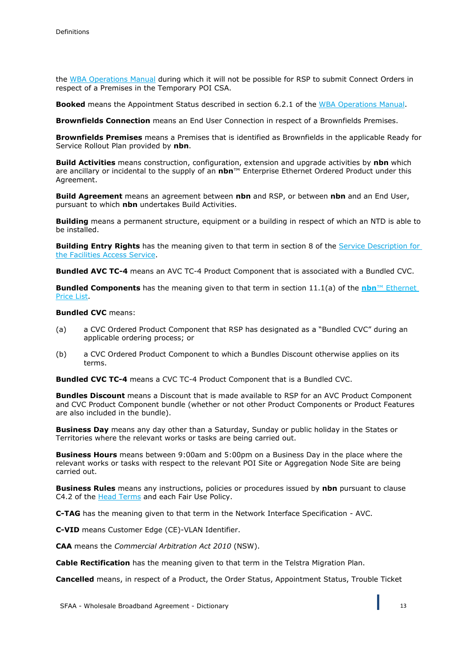the WBA Operations Manual during which it will not be possible for RSP to submit Connect Orders in respect of a Premises in the Temporary POI CSA.

**Booked** means the Appointment Status described in section 6.2.1 of the WBA Operations Manual.

**Brownfields Connection** means an End User Connection in respect of a Brownfields Premises.

**Brownfields Premises** means a Premises that is identified as Brownfields in the applicable Ready for Service Rollout Plan provided by **nbn**.

**Build Activities** means construction, configuration, extension and upgrade activities by **nbn** which are ancillary or incidental to the supply of an **nbn**™ Enterprise Ethernet Ordered Product under this Agreement.

**Build Agreement** means an agreement between **nbn** and RSP, or between **nbn** and an End User, pursuant to which **nbn** undertakes Build Activities.

**Building** means a permanent structure, equipment or a building in respect of which an NTD is able to be installed.

**Building Entry Rights** has the meaning given to that term in section 8 of the Service Description for the Facilities Access Service.

**Bundled AVC TC-4** means an AVC TC-4 Product Component that is associated with a Bundled CVC.

**Bundled Components** has the meaning given to that term in section 11.1(a) of the **nbn**™ Ethernet Price List.

#### **Bundled CVC** means:

- (a) a CVC Ordered Product Component that RSP has designated as a "Bundled CVC" during an applicable ordering process; or
- (b) a CVC Ordered Product Component to which a Bundles Discount otherwise applies on its terms.

**Bundled CVC TC-4** means a CVC TC-4 Product Component that is a Bundled CVC.

**Bundles Discount** means a Discount that is made available to RSP for an AVC Product Component and CVC Product Component bundle (whether or not other Product Components or Product Features are also included in the bundle).

**Business Day** means any day other than a Saturday, Sunday or public holiday in the States or Territories where the relevant works or tasks are being carried out.

**Business Hours** means between 9:00am and 5:00pm on a Business Day in the place where the relevant works or tasks with respect to the relevant POI Site or Aggregation Node Site are being carried out.

**Business Rules** means any instructions, policies or procedures issued by **nbn** pursuant to clause C4.2 of the Head Terms and each Fair Use Policy.

**C-TAG** has the meaning given to that term in the Network Interface Specification - AVC.

**C-VID** means Customer Edge (CE)-VLAN Identifier.

**CAA** means the *Commercial Arbitration Act 2010* (NSW).

**Cable Rectification** has the meaning given to that term in the Telstra Migration Plan.

**Cancelled** means, in respect of a Product, the Order Status, Appointment Status, Trouble Ticket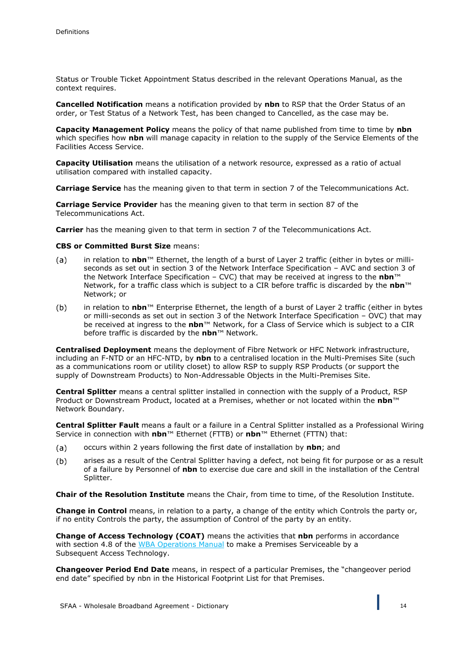Status or Trouble Ticket Appointment Status described in the relevant Operations Manual, as the context requires.

**Cancelled Notification** means a notification provided by **nbn** to RSP that the Order Status of an order, or Test Status of a Network Test, has been changed to Cancelled, as the case may be.

**Capacity Management Policy** means the policy of that name published from time to time by **nbn**  which specifies how **nbn** will manage capacity in relation to the supply of the Service Elements of the Facilities Access Service.

**Capacity Utilisation** means the utilisation of a network resource, expressed as a ratio of actual utilisation compared with installed capacity.

**Carriage Service** has the meaning given to that term in section 7 of the Telecommunications Act.

**Carriage Service Provider** has the meaning given to that term in section 87 of the Telecommunications Act.

**Carrier** has the meaning given to that term in section 7 of the Telecommunications Act.

#### **CBS or Committed Burst Size** means:

- in relation to **nbn**™ Ethernet, the length of a burst of Layer 2 traffic (either in bytes or milli- $(a)$ seconds as set out in section 3 of the Network Interface Specification – AVC and section 3 of the Network Interface Specification – CVC) that may be received at ingress to the **nbn**™ Network, for a traffic class which is subject to a CIR before traffic is discarded by the **nbn**™ Network; or
- $(b)$ in relation to **nbn**™ Enterprise Ethernet, the length of a burst of Layer 2 traffic (either in bytes or milli-seconds as set out in section 3 of the Network Interface Specification – OVC) that may be received at ingress to the **nbn**™ Network, for a Class of Service which is subject to a CIR before traffic is discarded by the **nbn**™ Network.

**Centralised Deployment** means the deployment of Fibre Network or HFC Network infrastructure, including an F-NTD or an HFC-NTD, by **nbn** to a centralised location in the Multi-Premises Site (such as a communications room or utility closet) to allow RSP to supply RSP Products (or support the supply of Downstream Products) to Non-Addressable Objects in the Multi-Premises Site.

**Central Splitter** means a central splitter installed in connection with the supply of a Product, RSP Product or Downstream Product, located at a Premises, whether or not located within the **nbn**™ Network Boundary.

**Central Splitter Fault** means a fault or a failure in a Central Splitter installed as a Professional Wiring Service in connection with **nbn**™ Ethernet (FTTB) or **nbn**™ Ethernet (FTTN) that:

- occurs within 2 years following the first date of installation by **nbn**; and  $(a)$
- $(b)$ arises as a result of the Central Splitter having a defect, not being fit for purpose or as a result of a failure by Personnel of **nbn** to exercise due care and skill in the installation of the Central Splitter.

**Chair of the Resolution Institute** means the Chair, from time to time, of the Resolution Institute.

**Change in Control** means, in relation to a party, a change of the entity which Controls the party or, if no entity Controls the party, the assumption of Control of the party by an entity.

**Change of Access Technology (COAT)** means the activities that **nbn** performs in accordance with section 4.8 of the WBA Operations Manual to make a Premises Serviceable by a Subsequent Access Technology.

**Changeover Period End Date** means, in respect of a particular Premises, the "changeover period end date" specified by nbn in the Historical Footprint List for that Premises.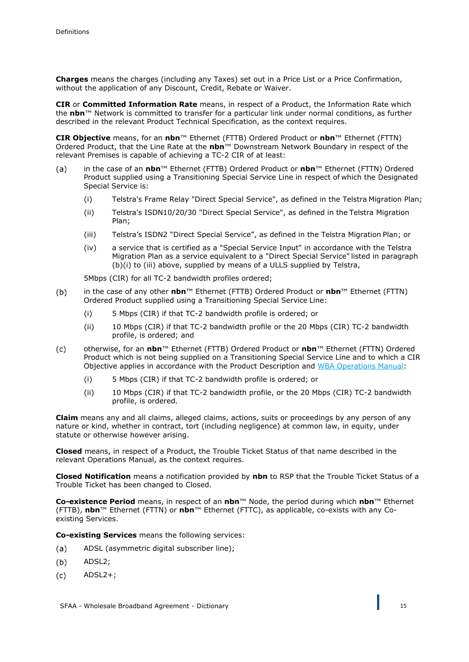**Charges** means the charges (including any Taxes) set out in a Price List or a Price Confirmation, without the application of any Discount, Credit, Rebate or Waiver.

**CIR** or **Committed Information Rate** means, in respect of a Product, the Information Rate which the **nbn**™ Network is committed to transfer for a particular link under normal conditions, as further described in the relevant Product Technical Specification, as the context requires.

**CIR Objective** means, for an **nbn**™ Ethernet (FTTB) Ordered Product or **nbn**™ Ethernet (FTTN) Ordered Product, that the Line Rate at the **nbn**™ Downstream Network Boundary in respect of the relevant Premises is capable of achieving a TC-2 CIR of at least:

- in the case of an **nbn**™ Ethernet (FTTB) Ordered Product or **nbn**™ Ethernet (FTTN) Ordered  $(a)$ Product supplied using a Transitioning Special Service Line in respect of which the Designated Special Service is:
	- (i) Telstra's Frame Relay "Direct Special Service", as defined in the Telstra Migration Plan;
	- (ii) Telstra's ISDN10/20/30 "Direct Special Service", as defined in the Telstra Migration Plan;
	- (iii) Telstra's ISDN2 "Direct Special Service", as defined in the Telstra Migration Plan; or
	- (iv) a service that is certified as a "Special Service Input" in accordance with the Telstra Migration Plan as a service equivalent to a "Direct Special Service" listed in paragraph (b)(i) to (iii) above, supplied by means of a ULLS supplied by Telstra,

5Mbps (CIR) for all TC-2 bandwidth profiles ordered;

- in the case of any other **nbn**™ Ethernet (FTTB) Ordered Product or **nbn**™ Ethernet (FTTN)  $(b)$ Ordered Product supplied using a Transitioning Special Service Line:
	- (i) 5 Mbps (CIR) if that TC-2 bandwidth profile is ordered; or
	- (ii) 10 Mbps (CIR) if that TC-2 bandwidth profile or the 20 Mbps (CIR) TC-2 bandwidth profile, is ordered; and
- $(c)$ otherwise, for an **nbn**™ Ethernet (FTTB) Ordered Product or **nbn**™ Ethernet (FTTN) Ordered Product which is not being supplied on a Transitioning Special Service Line and to which a CIR Objective applies in accordance with the Product Description and WBA Operations Manual:
	- (i) 5 Mbps (CIR) if that TC-2 bandwidth profile is ordered; or
	- (ii) 10 Mbps (CIR) if that TC-2 bandwidth profile, or the 20 Mbps (CIR) TC-2 bandwidth profile, is ordered.

**Claim** means any and all claims, alleged claims, actions, suits or proceedings by any person of any nature or kind, whether in contract, tort (including negligence) at common law, in equity, under statute or otherwise however arising.

**Closed** means, in respect of a Product, the Trouble Ticket Status of that name described in the relevant Operations Manual, as the context requires.

**Closed Notification** means a notification provided by **nbn** to RSP that the Trouble Ticket Status of a Trouble Ticket has been changed to Closed.

**Co-existence Period** means, in respect of an **nbn**™ Node, the period during which **nbn**™ Ethernet (FTTB), **nbn**™ Ethernet (FTTN) or **nbn**™ Ethernet (FTTC), as applicable, co-exists with any Coexisting Services.

**Co-existing Services** means the following services:

- ADSL (asymmetric digital subscriber line);  $(a)$
- $(b)$ ADSL2;
- ADSL2+; $(c)$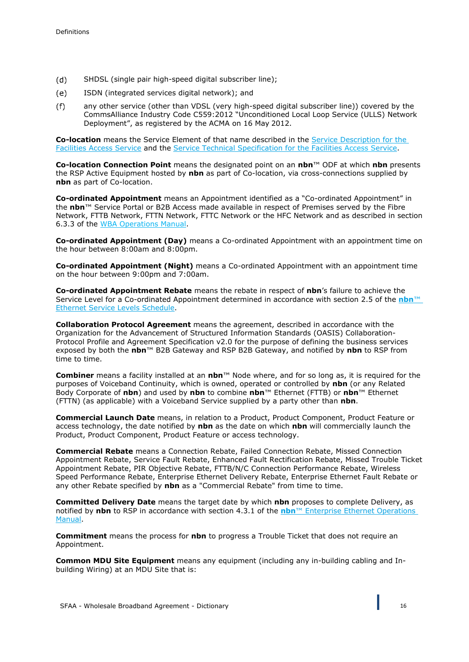- $(d)$ SHDSL (single pair high-speed digital subscriber line);
- ISDN (integrated services digital network); and  $(e)$
- $(f)$ any other service (other than VDSL (very high-speed digital subscriber line)) covered by the CommsAlliance Industry Code C559:2012 "Unconditioned Local Loop Service (ULLS) Network Deployment", as registered by the ACMA on 16 May 2012.

**Co-location** means the Service Element of that name described in the Service Description for the Facilities Access Service and the Service Technical Specification for the Facilities Access Service.

**Co-location Connection Point** means the designated point on an **nbn**™ ODF at which **nbn** presents the RSP Active Equipment hosted by **nbn** as part of Co-location, via cross-connections supplied by **nbn** as part of Co-location.

**Co-ordinated Appointment** means an Appointment identified as a "Co-ordinated Appointment" in the **nbn**™ Service Portal or B2B Access made available in respect of Premises served by the Fibre Network, FTTB Network, FTTN Network, FTTC Network or the HFC Network and as described in section 6.3.3 of the WBA Operations Manual.

**Co-ordinated Appointment (Day)** means a Co-ordinated Appointment with an appointment time on the hour between 8:00am and 8:00pm.

**Co-ordinated Appointment (Night)** means a Co-ordinated Appointment with an appointment time on the hour between 9:00pm and 7:00am.

**Co-ordinated Appointment Rebate** means the rebate in respect of **nbn**'s failure to achieve the Service Level for a Co-ordinated Appointment determined in accordance with section 2.5 of the **nbn**™ Ethernet Service Levels Schedule.

**Collaboration Protocol Agreement** means the agreement, described in accordance with the Organization for the Advancement of Structured Information Standards (OASIS) Collaboration-Protocol Profile and Agreement Specification v2.0 for the purpose of defining the business services exposed by both the **nbn**™ B2B Gateway and RSP B2B Gateway, and notified by **nbn** to RSP from time to time.

**Combiner** means a facility installed at an **nbn**™ Node where, and for so long as, it is required for the purposes of Voiceband Continuity, which is owned, operated or controlled by **nbn** (or any Related Body Corporate of **nbn**) and used by **nbn** to combine **nbn**™ Ethernet (FTTB) or **nbn**™ Ethernet (FTTN) (as applicable) with a Voiceband Service supplied by a party other than **nbn**.

**Commercial Launch Date** means, in relation to a Product, Product Component, Product Feature or access technology, the date notified by **nbn** as the date on which **nbn** will commercially launch the Product, Product Component, Product Feature or access technology.

**Commercial Rebate** means a Connection Rebate, Failed Connection Rebate, Missed Connection Appointment Rebate, Service Fault Rebate, Enhanced Fault Rectification Rebate, Missed Trouble Ticket Appointment Rebate, PIR Objective Rebate, FTTB/N/C Connection Performance Rebate, Wireless Speed Performance Rebate, Enterprise Ethernet Delivery Rebate, Enterprise Ethernet Fault Rebate or any other Rebate specified by **nbn** as a "Commercial Rebate" from time to time.

**Committed Delivery Date** means the target date by which **nbn** proposes to complete Delivery, as notified by **nbn** to RSP in accordance with section 4.3.1 of the **nbn**™ Enterprise Ethernet Operations Manual.

**Commitment** means the process for **nbn** to progress a Trouble Ticket that does not require an Appointment.

**Common MDU Site Equipment** means any equipment (including any in-building cabling and Inbuilding Wiring) at an MDU Site that is: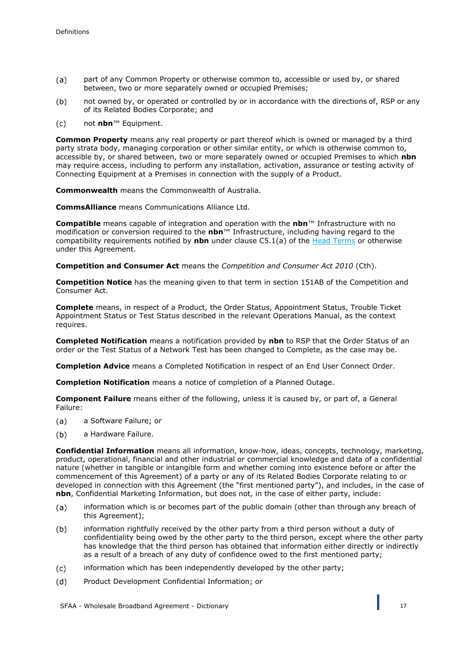- $(a)$ part of any Common Property or otherwise common to, accessible or used by, or shared between, two or more separately owned or occupied Premises;
- not owned by, or operated or controlled by or in accordance with the directions of, RSP or any  $(b)$ of its Related Bodies Corporate; and
- $(c)$ not **nbn**™ Equipment.

**Common Property** means any real property or part thereof which is owned or managed by a third party strata body, managing corporation or other similar entity, or which is otherwise common to, accessible by, or shared between, two or more separately owned or occupied Premises to which **nbn**  may require access, including to perform any installation, activation, assurance or testing activity of Connecting Equipment at a Premises in connection with the supply of a Product.

**Commonwealth** means the Commonwealth of Australia.

**CommsAlliance** means Communications Alliance Ltd.

**Compatible** means capable of integration and operation with the **nbn**™ Infrastructure with no modification or conversion required to the **nbn**™ Infrastructure, including having regard to the compatibility requirements notified by **nbn** under clause C5.1(a) of the Head Terms or otherwise under this Agreement.

**Competition and Consumer Act** means the *Competition and Consumer Act 2010* (Cth).

**Competition Notice** has the meaning given to that term in section 151AB of the Competition and Consumer Act.

**Complete** means, in respect of a Product, the Order Status, Appointment Status, Trouble Ticket Appointment Status or Test Status described in the relevant Operations Manual, as the context requires.

**Completed Notification** means a notification provided by **nbn** to RSP that the Order Status of an order or the Test Status of a Network Test has been changed to Complete, as the case may be.

**Completion Advice** means a Completed Notification in respect of an End User Connect Order.

**Completion Notification** means a notice of completion of a Planned Outage.

**Component Failure** means either of the following, unless it is caused by, or part of, a General Failure:

- $(a)$ a Software Failure; or
- $(b)$ a Hardware Failure.

**Confidential Information** means all information, know-how, ideas, concepts, technology, marketing, product, operational, financial and other industrial or commercial knowledge and data of a confidential nature (whether in tangible or intangible form and whether coming into existence before or after the commencement of this Agreement) of a party or any of its Related Bodies Corporate relating to or developed in connection with this Agreement (the "first mentioned party"), and includes, in the case of **nbn**, Confidential Marketing Information, but does not, in the case of either party, include:

- $(a)$ information which is or becomes part of the public domain (other than through any breach of this Agreement);
- $(b)$ information rightfully received by the other party from a third person without a duty of confidentiality being owed by the other party to the third person, except where the other party has knowledge that the third person has obtained that information either directly or indirectly as a result of a breach of any duty of confidence owed to the first mentioned party;
- $(c)$ information which has been independently developed by the other party;
- Product Development Confidential Information; or $(d)$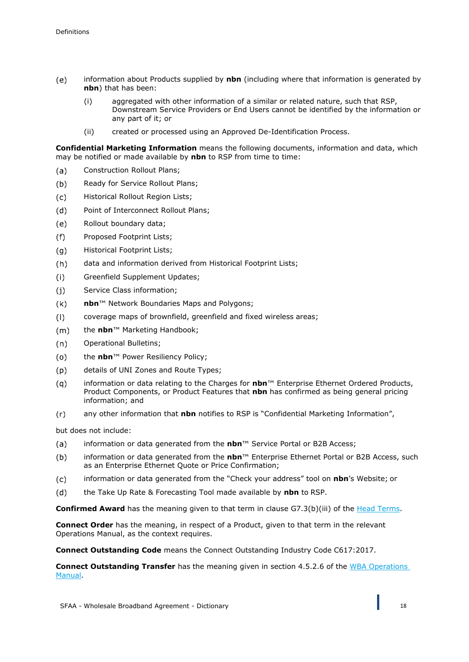- $(e)$ information about Products supplied by **nbn** (including where that information is generated by **nbn**) that has been:
	- (i) aggregated with other information of a similar or related nature, such that RSP, Downstream Service Providers or End Users cannot be identified by the information or any part of it; or
	- (ii) created or processed using an Approved De-Identification Process.

**Confidential Marketing Information** means the following documents, information and data, which may be notified or made available by **nbn** to RSP from time to time:

- $(a)$ Construction Rollout Plans;
- $(b)$ Ready for Service Rollout Plans;
- $(c)$ Historical Rollout Region Lists;
- $(d)$ Point of Interconnect Rollout Plans;
- $(e)$ Rollout boundary data;
- Proposed Footprint Lists;  $(f)$
- $(g)$ Historical Footprint Lists;
- data and information derived from Historical Footprint Lists;  $(h)$
- $(i)$ Greenfield Supplement Updates;
- $(i)$ Service Class information;
- $(k)$ **nbn**™ Network Boundaries Maps and Polygons;
- coverage maps of brownfield, greenfield and fixed wireless areas;  $(1)$
- $(m)$ the **nbn**™ Marketing Handbook;
- $(n)$ Operational Bulletins;
- $(o)$ the **nbn**™ Power Resiliency Policy;
- details of UNI Zones and Route Types;  $(p)$
- $(a)$ information or data relating to the Charges for **nbn**™ Enterprise Ethernet Ordered Products, Product Components, or Product Features that **nbn** has confirmed as being general pricing information; and
- any other information that **nbn** notifies to RSP is "Confidential Marketing Information",  $(r)$

but does not include:

- $(a)$ information or data generated from the **nbn**™ Service Portal or B2B Access;
- information or data generated from the **nbn**™ Enterprise Ethernet Portal or B2B Access, such  $(b)$ as an Enterprise Ethernet Quote or Price Confirmation;
- $(c)$ information or data generated from the "Check your address" tool on **nbn**'s Website; or
- $(d)$ the Take Up Rate & Forecasting Tool made available by **nbn** to RSP.

**Confirmed Award** has the meaning given to that term in clause G7.3(b)(iii) of the Head Terms.

**Connect Order** has the meaning, in respect of a Product, given to that term in the relevant Operations Manual, as the context requires.

**Connect Outstanding Code** means the Connect Outstanding Industry Code C617:2017.

**Connect Outstanding Transfer** has the meaning given in section 4.5.2.6 of the WBA Operations Manual.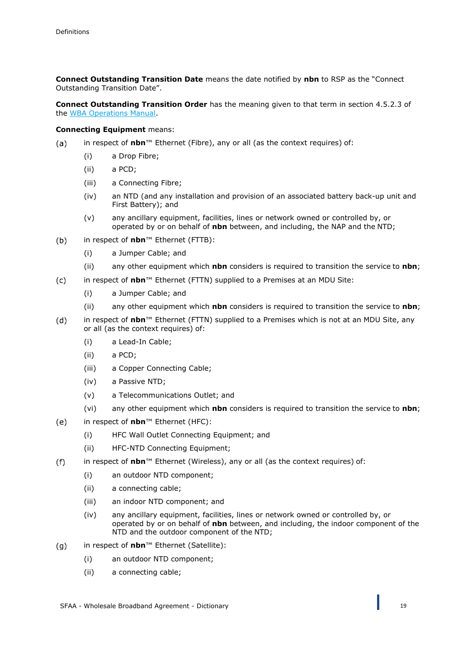**Connect Outstanding Transition Date** means the date notified by **nbn** to RSP as the "Connect Outstanding Transition Date".

**Connect Outstanding Transition Order** has the meaning given to that term in section 4.5.2.3 of the WBA Operations Manual.

#### **Connecting Equipment** means:

- in respect of **nbn**™ Ethernet (Fibre), any or all (as the context requires) of:  $(a)$ 
	- (i) a Drop Fibre;
	- (ii) a PCD;
	- (iii) a Connecting Fibre;
	- (iv) an NTD (and any installation and provision of an associated battery back-up unit and First Battery); and
	- (v) any ancillary equipment, facilities, lines or network owned or controlled by, or operated by or on behalf of **nbn** between, and including, the NAP and the NTD;
- $(b)$ in respect of **nbn**™ Ethernet (FTTB):
	- (i) a Jumper Cable; and
	- (ii) any other equipment which **nbn** considers is required to transition the service to **nbn**;
- $(c)$ in respect of **nbn**™ Ethernet (FTTN) supplied to a Premises at an MDU Site:
	- (i) a Jumper Cable; and
	- (ii) any other equipment which **nbn** considers is required to transition the service to **nbn**;
- $(d)$ in respect of **nbn**™ Ethernet (FTTN) supplied to a Premises which is not at an MDU Site, any or all (as the context requires) of:
	- (i) a Lead-In Cable;
	- (ii) a PCD;
	- (iii) a Copper Connecting Cable;
	- (iv) a Passive NTD;
	- (v) a Telecommunications Outlet; and
	- (vi) any other equipment which **nbn** considers is required to transition the service to **nbn**;
- $(e)$ in respect of **nbn**™ Ethernet (HFC):
	- (i) HFC Wall Outlet Connecting Equipment; and
	- (ii) HFC-NTD Connecting Equipment;
- $(f)$ in respect of **nbn**™ Ethernet (Wireless), any or all (as the context requires) of:
	- (i) an outdoor NTD component;
	- (ii) a connecting cable;
	- (iii) an indoor NTD component; and
	- (iv) any ancillary equipment, facilities, lines or network owned or controlled by, or operated by or on behalf of **nbn** between, and including, the indoor component of the NTD and the outdoor component of the NTD;
- $(g)$ in respect of **nbn**™ Ethernet (Satellite):
	- (i) an outdoor NTD component;
	- (ii) a connecting cable;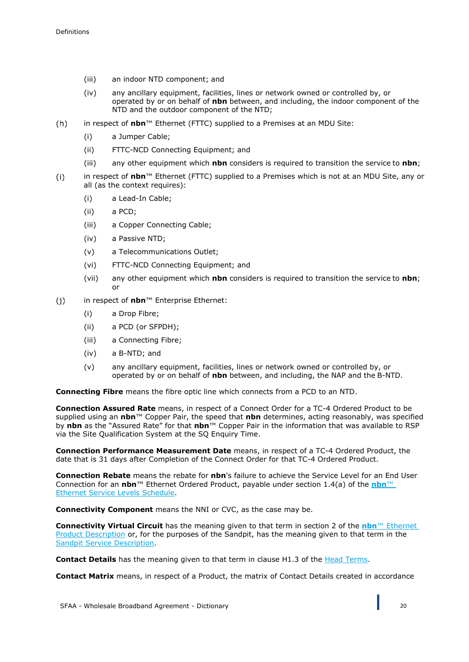- (iii) an indoor NTD component; and
- (iv) any ancillary equipment, facilities, lines or network owned or controlled by, or operated by or on behalf of **nbn** between, and including, the indoor component of the NTD and the outdoor component of the NTD;
- $(h)$ in respect of **nbn**™ Ethernet (FTTC) supplied to a Premises at an MDU Site:
	- (i) a Jumper Cable;
	- (ii) FTTC-NCD Connecting Equipment; and
	- (iii) any other equipment which **nbn** considers is required to transition the service to **nbn**;
- in respect of **nbn**™ Ethernet (FTTC) supplied to a Premises which is not at an MDU Site, any or  $(i)$ all (as the context requires):
	- (i) a Lead-In Cable;
	- (ii) a PCD;
	- (iii) a Copper Connecting Cable;
	- (iv) a Passive NTD;
	- (v) a Telecommunications Outlet;
	- (vi) FTTC-NCD Connecting Equipment; and
	- (vii) any other equipment which **nbn** considers is required to transition the service to **nbn**; or
- $(i)$ in respect of **nbn**™ Enterprise Ethernet:
	- (i) a Drop Fibre;
	- (ii) a PCD (or SFPDH);
	- (iii) a Connecting Fibre;
	- (iv) a B-NTD; and
	- (v) any ancillary equipment, facilities, lines or network owned or controlled by, or operated by or on behalf of **nbn** between, and including, the NAP and the B-NTD.

**Connecting Fibre** means the fibre optic line which connects from a PCD to an NTD.

**Connection Assured Rate** means, in respect of a Connect Order for a TC-4 Ordered Product to be supplied using an **nbn**™ Copper Pair, the speed that **nbn** determines, acting reasonably, was specified by **nbn** as the "Assured Rate" for that **nbn**™ Copper Pair in the information that was available to RSP via the Site Qualification System at the SQ Enquiry Time.

**Connection Performance Measurement Date** means, in respect of a TC-4 Ordered Product, the date that is 31 days after Completion of the Connect Order for that TC-4 Ordered Product.

**Connection Rebate** means the rebate for **nbn**'s failure to achieve the Service Level for an End User Connection for an **nbn**™ Ethernet Ordered Product, payable under section 1.4(a) of the **nbn**™ Ethernet Service Levels Schedule.

**Connectivity Component** means the NNI or CVC, as the case may be.

**Connectivity Virtual Circuit** has the meaning given to that term in section 2 of the **nbn**™ Ethernet Product Description or, for the purposes of the Sandpit, has the meaning given to that term in the Sandpit Service Description.

**Contact Details** has the meaning given to that term in clause H1.3 of the **Head Terms**.

**Contact Matrix** means, in respect of a Product, the matrix of Contact Details created in accordance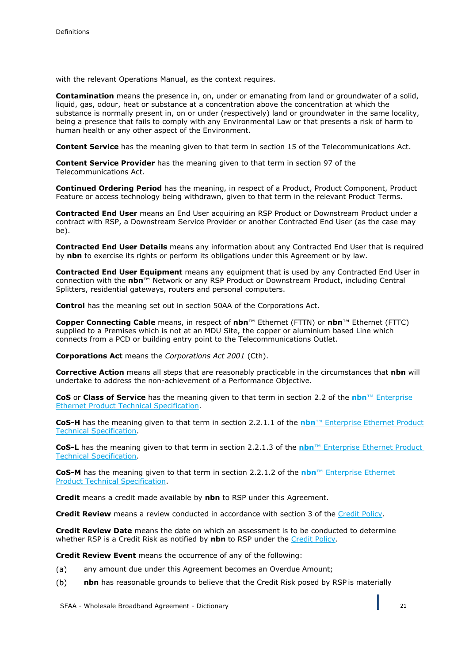with the relevant Operations Manual, as the context requires.

**Contamination** means the presence in, on, under or emanating from land or groundwater of a solid, liquid, gas, odour, heat or substance at a concentration above the concentration at which the substance is normally present in, on or under (respectively) land or groundwater in the same locality, being a presence that fails to comply with any Environmental Law or that presents a risk of harm to human health or any other aspect of the Environment.

**Content Service** has the meaning given to that term in section 15 of the Telecommunications Act.

**Content Service Provider** has the meaning given to that term in section 97 of the Telecommunications Act.

**Continued Ordering Period** has the meaning, in respect of a Product, Product Component, Product Feature or access technology being withdrawn, given to that term in the relevant Product Terms.

**Contracted End User** means an End User acquiring an RSP Product or Downstream Product under a contract with RSP, a Downstream Service Provider or another Contracted End User (as the case may be).

**Contracted End User Details** means any information about any Contracted End User that is required by **nbn** to exercise its rights or perform its obligations under this Agreement or by law.

**Contracted End User Equipment** means any equipment that is used by any Contracted End User in connection with the **nbn**™ Network or any RSP Product or Downstream Product, including Central Splitters, residential gateways, routers and personal computers.

**Control** has the meaning set out in section 50AA of the Corporations Act.

**Copper Connecting Cable** means, in respect of **nbn**™ Ethernet (FTTN) or **nbn**™ Ethernet (FTTC) supplied to a Premises which is not at an MDU Site, the copper or aluminium based Line which connects from a PCD or building entry point to the Telecommunications Outlet.

**Corporations Act** means the *Corporations Act 2001* (Cth).

**Corrective Action** means all steps that are reasonably practicable in the circumstances that **nbn** will undertake to address the non-achievement of a Performance Objective.

**CoS** or **Class of Service** has the meaning given to that term in section 2.2 of the **nbn**™ Enterprise Ethernet Product Technical Specification.

**CoS-H** has the meaning given to that term in section 2.2.1.1 of the **nbn**™ Enterprise Ethernet Product Technical Specification.

**CoS-L** has the meaning given to that term in section 2.2.1.3 of the **nbn**™ Enterprise Ethernet Product Technical Specification.

**CoS-M** has the meaning given to that term in section 2.2.1.2 of the **nbn**™ Enterprise Ethernet Product Technical Specification.

**Credit** means a credit made available by **nbn** to RSP under this Agreement.

**Credit Review** means a review conducted in accordance with section 3 of the Credit Policy.

**Credit Review Date** means the date on which an assessment is to be conducted to determine whether RSP is a Credit Risk as notified by **nbn** to RSP under the Credit Policy.

**Credit Review Event** means the occurrence of any of the following:

- any amount due under this Agreement becomes an Overdue Amount;  $(a)$
- $(b)$ **nbn** has reasonable grounds to believe that the Credit Risk posed by RSP is materially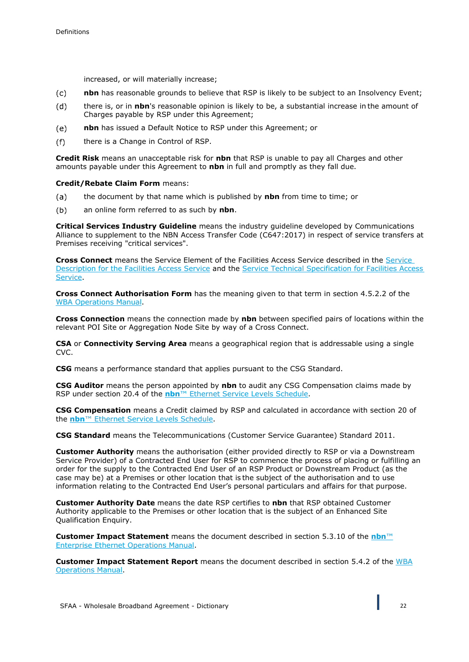increased, or will materially increase;

- **nbn** has reasonable grounds to believe that RSP is likely to be subject to an Insolvency Event;  $(c)$
- $(d)$ there is, or in **nbn**'s reasonable opinion is likely to be, a substantial increase in the amount of Charges payable by RSP under this Agreement;
- $(e)$ **nbn** has issued a Default Notice to RSP under this Agreement; or
- $(f)$ there is a Change in Control of RSP.

**Credit Risk** means an unacceptable risk for **nbn** that RSP is unable to pay all Charges and other amounts payable under this Agreement to **nbn** in full and promptly as they fall due.

**Credit/Rebate Claim Form** means:

- the document by that name which is published by **nbn** from time to time; or  $(a)$
- an online form referred to as such by **nbn**.  $(b)$

**Critical Services Industry Guideline** means the industry guideline developed by Communications Alliance to supplement to the NBN Access Transfer Code (C647:2017) in respect of service transfers at Premises receiving "critical services".

**Cross Connect** means the Service Element of the Facilities Access Service described in the Service Description for the Facilities Access Service and the Service Technical Specification for Facilities Access Service.

**Cross Connect Authorisation Form** has the meaning given to that term in section 4.5.2.2 of the WBA Operations Manual.

**Cross Connection** means the connection made by **nbn** between specified pairs of locations within the relevant POI Site or Aggregation Node Site by way of a Cross Connect.

**CSA** or **Connectivity Serving Area** means a geographical region that is addressable using a single CVC.

**CSG** means a performance standard that applies pursuant to the CSG Standard.

**CSG Auditor** means the person appointed by **nbn** to audit any CSG Compensation claims made by RSP under section 20.4 of the **nbn**™ Ethernet Service Levels Schedule.

**CSG Compensation** means a Credit claimed by RSP and calculated in accordance with section 20 of the **nbn**™ Ethernet Service Levels Schedule.

**CSG Standard** means the Telecommunications (Customer Service Guarantee) Standard 2011.

**Customer Authority** means the authorisation (either provided directly to RSP or via a Downstream Service Provider) of a Contracted End User for RSP to commence the process of placing or fulfilling an order for the supply to the Contracted End User of an RSP Product or Downstream Product (as the case may be) at a Premises or other location that is the subject of the authorisation and to use information relating to the Contracted End User's personal particulars and affairs for that purpose.

**Customer Authority Date** means the date RSP certifies to **nbn** that RSP obtained Customer Authority applicable to the Premises or other location that is the subject of an Enhanced Site Qualification Enquiry.

**Customer Impact Statement** means the document described in section 5.3.10 of the **nbn**™ Enterprise Ethernet Operations Manual.

**Customer Impact Statement Report** means the document described in section 5.4.2 of the WBA Operations Manual.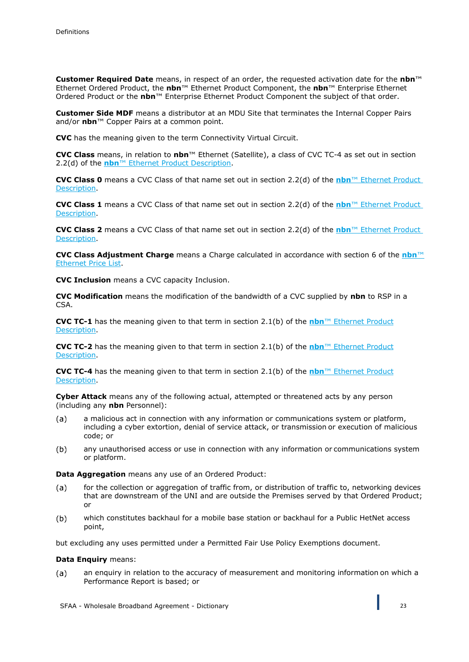**Customer Required Date** means, in respect of an order, the requested activation date for the **nbn**™ Ethernet Ordered Product, the **nbn**™ Ethernet Product Component, the **nbn**™ Enterprise Ethernet Ordered Product or the **nbn**™ Enterprise Ethernet Product Component the subject of that order.

**Customer Side MDF** means a distributor at an MDU Site that terminates the Internal Copper Pairs and/or **nbn**™ Copper Pairs at a common point.

**CVC** has the meaning given to the term Connectivity Virtual Circuit.

**CVC Class** means, in relation to **nbn**™ Ethernet (Satellite), a class of CVC TC-4 as set out in section 2.2(d) of the **nbn**™ Ethernet Product Description.

**CVC Class 0** means a CVC Class of that name set out in section 2.2(d) of the **nbn**™ Ethernet Product Description.

**CVC Class 1** means a CVC Class of that name set out in section 2.2(d) of the **nbn**™ Ethernet Product Description.

**CVC Class 2** means a CVC Class of that name set out in section 2.2(d) of the **nbn**™ Ethernet Product Description.

**CVC Class Adjustment Charge** means a Charge calculated in accordance with section 6 of the **nbn**™ Ethernet Price List.

**CVC Inclusion** means a CVC capacity Inclusion.

**CVC Modification** means the modification of the bandwidth of a CVC supplied by **nbn** to RSP in a CSA.

**CVC TC-1** has the meaning given to that term in section 2.1(b) of the **nbn**™ Ethernet Product Description.

**CVC TC-2** has the meaning given to that term in section 2.1(b) of the **nbn**™ Ethernet Product Description.

**CVC TC-4** has the meaning given to that term in section 2.1(b) of the **nbn**™ Ethernet Product Description.

**Cyber Attack** means any of the following actual, attempted or threatened acts by any person (including any **nbn** Personnel):

- $(a)$ a malicious act in connection with any information or communications system or platform, including a cyber extortion, denial of service attack, or transmission or execution of malicious code; or
- $(b)$ any unauthorised access or use in connection with any information or communications system or platform.

**Data Aggregation** means any use of an Ordered Product:

- $(a)$ for the collection or aggregation of traffic from, or distribution of traffic to, networking devices that are downstream of the UNI and are outside the Premises served by that Ordered Product; or
- which constitutes backhaul for a mobile base station or backhaul for a Public HetNet access  $(b)$ point,

but excluding any uses permitted under a Permitted Fair Use Policy Exemptions document.

#### **Data Enquiry** means:

 $(a)$ an enquiry in relation to the accuracy of measurement and monitoring information on which a Performance Report is based; or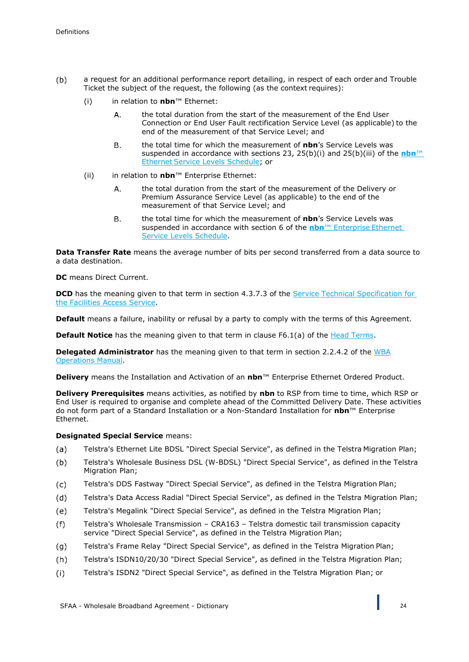- $(b)$ a request for an additional performance report detailing, in respect of each order and Trouble Ticket the subject of the request, the following (as the context requires):
	- (i) in relation to **nbn**™ Ethernet:
		- Α. the total duration from the start of the measurement of the End User Connection or End User Fault rectification Service Level (as applicable) to the end of the measurement of that Service Level; and
		- **B.** the total time for which the measurement of **nbn**'s Service Levels was suspended in accordance with sections 23, 25(b)(i) and 25(b)(iii) of the **nbn**™ Ethernet Service Levels Schedule; or
	- (ii) in relation to **nbn**™ Enterprise Ethernet:
		- Α. the total duration from the start of the measurement of the Delivery or Premium Assurance Service Level (as applicable) to the end of the measurement of that Service Level; and
		- **B**. the total time for which the measurement of **nbn**'s Service Levels was suspended in accordance with section 6 of the **nbn**™ Enterprise Ethernet Service Levels Schedule.

**Data Transfer Rate** means the average number of bits per second transferred from a data source to a data destination.

**DC** means Direct Current.

**DCD** has the meaning given to that term in section 4.3.7.3 of the Service Technical Specification for the Facilities Access Service.

**Default** means a failure, inability or refusal by a party to comply with the terms of this Agreement.

**Default Notice** has the meaning given to that term in clause F6.1(a) of the Head Terms.

**Delegated Administrator** has the meaning given to that term in section 2.2.4.2 of the WBA Operations Manual.

**Delivery** means the Installation and Activation of an **nbn**™ Enterprise Ethernet Ordered Product.

**Delivery Prerequisites** means activities, as notified by **nbn** to RSP from time to time, which RSP or End User is required to organise and complete ahead of the Committed Delivery Date. These activities do not form part of a Standard Installation or a Non-Standard Installation for **nbn**™ Enterprise Ethernet.

#### **Designated Special Service means:**

- Telstra's Ethernet Lite BDSL "Direct Special Service", as defined in the Telstra Migration Plan;  $(a)$
- $(b)$ Telstra's Wholesale Business DSL (W-BDSL) "Direct Special Service", as defined in the Telstra Migration Plan;
- Telstra's DDS Fastway "Direct Special Service", as defined in the Telstra Migration Plan;  $(c)$
- Telstra's Data Access Radial "Direct Special Service", as defined in the Telstra Migration Plan;  $(d)$
- Telstra's Megalink "Direct Special Service", as defined in the Telstra Migration Plan;  $(e)$
- Telstra's Wholesale Transmission CRA163 Telstra domestic tail transmission capacity  $(f)$ service "Direct Special Service", as defined in the Telstra Migration Plan;
- Telstra's Frame Relay "Direct Special Service", as defined in the Telstra Migration Plan;  $(g)$
- Telstra's ISDN10/20/30 "Direct Special Service", as defined in the Telstra Migration Plan;  $(h)$
- Telstra's ISDN2 "Direct Special Service", as defined in the Telstra Migration Plan; or $(i)$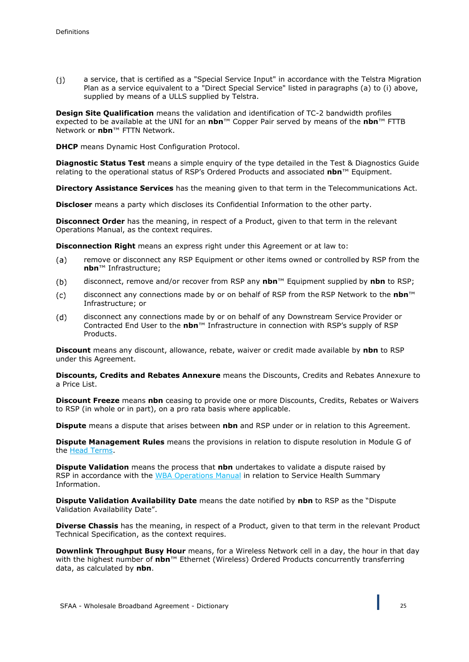$(i)$ a service, that is certified as a "Special Service Input" in accordance with the Telstra Migration Plan as a service equivalent to a "Direct Special Service" listed in paragraphs (a) to (i) above, supplied by means of a ULLS supplied by Telstra.

**Design Site Qualification** means the validation and identification of TC-2 bandwidth profiles expected to be available at the UNI for an **nbn**™ Copper Pair served by means of the **nbn**™ FTTB Network or **nbn**™ FTTN Network.

**DHCP** means Dynamic Host Configuration Protocol.

**Diagnostic Status Test** means a simple enquiry of the type detailed in the Test & Diagnostics Guide relating to the operational status of RSP's Ordered Products and associated **nbn**™ Equipment.

**Directory Assistance Services** has the meaning given to that term in the Telecommunications Act.

**Discloser** means a party which discloses its Confidential Information to the other party.

**Disconnect Order** has the meaning, in respect of a Product, given to that term in the relevant Operations Manual, as the context requires.

**Disconnection Right** means an express right under this Agreement or at law to:

- $(a)$ remove or disconnect any RSP Equipment or other items owned or controlled by RSP from the **nbn**™ Infrastructure;
- disconnect, remove and/or recover from RSP any **nbn**™ Equipment supplied by **nbn** to RSP;  $(b)$
- $(c)$ disconnect any connections made by or on behalf of RSP from the RSP Network to the **nbn**™ Infrastructure; or
- $(d)$ disconnect any connections made by or on behalf of any Downstream Service Provider or Contracted End User to the **nbn**™ Infrastructure in connection with RSP's supply of RSP Products.

**Discount** means any discount, allowance, rebate, waiver or credit made available by **nbn** to RSP under this Agreement.

**Discounts, Credits and Rebates Annexure** means the Discounts, Credits and Rebates Annexure to a Price List.

**Discount Freeze** means **nbn** ceasing to provide one or more Discounts, Credits, Rebates or Waivers to RSP (in whole or in part), on a pro rata basis where applicable.

**Dispute** means a dispute that arises between **nbn** and RSP under or in relation to this Agreement.

**Dispute Management Rules** means the provisions in relation to dispute resolution in Module G of the Head Terms.

**Dispute Validation** means the process that **nbn** undertakes to validate a dispute raised by RSP in accordance with the WBA Operations Manual in relation to Service Health Summary Information.

**Dispute Validation Availability Date** means the date notified by **nbn** to RSP as the "Dispute Validation Availability Date".

**Diverse Chassis** has the meaning, in respect of a Product, given to that term in the relevant Product Technical Specification, as the context requires.

**Downlink Throughput Busy Hour** means, for a Wireless Network cell in a day, the hour in that day with the highest number of **nbn**™ Ethernet (Wireless) Ordered Products concurrently transferring data, as calculated by **nbn**.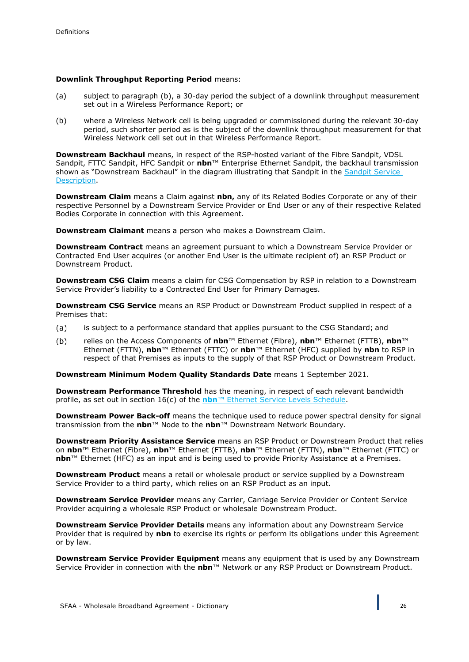#### **Downlink Throughput Reporting Period** means:

- (a) subject to paragraph (b), a 30-day period the subject of a downlink throughput measurement set out in a Wireless Performance Report; or
- (b) where a Wireless Network cell is being upgraded or commissioned during the relevant 30-day period, such shorter period as is the subject of the downlink throughput measurement for that Wireless Network cell set out in that Wireless Performance Report.

**Downstream Backhaul** means, in respect of the RSP-hosted variant of the Fibre Sandpit, VDSL Sandpit, FTTC Sandpit, HFC Sandpit or **nbn**™ Enterprise Ethernet Sandpit, the backhaul transmission shown as "Downstream Backhaul" in the diagram illustrating that Sandpit in the Sandpit Service Description.

**Downstream Claim** means a Claim against **nbn,** any of its Related Bodies Corporate or any of their respective Personnel by a Downstream Service Provider or End User or any of their respective Related Bodies Corporate in connection with this Agreement.

**Downstream Claimant** means a person who makes a Downstream Claim.

**Downstream Contract** means an agreement pursuant to which a Downstream Service Provider or Contracted End User acquires (or another End User is the ultimate recipient of) an RSP Product or Downstream Product.

**Downstream CSG Claim** means a claim for CSG Compensation by RSP in relation to a Downstream Service Provider's liability to a Contracted End User for Primary Damages.

**Downstream CSG Service** means an RSP Product or Downstream Product supplied in respect of a Premises that:

- is subject to a performance standard that applies pursuant to the CSG Standard; and  $(a)$
- relies on the Access Components of **nbn**™ Ethernet (Fibre), **nbn**™ Ethernet (FTTB), **nbn**™  $(b)$ Ethernet (FTTN), **nbn**™ Ethernet (FTTC) or **nbn**™ Ethernet (HFC) supplied by **nbn** to RSP in respect of that Premises as inputs to the supply of that RSP Product or Downstream Product.

**Downstream Minimum Modem Quality Standards Date** means 1 September 2021.

**Downstream Performance Threshold** has the meaning, in respect of each relevant bandwidth profile, as set out in section 16(c) of the **nbn**™ Ethernet Service Levels Schedule.

**Downstream Power Back-off** means the technique used to reduce power spectral density for signal transmission from the **nbn**™ Node to the **nbn**™ Downstream Network Boundary.

**Downstream Priority Assistance Service** means an RSP Product or Downstream Product that relies on **nbn**™ Ethernet (Fibre), **nbn**™ Ethernet (FTTB), **nbn**™ Ethernet (FTTN), **nbn**™ Ethernet (FTTC) or **nbn**™ Ethernet (HFC) as an input and is being used to provide Priority Assistance at a Premises.

**Downstream Product** means a retail or wholesale product or service supplied by a Downstream Service Provider to a third party, which relies on an RSP Product as an input.

**Downstream Service Provider** means any Carrier, Carriage Service Provider or Content Service Provider acquiring a wholesale RSP Product or wholesale Downstream Product.

**Downstream Service Provider Details** means any information about any Downstream Service Provider that is required by **nbn** to exercise its rights or perform its obligations under this Agreement or by law.

**Downstream Service Provider Equipment** means any equipment that is used by any Downstream Service Provider in connection with the **nbn**™ Network or any RSP Product or Downstream Product.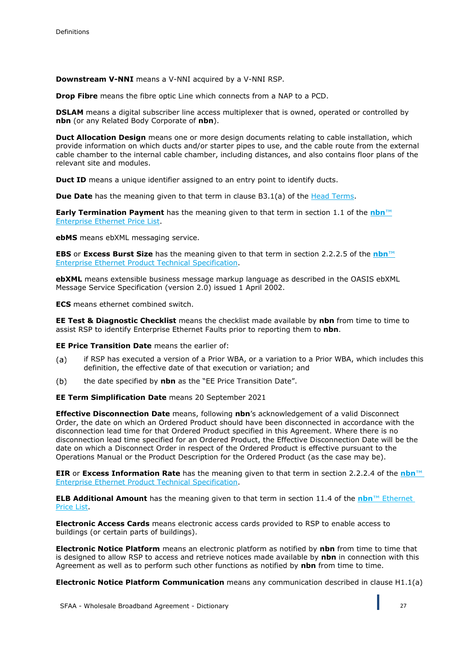**Downstream V-NNI** means a V-NNI acquired by a V-NNI RSP.

**Drop Fibre** means the fibre optic Line which connects from a NAP to a PCD.

**DSLAM** means a digital subscriber line access multiplexer that is owned, operated or controlled by **nbn** (or any Related Body Corporate of **nbn**).

**Duct Allocation Design** means one or more design documents relating to cable installation, which provide information on which ducts and/or starter pipes to use, and the cable route from the external cable chamber to the internal cable chamber, including distances, and also contains floor plans of the relevant site and modules.

**Duct ID** means a unique identifier assigned to an entry point to identify ducts.

**Due Date** has the meaning given to that term in clause B3.1(a) of the Head Terms.

**Early Termination Payment** has the meaning given to that term in section 1.1 of the **nbn**™ Enterprise Ethernet Price List.

**ebMS** means ebXML messaging service.

**EBS** or **Excess Burst Size** has the meaning given to that term in section 2.2.2.5 of the **nbn**™ Enterprise Ethernet Product Technical Specification.

**ebXML** means extensible business message markup language as described in the OASIS ebXML Message Service Specification (version 2.0) issued 1 April 2002.

**ECS** means ethernet combined switch.

**EE Test & Diagnostic Checklist** means the checklist made available by **nbn** from time to time to assist RSP to identify Enterprise Ethernet Faults prior to reporting them to **nbn**.

**EE Price Transition Date** means the earlier of:

- $(a)$ if RSP has executed a version of a Prior WBA, or a variation to a Prior WBA, which includes this definition, the effective date of that execution or variation; and
- $(b)$ the date specified by **nbn** as the "EE Price Transition Date".

**EE Term Simplification Date** means 20 September 2021

**Effective Disconnection Date** means, following **nbn**'s acknowledgement of a valid Disconnect Order, the date on which an Ordered Product should have been disconnected in accordance with the disconnection lead time for that Ordered Product specified in this Agreement. Where there is no disconnection lead time specified for an Ordered Product, the Effective Disconnection Date will be the date on which a Disconnect Order in respect of the Ordered Product is effective pursuant to the Operations Manual or the Product Description for the Ordered Product (as the case may be).

**EIR** or **Excess Information Rate** has the meaning given to that term in section 2.2.2.4 of the **nbn**™ Enterprise Ethernet Product Technical Specification.

**ELB Additional Amount** has the meaning given to that term in section 11.4 of the **nbn**™ Ethernet Price List.

**Electronic Access Cards** means electronic access cards provided to RSP to enable access to buildings (or certain parts of buildings).

**Electronic Notice Platform** means an electronic platform as notified by **nbn** from time to time that is designed to allow RSP to access and retrieve notices made available by **nbn** in connection with this Agreement as well as to perform such other functions as notified by **nbn** from time to time.

**Electronic Notice Platform Communication** means any communication described in clause H1.1(a)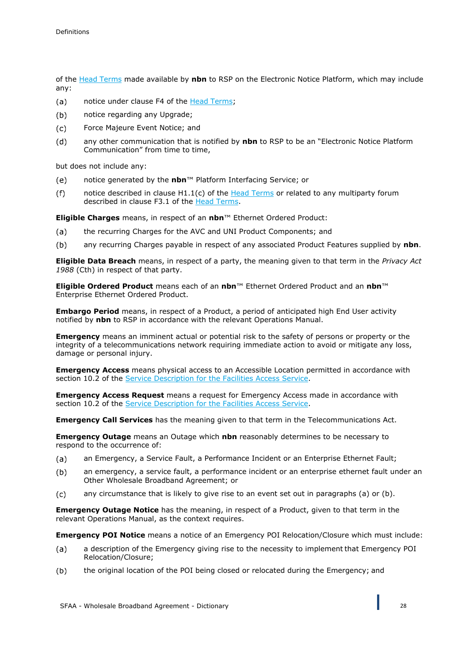of the Head Terms made available by **nbn** to RSP on the Electronic Notice Platform, which may include any:

- notice under clause F4 of the Head Terms;  $(a)$
- $(b)$ notice regarding any Upgrade;
- $(c)$ Force Majeure Event Notice; and
- any other communication that is notified by **nbn** to RSP to be an "Electronic Notice Platform  $(d)$ Communication" from time to time,

but does not include any:

- notice generated by the **nbn**™ Platform Interfacing Service; or  $(e)$
- notice described in clause  $H1.1(c)$  of the **Head Terms** or related to any multiparty forum  $(f)$ described in clause F3.1 of the Head Terms.

**Eligible Charges** means, in respect of an **nbn**™ Ethernet Ordered Product:

- $(a)$ the recurring Charges for the AVC and UNI Product Components; and
- $(b)$ any recurring Charges payable in respect of any associated Product Features supplied by **nbn**.

**Eligible Data Breach** means, in respect of a party, the meaning given to that term in the *Privacy Act 1988* (Cth) in respect of that party.

**Eligible Ordered Product** means each of an **nbn**™ Ethernet Ordered Product and an **nbn**™ Enterprise Ethernet Ordered Product.

**Embargo Period** means, in respect of a Product, a period of anticipated high End User activity notified by **nbn** to RSP in accordance with the relevant Operations Manual.

**Emergency** means an imminent actual or potential risk to the safety of persons or property or the integrity of a telecommunications network requiring immediate action to avoid or mitigate any loss, damage or personal injury.

**Emergency Access** means physical access to an Accessible Location permitted in accordance with section 10.2 of the Service Description for the Facilities Access Service.

**Emergency Access Request** means a request for Emergency Access made in accordance with section 10.2 of the Service Description for the Facilities Access Service.

**Emergency Call Services** has the meaning given to that term in the Telecommunications Act.

**Emergency Outage** means an Outage which **nbn** reasonably determines to be necessary to respond to the occurrence of:

- an Emergency, a Service Fault, a Performance Incident or an Enterprise Ethernet Fault;  $(a)$
- $(b)$ an emergency, a service fault, a performance incident or an enterprise ethernet fault under an Other Wholesale Broadband Agreement; or
- $(c)$ any circumstance that is likely to give rise to an event set out in paragraphs (a) or (b).

**Emergency Outage Notice** has the meaning, in respect of a Product, given to that term in the relevant Operations Manual, as the context requires.

**Emergency POI Notice** means a notice of an Emergency POI Relocation/Closure which must include:

- a description of the Emergency giving rise to the necessity to implement that Emergency POI  $(a)$ Relocation/Closure;
- $(b)$ the original location of the POI being closed or relocated during the Emergency; and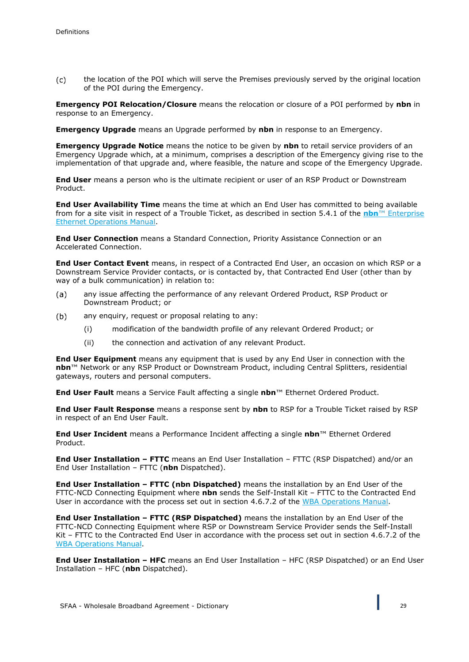$(c)$ the location of the POI which will serve the Premises previously served by the original location of the POI during the Emergency.

**Emergency POI Relocation/Closure** means the relocation or closure of a POI performed by **nbn** in response to an Emergency.

**Emergency Upgrade** means an Upgrade performed by **nbn** in response to an Emergency.

**Emergency Upgrade Notice** means the notice to be given by **nbn** to retail service providers of an Emergency Upgrade which, at a minimum, comprises a description of the Emergency giving rise to the implementation of that upgrade and, where feasible, the nature and scope of the Emergency Upgrade.

**End User** means a person who is the ultimate recipient or user of an RSP Product or Downstream Product.

**End User Availability Time** means the time at which an End User has committed to being available from for a site visit in respect of a Trouble Ticket, as described in section 5.4.1 of the **nbn**™ Enterprise Ethernet Operations Manual.

**End User Connection** means a Standard Connection, Priority Assistance Connection or an Accelerated Connection.

**End User Contact Event** means, in respect of a Contracted End User, an occasion on which RSP or a Downstream Service Provider contacts, or is contacted by, that Contracted End User (other than by way of a bulk communication) in relation to:

- any issue affecting the performance of any relevant Ordered Product, RSP Product or  $(a)$ Downstream Product; or
- $(b)$ any enquiry, request or proposal relating to any:
	- (i) modification of the bandwidth profile of any relevant Ordered Product; or
	- (ii) the connection and activation of any relevant Product.

**End User Equipment** means any equipment that is used by any End User in connection with the **nbn**™ Network or any RSP Product or Downstream Product, including Central Splitters, residential gateways, routers and personal computers.

**End User Fault** means a Service Fault affecting a single **nbn**™ Ethernet Ordered Product.

**End User Fault Response** means a response sent by **nbn** to RSP for a Trouble Ticket raised by RSP in respect of an End User Fault.

**End User Incident** means a Performance Incident affecting a single **nbn**™ Ethernet Ordered Product.

**End User Installation – FTTC** means an End User Installation – FTTC (RSP Dispatched) and/or an End User Installation – FTTC (**nbn** Dispatched).

**End User Installation – FTTC (nbn Dispatched)** means the installation by an End User of the FTTC-NCD Connecting Equipment where **nbn** sends the Self-Install Kit – FTTC to the Contracted End User in accordance with the process set out in section 4.6.7.2 of the WBA Operations Manual.

**End User Installation – FTTC (RSP Dispatched)** means the installation by an End User of the FTTC-NCD Connecting Equipment where RSP or Downstream Service Provider sends the Self-Install Kit – FTTC to the Contracted End User in accordance with the process set out in section 4.6.7.2 of the WBA Operations Manual.

**End User Installation – HFC** means an End User Installation – HFC (RSP Dispatched) or an End User Installation – HFC (**nbn** Dispatched).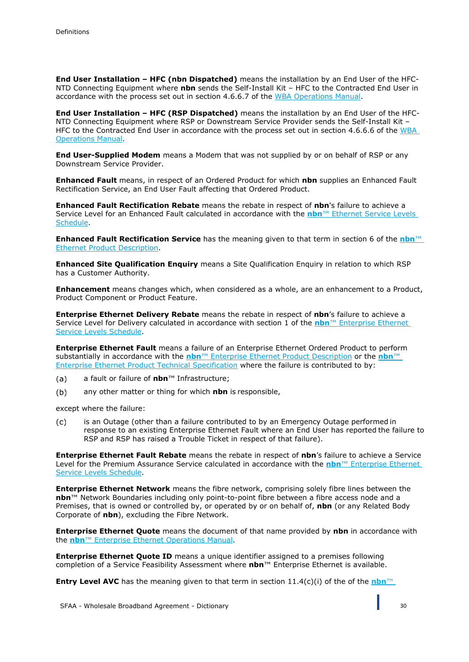**End User Installation – HFC (nbn Dispatched)** means the installation by an End User of the HFC-NTD Connecting Equipment where **nbn** sends the Self-Install Kit – HFC to the Contracted End User in accordance with the process set out in section 4.6.6.7 of the WBA Operations Manual.

**End User Installation – HFC (RSP Dispatched)** means the installation by an End User of the HFC-NTD Connecting Equipment where RSP or Downstream Service Provider sends the Self-Install Kit – HFC to the Contracted End User in accordance with the process set out in section 4.6.6.6 of the WBA Operations Manual.

**End User-Supplied Modem** means a Modem that was not supplied by or on behalf of RSP or any Downstream Service Provider.

**Enhanced Fault** means, in respect of an Ordered Product for which **nbn** supplies an Enhanced Fault Rectification Service, an End User Fault affecting that Ordered Product.

**Enhanced Fault Rectification Rebate** means the rebate in respect of **nbn**'s failure to achieve a Service Level for an Enhanced Fault calculated in accordance with the **nbn**™ Ethernet Service Levels Schedule.

**Enhanced Fault Rectification Service** has the meaning given to that term in section 6 of the **nbn**™ Ethernet Product Description.

**Enhanced Site Qualification Enquiry** means a Site Qualification Enquiry in relation to which RSP has a Customer Authority.

**Enhancement** means changes which, when considered as a whole, are an enhancement to a Product, Product Component or Product Feature.

**Enterprise Ethernet Delivery Rebate** means the rebate in respect of **nbn**'s failure to achieve a Service Level for Delivery calculated in accordance with section 1 of the **nbn**™ Enterprise Ethernet Service Levels Schedule.

**Enterprise Ethernet Fault** means a failure of an Enterprise Ethernet Ordered Product to perform substantially in accordance with the **nbn**™ Enterprise Ethernet Product Description or the **nbn**™ Enterprise Ethernet Product Technical Specification where the failure is contributed to by:

- a fault or failure of **nbn**™ Infrastructure;  $(a)$
- $(b)$ any other matter or thing for which **nbn** is responsible,

except where the failure:

is an Outage (other than a failure contributed to by an Emergency Outage performed in  $(c)$ response to an existing Enterprise Ethernet Fault where an End User has reported the failure to RSP and RSP has raised a Trouble Ticket in respect of that failure).

**Enterprise Ethernet Fault Rebate** means the rebate in respect of **nbn**'s failure to achieve a Service Level for the Premium Assurance Service calculated in accordance with the **nbn**™ Enterprise Ethernet Service Levels Schedule.

**Enterprise Ethernet Network** means the fibre network, comprising solely fibre lines between the **nbn**™ Network Boundaries including only point-to-point fibre between a fibre access node and a Premises, that is owned or controlled by, or operated by or on behalf of, **nbn** (or any Related Body Corporate of **nbn**), excluding the Fibre Network.

**Enterprise Ethernet Quote** means the document of that name provided by **nbn** in accordance with the **nbn**™ Enterprise Ethernet Operations Manual.

**Enterprise Ethernet Quote ID** means a unique identifier assigned to a premises following completion of a Service Feasibility Assessment where **nbn**™ Enterprise Ethernet is available.

**Entry Level AVC** has the meaning given to that term in section 11.4(c)(i) of the of the **nbn**™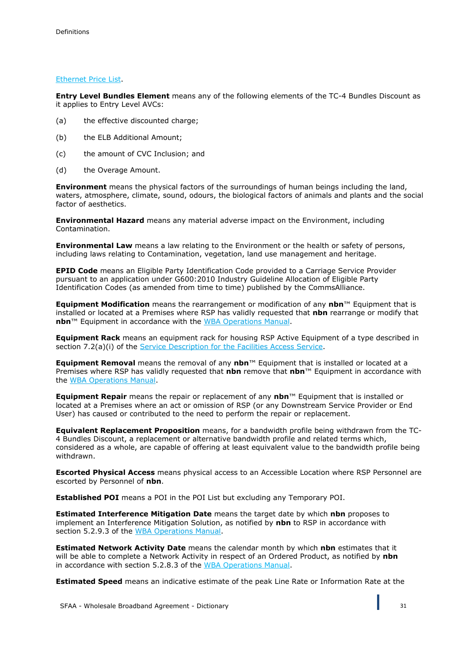#### Ethernet Price List.

**Entry Level Bundles Element** means any of the following elements of the TC-4 Bundles Discount as it applies to Entry Level AVCs:

- (a) the effective discounted charge;
- (b) the ELB Additional Amount;
- (c) the amount of CVC Inclusion; and
- (d) the Overage Amount.

**Environment** means the physical factors of the surroundings of human beings including the land, waters, atmosphere, climate, sound, odours, the biological factors of animals and plants and the social factor of aesthetics.

**Environmental Hazard** means any material adverse impact on the Environment, including Contamination.

**Environmental Law** means a law relating to the Environment or the health or safety of persons, including laws relating to Contamination, vegetation, land use management and heritage.

**EPID Code** means an Eligible Party Identification Code provided to a Carriage Service Provider pursuant to an application under G600:2010 Industry Guideline Allocation of Eligible Party Identification Codes (as amended from time to time) published by the CommsAlliance.

**Equipment Modification** means the rearrangement or modification of any **nbn**™ Equipment that is installed or located at a Premises where RSP has validly requested that **nbn** rearrange or modify that **nbn**™ Equipment in accordance with the WBA Operations Manual.

**Equipment Rack** means an equipment rack for housing RSP Active Equipment of a type described in section 7.2(a)(i) of the Service Description for the Facilities Access Service.

**Equipment Removal** means the removal of any **nbn**™ Equipment that is installed or located at a Premises where RSP has validly requested that **nbn** remove that **nbn**™ Equipment in accordance with the WBA Operations Manual.

**Equipment Repair** means the repair or replacement of any **nbn**™ Equipment that is installed or located at a Premises where an act or omission of RSP (or any Downstream Service Provider or End User) has caused or contributed to the need to perform the repair or replacement.

**Equivalent Replacement Proposition** means, for a bandwidth profile being withdrawn from the TC-4 Bundles Discount, a replacement or alternative bandwidth profile and related terms which, considered as a whole, are capable of offering at least equivalent value to the bandwidth profile being withdrawn.

**Escorted Physical Access** means physical access to an Accessible Location where RSP Personnel are escorted by Personnel of **nbn**.

**Established POI** means a POI in the POI List but excluding any Temporary POI.

**Estimated Interference Mitigation Date** means the target date by which **nbn** proposes to implement an Interference Mitigation Solution, as notified by **nbn** to RSP in accordance with section 5.2.9.3 of the WBA Operations Manual.

**Estimated Network Activity Date** means the calendar month by which **nbn** estimates that it will be able to complete a Network Activity in respect of an Ordered Product, as notified by **nbn** in accordance with section 5.2.8.3 of the WBA Operations Manual.

**Estimated Speed** means an indicative estimate of the peak Line Rate or Information Rate at the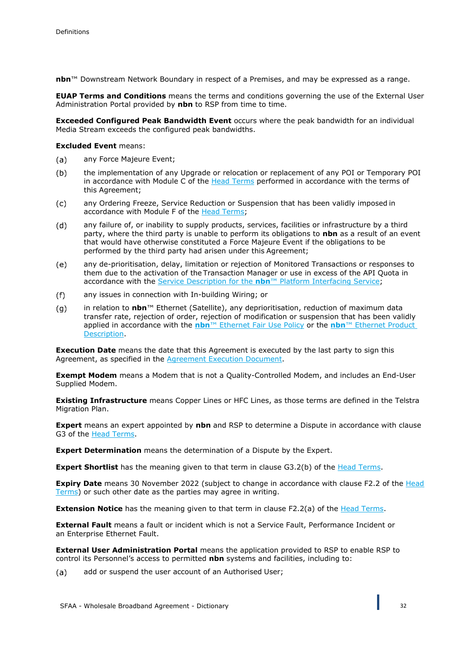**nbn**™ Downstream Network Boundary in respect of a Premises, and may be expressed as a range.

**EUAP Terms and Conditions** means the terms and conditions governing the use of the External User Administration Portal provided by **nbn** to RSP from time to time.

**Exceeded Configured Peak Bandwidth Event** occurs where the peak bandwidth for an individual Media Stream exceeds the configured peak bandwidths.

**Excluded Event** means:

- any Force Majeure Event; (a)
- $(b)$ the implementation of any Upgrade or relocation or replacement of any POI or Temporary POI in accordance with Module C of the Head Terms performed in accordance with the terms of this Agreement;
- any Ordering Freeze, Service Reduction or Suspension that has been validly imposed in  $(c)$ accordance with Module F of the Head Terms;
- $(d)$ any failure of, or inability to supply products, services, facilities or infrastructure by a third party, where the third party is unable to perform its obligations to **nbn** as a result of an event that would have otherwise constituted a Force Majeure Event if the obligations to be performed by the third party had arisen under this Agreement;
- $(e)$ any de-prioritisation, delay, limitation or rejection of Monitored Transactions or responses to them due to the activation of the Transaction Manager or use in excess of the API Quota in accordance with the Service Description for the **nbn**™ Platform Interfacing Service;
- $(f)$ any issues in connection with In-building Wiring; or
- $(g)$ in relation to **nbn**™ Ethernet (Satellite), any deprioritisation, reduction of maximum data transfer rate, rejection of order, rejection of modification or suspension that has been validly applied in accordance with the **nbn**™ Ethernet Fair Use Policy or the **nbn**™ Ethernet Product Description.

**Execution Date** means the date that this Agreement is executed by the last party to sign this Agreement, as specified in the Agreement Execution Document.

**Exempt Modem** means a Modem that is not a Quality-Controlled Modem, and includes an End-User Supplied Modem.

**Existing Infrastructure** means Copper Lines or HFC Lines, as those terms are defined in the Telstra Migration Plan.

**Expert** means an expert appointed by **nbn** and RSP to determine a Dispute in accordance with clause G3 of the Head Terms.

**Expert Determination** means the determination of a Dispute by the Expert.

**Expert Shortlist** has the meaning given to that term in clause G3.2(b) of the Head Terms.

**Expiry Date** means 30 November 2022 (subject to change in accordance with clause F2.2 of the Head Terms) or such other date as the parties may agree in writing.

**Extension Notice** has the meaning given to that term in clause F2.2(a) of the Head Terms.

**External Fault** means a fault or incident which is not a Service Fault, Performance Incident or an Enterprise Ethernet Fault.

**External User Administration Portal** means the application provided to RSP to enable RSP to control its Personnel's access to permitted **nbn** systems and facilities, including to:

 $(a)$ add or suspend the user account of an Authorised User;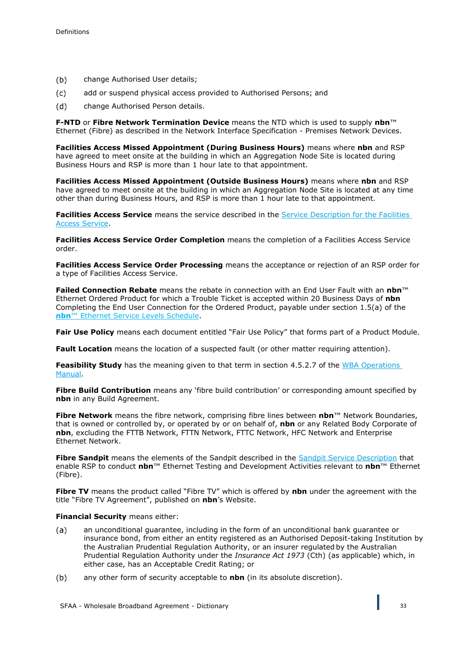- $(b)$ change Authorised User details;
- $(c)$ add or suspend physical access provided to Authorised Persons; and
- $(d)$ change Authorised Person details.

**F-NTD** or **Fibre Network Termination Device** means the NTD which is used to supply **nbn**™ Ethernet (Fibre) as described in the Network Interface Specification - Premises Network Devices.

**Facilities Access Missed Appointment (During Business Hours)** means where **nbn** and RSP have agreed to meet onsite at the building in which an Aggregation Node Site is located during Business Hours and RSP is more than 1 hour late to that appointment.

**Facilities Access Missed Appointment (Outside Business Hours)** means where **nbn** and RSP have agreed to meet onsite at the building in which an Aggregation Node Site is located at any time other than during Business Hours, and RSP is more than 1 hour late to that appointment.

**Facilities Access Service** means the service described in the Service Description for the Facilities Access Service.

**Facilities Access Service Order Completion** means the completion of a Facilities Access Service order.

**Facilities Access Service Order Processing** means the acceptance or rejection of an RSP order for a type of Facilities Access Service.

**Failed Connection Rebate** means the rebate in connection with an End User Fault with an **nbn**™ Ethernet Ordered Product for which a Trouble Ticket is accepted within 20 Business Days of **nbn** Completing the End User Connection for the Ordered Product, payable under section 1.5(a) of the **nbn**™ Ethernet Service Levels Schedule.

**Fair Use Policy** means each document entitled "Fair Use Policy" that forms part of a Product Module.

**Fault Location** means the location of a suspected fault (or other matter requiring attention).

**Feasibility Study** has the meaning given to that term in section 4.5.2.7 of the WBA Operations Manual.

**Fibre Build Contribution** means any 'fibre build contribution' or corresponding amount specified by **nbn** in any Build Agreement.

**Fibre Network** means the fibre network, comprising fibre lines between **nbn**™ Network Boundaries, that is owned or controlled by, or operated by or on behalf of, **nbn** or any Related Body Corporate of **nbn**, excluding the FTTB Network, FTTN Network, FTTC Network, HFC Network and Enterprise Ethernet Network.

Fibre Sandpit means the elements of the Sandpit described in the Sandpit Service Description that enable RSP to conduct **nbn**™ Ethernet Testing and Development Activities relevant to **nbn**™ Ethernet (Fibre).

**Fibre TV** means the product called "Fibre TV" which is offered by **nbn** under the agreement with the title "Fibre TV Agreement", published on **nbn**'s Website.

#### **Financial Security** means either:

- an unconditional guarantee, including in the form of an unconditional bank guarantee or  $(a)$ insurance bond, from either an entity registered as an Authorised Deposit-taking Institution by the Australian Prudential Regulation Authority, or an insurer regulated by the Australian Prudential Regulation Authority under the *Insurance Act 1973* (Cth) (as applicable) which, in either case, has an Acceptable Credit Rating; or
- $(b)$ any other form of security acceptable to **nbn** (in its absolute discretion).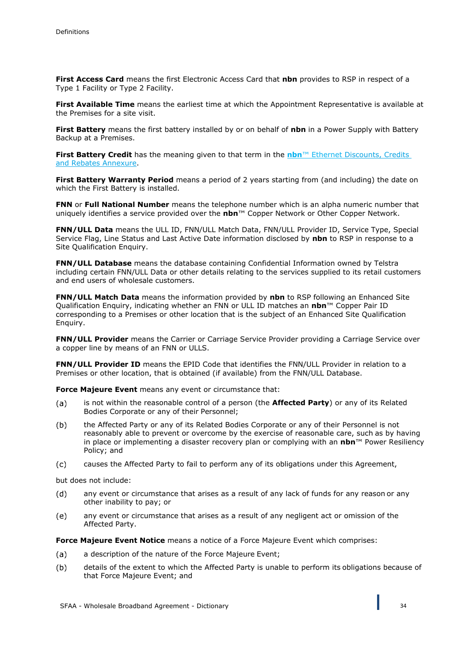**First Access Card** means the first Electronic Access Card that **nbn** provides to RSP in respect of a Type 1 Facility or Type 2 Facility.

**First Available Time** means the earliest time at which the Appointment Representative is available at the Premises for a site visit.

**First Battery** means the first battery installed by or on behalf of **nbn** in a Power Supply with Battery Backup at a Premises.

**First Battery Credit** has the meaning given to that term in the **nbn**™ Ethernet Discounts, Credits and Rebates Annexure.

First Battery Warranty Period means a period of 2 years starting from (and including) the date on which the First Battery is installed.

**FNN** or **Full National Number** means the telephone number which is an alpha numeric number that uniquely identifies a service provided over the **nbn**™ Copper Network or Other Copper Network.

**FNN/ULL Data** means the ULL ID, FNN/ULL Match Data, FNN/ULL Provider ID, Service Type, Special Service Flag, Line Status and Last Active Date information disclosed by **nbn** to RSP in response to a Site Oualification Enquiry.

**FNN/ULL Database** means the database containing Confidential Information owned by Telstra including certain FNN/ULL Data or other details relating to the services supplied to its retail customers and end users of wholesale customers.

**FNN/ULL Match Data** means the information provided by **nbn** to RSP following an Enhanced Site Qualification Enquiry, indicating whether an FNN or ULL ID matches an **nbn**™ Copper Pair ID corresponding to a Premises or other location that is the subject of an Enhanced Site Qualification Enquiry.

**FNN/ULL Provider** means the Carrier or Carriage Service Provider providing a Carriage Service over a copper line by means of an FNN or ULLS.

**FNN/ULL Provider ID** means the EPID Code that identifies the FNN/ULL Provider in relation to a Premises or other location, that is obtained (if available) from the FNN/ULL Database.

**Force Majeure Event** means any event or circumstance that:

- is not within the reasonable control of a person (the **Affected Party**) or any of its Related  $(a)$ Bodies Corporate or any of their Personnel;
- $(b)$ the Affected Party or any of its Related Bodies Corporate or any of their Personnel is not reasonably able to prevent or overcome by the exercise of reasonable care, such as by having in place or implementing a disaster recovery plan or complying with an **nbn**™ Power Resiliency Policy; and
- $(c)$ causes the Affected Party to fail to perform any of its obligations under this Agreement,

but does not include:

- $(d)$ any event or circumstance that arises as a result of any lack of funds for any reason or any other inability to pay; or
- any event or circumstance that arises as a result of any negligent act or omission of the  $(e)$ Affected Party.

**Force Majeure Event Notice** means a notice of a Force Majeure Event which comprises:

- a description of the nature of the Force Majeure Event;  $(a)$
- $(b)$ details of the extent to which the Affected Party is unable to perform its obligations because of that Force Majeure Event; and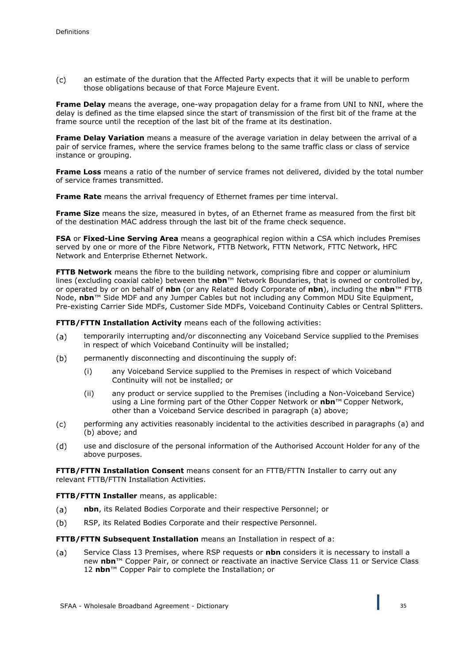$(c)$ an estimate of the duration that the Affected Party expects that it will be unable to perform those obligations because of that Force Majeure Event.

**Frame Delay** means the average, one-way propagation delay for a frame from UNI to NNI, where the delay is defined as the time elapsed since the start of transmission of the first bit of the frame at the frame source until the reception of the last bit of the frame at its destination.

**Frame Delay Variation** means a measure of the average variation in delay between the arrival of a pair of service frames, where the service frames belong to the same traffic class or class of service instance or grouping.

**Frame Loss** means a ratio of the number of service frames not delivered, divided by the total number of service frames transmitted.

**Frame Rate** means the arrival frequency of Ethernet frames per time interval.

**Frame Size** means the size, measured in bytes, of an Ethernet frame as measured from the first bit of the destination MAC address through the last bit of the frame check sequence.

**FSA** or **Fixed-Line Serving Area** means a geographical region within a CSA which includes Premises served by one or more of the Fibre Network, FTTB Network, FTTN Network, FTTC Network, HFC Network and Enterprise Ethernet Network.

**FTTB Network** means the fibre to the building network, comprising fibre and copper or aluminium lines (excluding coaxial cable) between the **nbn**™ Network Boundaries, that is owned or controlled by, or operated by or on behalf of **nbn** (or any Related Body Corporate of **nbn**), including the **nbn**™ FTTB Node, **nbn**™ Side MDF and any Jumper Cables but not including any Common MDU Site Equipment, Pre-existing Carrier Side MDFs, Customer Side MDFs, Voiceband Continuity Cables or Central Splitters.

**FTTB/FTTN Installation Activity** means each of the following activities:

- temporarily interrupting and/or disconnecting any Voiceband Service supplied to the Premises (a) in respect of which Voiceband Continuity will be installed;
- $(b)$ permanently disconnecting and discontinuing the supply of:
	- (i) any Voiceband Service supplied to the Premises in respect of which Voiceband Continuity will not be installed; or
	- (ii) any product or service supplied to the Premises (including a Non-Voiceband Service) using a Line forming part of the Other Copper Network or **nbn**™ Copper Network, other than a Voiceband Service described in paragraph (a) above;
- $(c)$ performing any activities reasonably incidental to the activities described in paragraphs (a) and (b) above; and
- $(d)$ use and disclosure of the personal information of the Authorised Account Holder for any of the above purposes.

**FTTB/FTTN Installation Consent** means consent for an FTTB/FTTN Installer to carry out any relevant FTTB/FTTN Installation Activities.

#### **FTTB/FTTN Installer** means, as applicable:

- $(a)$ **nbn**, its Related Bodies Corporate and their respective Personnel; or
- $(b)$ RSP, its Related Bodies Corporate and their respective Personnel.

**FTTB/FTTN Subsequent Installation** means an Installation in respect of a:

Service Class 13 Premises, where RSP requests or **nbn** considers it is necessary to install a  $(a)$ new **nbn**™ Copper Pair, or connect or reactivate an inactive Service Class 11 or Service Class 12 **nbn**™ Copper Pair to complete the Installation; or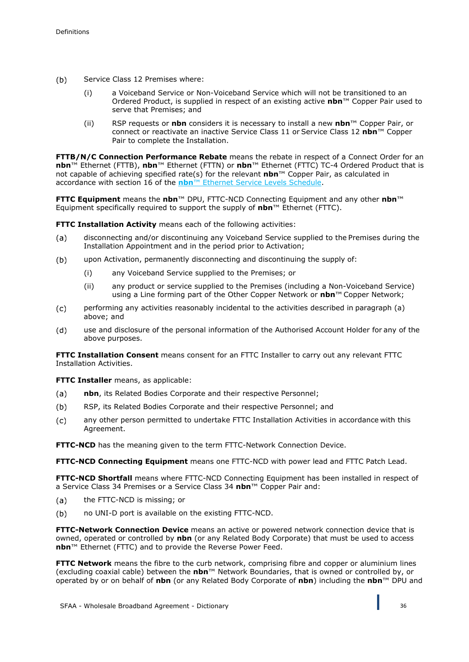- $(b)$ Service Class 12 Premises where:
	- (i) a Voiceband Service or Non-Voiceband Service which will not be transitioned to an Ordered Product, is supplied in respect of an existing active **nbn**™ Copper Pair used to serve that Premises; and
	- (ii) RSP requests or **nbn** considers it is necessary to install a new **nbn**™ Copper Pair, or connect or reactivate an inactive Service Class 11 or Service Class 12 **nbn**™ Copper Pair to complete the Installation.

**FTTB/N/C Connection Performance Rebate** means the rebate in respect of a Connect Order for an **nbn**™ Ethernet (FTTB), **nbn**™ Ethernet (FTTN) or **nbn**™ Ethernet (FTTC) TC-4 Ordered Product that is not capable of achieving specified rate(s) for the relevant **nbn**™ Copper Pair, as calculated in accordance with section 16 of the **nbn**™ Ethernet Service Levels Schedule.

**FTTC Equipment** means the **nbn**™ DPU, FTTC-NCD Connecting Equipment and any other **nbn**™ Equipment specifically required to support the supply of **nbn**™ Ethernet (FTTC).

**FTTC Installation Activity** means each of the following activities:

- disconnecting and/or discontinuing any Voiceband Service supplied to the Premises during the  $(a)$ Installation Appointment and in the period prior to Activation;
- upon Activation, permanently disconnecting and discontinuing the supply of:  $(b)$ 
	- (i) any Voiceband Service supplied to the Premises; or
	- (ii) any product or service supplied to the Premises (including a Non-Voiceband Service) using a Line forming part of the Other Copper Network or **nbn**™ Copper Network;
- $(c)$ performing any activities reasonably incidental to the activities described in paragraph (a) above; and
- $(d)$ use and disclosure of the personal information of the Authorised Account Holder for any of the above purposes.

**FTTC Installation Consent** means consent for an FTTC Installer to carry out any relevant FTTC Installation Activities.

**FTTC Installer** means, as applicable:

- $(a)$ **nbn**, its Related Bodies Corporate and their respective Personnel;
- $(b)$ RSP, its Related Bodies Corporate and their respective Personnel; and
- any other person permitted to undertake FTTC Installation Activities in accordance with this  $(c)$ Agreement.

**FTTC-NCD** has the meaning given to the term FTTC-Network Connection Device.

**FTTC-NCD Connecting Equipment** means one FTTC-NCD with power lead and FTTC Patch Lead.

**FTTC-NCD Shortfall** means where FTTC-NCD Connecting Equipment has been installed in respect of a Service Class 34 Premises or a Service Class 34 **nbn**™ Copper Pair and:

- the FTTC-NCD is missing; or  $(a)$
- $(b)$ no UNI-D port is available on the existing FTTC-NCD.

**FTTC-Network Connection Device** means an active or powered network connection device that is owned, operated or controlled by **nbn** (or any Related Body Corporate) that must be used to access **nbn**™ Ethernet (FTTC) and to provide the Reverse Power Feed.

**FTTC Network** means the fibre to the curb network, comprising fibre and copper or aluminium lines (excluding coaxial cable) between the **nbn**™ Network Boundaries, that is owned or controlled by, or operated by or on behalf of **nbn** (or any Related Body Corporate of **nbn**) including the **nbn**™ DPU and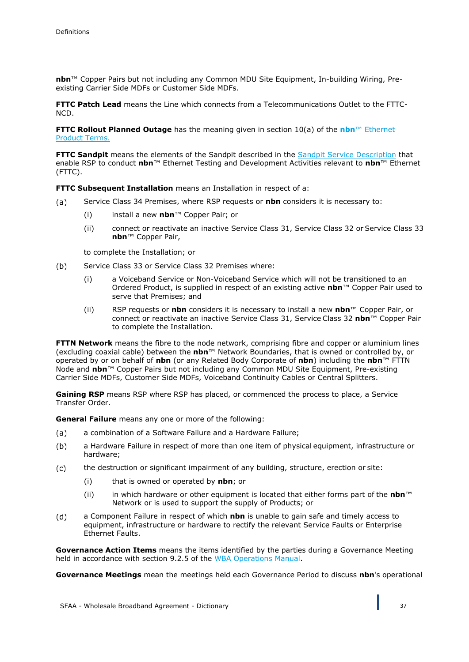**nbn**™ Copper Pairs but not including any Common MDU Site Equipment, In-building Wiring, Preexisting Carrier Side MDFs or Customer Side MDFs.

**FTTC Patch Lead** means the Line which connects from a Telecommunications Outlet to the FTTC-NCD.

**FTTC Rollout Planned Outage** has the meaning given in section 10(a) of the **nbn**™ Ethernet Product Terms.

**FTTC Sandpit** means the elements of the Sandpit described in the Sandpit Service Description that enable RSP to conduct **nbn**™ Ethernet Testing and Development Activities relevant to **nbn**™ Ethernet (FTTC).

**FTTC Subsequent Installation** means an Installation in respect of a:

- Service Class 34 Premises, where RSP requests or **nbn** considers it is necessary to:  $(a)$ 
	- (i) install a new **nbn**™ Copper Pair; or
	- (ii) connect or reactivate an inactive Service Class 31, Service Class 32 or Service Class 33 **nbn**™ Copper Pair,

to complete the Installation; or

- $(b)$ Service Class 33 or Service Class 32 Premises where:
	- (i) a Voiceband Service or Non-Voiceband Service which will not be transitioned to an Ordered Product, is supplied in respect of an existing active **nbn**™ Copper Pair used to serve that Premises; and
	- (ii) RSP requests or **nbn** considers it is necessary to install a new **nbn**™ Copper Pair, or connect or reactivate an inactive Service Class 31, Service Class 32 **nbn**™ Copper Pair to complete the Installation.

**FTTN Network** means the fibre to the node network, comprising fibre and copper or aluminium lines (excluding coaxial cable) between the **nbn**™ Network Boundaries, that is owned or controlled by, or operated by or on behalf of **nbn** (or any Related Body Corporate of **nbn**) including the **nbn**™ FTTN Node and **nbn**™ Copper Pairs but not including any Common MDU Site Equipment, Pre-existing Carrier Side MDFs, Customer Side MDFs, Voiceband Continuity Cables or Central Splitters.

**Gaining RSP** means RSP where RSP has placed, or commenced the process to place, a Service Transfer Order.

**General Failure** means any one or more of the following:

- a combination of a Software Failure and a Hardware Failure;  $(a)$
- $(b)$ a Hardware Failure in respect of more than one item of physical equipment, infrastructure or hardware;
- the destruction or significant impairment of any building, structure, erection or site:  $(c)$ 
	- (i) that is owned or operated by **nbn**; or
	- (ii) in which hardware or other equipment is located that either forms part of the **nbn**™ Network or is used to support the supply of Products; or
- $(d)$ a Component Failure in respect of which **nbn** is unable to gain safe and timely access to equipment, infrastructure or hardware to rectify the relevant Service Faults or Enterprise Ethernet Faults.

**Governance Action Items** means the items identified by the parties during a Governance Meeting held in accordance with section 9.2.5 of the WBA Operations Manual.

**Governance Meetings** mean the meetings held each Governance Period to discuss **nbn**'s operational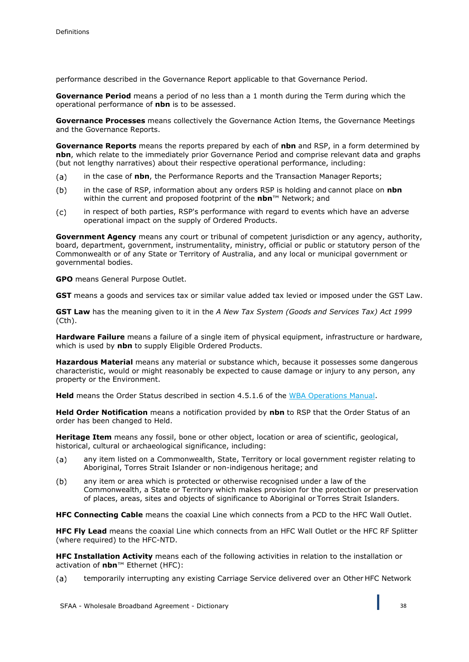performance described in the Governance Report applicable to that Governance Period.

**Governance Period** means a period of no less than a 1 month during the Term during which the operational performance of **nbn** is to be assessed.

**Governance Processes** means collectively the Governance Action Items, the Governance Meetings and the Governance Reports.

**Governance Reports** means the reports prepared by each of **nbn** and RSP, in a form determined by **nbn**, which relate to the immediately prior Governance Period and comprise relevant data and graphs (but not lengthy narratives) about their respective operational performance, including:

- in the case of **nbn**, the Performance Reports and the Transaction Manager Reports;  $(a)$
- in the case of RSP, information about any orders RSP is holding and cannot place on **nbn**   $(b)$ within the current and proposed footprint of the **nbn**™ Network; and
- in respect of both parties, RSP's performance with regard to events which have an adverse  $(c)$ operational impact on the supply of Ordered Products.

**Government Agency** means any court or tribunal of competent jurisdiction or any agency, authority, board, department, government, instrumentality, ministry, official or public or statutory person of the Commonwealth or of any State or Territory of Australia, and any local or municipal government or governmental bodies.

**GPO** means General Purpose Outlet.

**GST** means a goods and services tax or similar value added tax levied or imposed under the GST Law.

**GST Law** has the meaning given to it in the *A New Tax System (Goods and Services Tax) Act 1999* (Cth).

**Hardware Failure** means a failure of a single item of physical equipment, infrastructure or hardware, which is used by **nbn** to supply Eligible Ordered Products.

**Hazardous Material** means any material or substance which, because it possesses some dangerous characteristic, would or might reasonably be expected to cause damage or injury to any person, any property or the Environment.

**Held** means the Order Status described in section 4.5.1.6 of the WBA Operations Manual.

**Held Order Notification** means a notification provided by **nbn** to RSP that the Order Status of an order has been changed to Held.

**Heritage Item** means any fossil, bone or other object, location or area of scientific, geological, historical, cultural or archaeological significance, including:

- any item listed on a Commonwealth, State, Territory or local government register relating to  $(a)$ Aboriginal, Torres Strait Islander or non-indigenous heritage; and
- $(b)$ any item or area which is protected or otherwise recognised under a law of the Commonwealth, a State or Territory which makes provision for the protection or preservation of places, areas, sites and objects of significance to Aboriginal or Torres Strait Islanders.

**HFC Connecting Cable** means the coaxial Line which connects from a PCD to the HFC Wall Outlet.

**HFC Fly Lead** means the coaxial Line which connects from an HFC Wall Outlet or the HFC RF Splitter (where required) to the HFC-NTD.

**HFC Installation Activity** means each of the following activities in relation to the installation or activation of **nbn**™ Ethernet (HFC):

temporarily interrupting any existing Carriage Service delivered over an Other HFC Network  $(a)$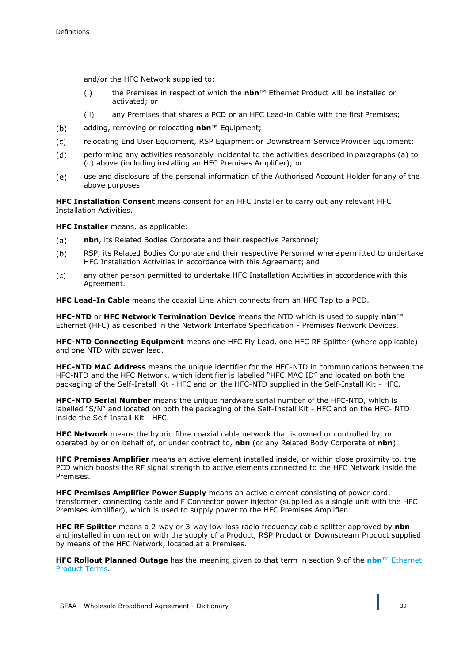and/or the HFC Network supplied to:

- (i) the Premises in respect of which the **nbn**™ Ethernet Product will be installed or activated; or
- (ii) any Premises that shares a PCD or an HFC Lead-in Cable with the first Premises;
- adding, removing or relocating **nbn**™ Equipment;  $(b)$
- relocating End User Equipment, RSP Equipment or Downstream Service Provider Equipment;  $(c)$
- $(d)$ performing any activities reasonably incidental to the activities described in paragraphs (a) to (c) above (including installing an HFC Premises Amplifier); or
- use and disclosure of the personal information of the Authorised Account Holder for any of the  $(e)$ above purposes.

**HFC Installation Consent** means consent for an HFC Installer to carry out any relevant HFC Installation Activities.

**HFC Installer** means, as applicable:

- $(a)$ **nbn**, its Related Bodies Corporate and their respective Personnel;
- RSP, its Related Bodies Corporate and their respective Personnel where permitted to undertake  $(b)$ HFC Installation Activities in accordance with this Agreement; and
- any other person permitted to undertake HFC Installation Activities in accordance with this  $(c)$ Agreement.

**HFC Lead-In Cable** means the coaxial Line which connects from an HFC Tap to a PCD.

**HFC-NTD** or **HFC Network Termination Device** means the NTD which is used to supply **nbn**™ Ethernet (HFC) as described in the Network Interface Specification - Premises Network Devices.

**HFC-NTD Connecting Equipment** means one HFC Fly Lead, one HFC RF Splitter (where applicable) and one NTD with power lead.

**HFC-NTD MAC Address** means the unique identifier for the HFC-NTD in communications between the HFC-NTD and the HFC Network, which identifier is labelled "HFC MAC ID" and located on both the packaging of the Self-Install Kit - HFC and on the HFC-NTD supplied in the Self-Install Kit - HFC.

**HFC-NTD Serial Number** means the unique hardware serial number of the HFC-NTD, which is labelled "S/N" and located on both the packaging of the Self-Install Kit - HFC and on the HFC- NTD inside the Self-Install Kit - HFC.

**HFC Network** means the hybrid fibre coaxial cable network that is owned or controlled by, or operated by or on behalf of, or under contract to, **nbn** (or any Related Body Corporate of **nbn**).

**HFC Premises Amplifier** means an active element installed inside, or within close proximity to, the PCD which boosts the RF signal strength to active elements connected to the HFC Network inside the Premises.

**HFC Premises Amplifier Power Supply** means an active element consisting of power cord, transformer, connecting cable and F Connector power injector (supplied as a single unit with the HFC Premises Amplifier), which is used to supply power to the HFC Premises Amplifier.

**HFC RF Splitter** means a 2-way or 3-way low-loss radio frequency cable splitter approved by **nbn**  and installed in connection with the supply of a Product, RSP Product or Downstream Product supplied by means of the HFC Network, located at a Premises.

**HFC Rollout Planned Outage** has the meaning given to that term in section 9 of the **nbn**™ Ethernet Product Terms.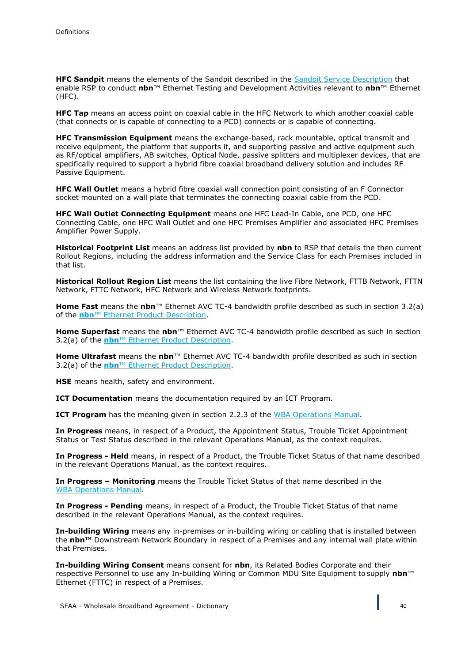**HFC Sandpit** means the elements of the Sandpit described in the Sandpit Service Description that enable RSP to conduct **nbn**™ Ethernet Testing and Development Activities relevant to **nbn**™ Ethernet (HFC).

**HFC Tap** means an access point on coaxial cable in the HFC Network to which another coaxial cable (that connects or is capable of connecting to a PCD) connects or is capable of connecting.

**HFC Transmission Equipment** means the exchange-based, rack mountable, optical transmit and receive equipment, the platform that supports it, and supporting passive and active equipment such as RF/optical amplifiers, AB switches, Optical Node, passive splitters and multiplexer devices, that are specifically required to support a hybrid fibre coaxial broadband delivery solution and includes RF Passive Equipment.

**HFC Wall Outlet** means a hybrid fibre coaxial wall connection point consisting of an F Connector socket mounted on a wall plate that terminates the connecting coaxial cable from the PCD.

**HFC Wall Outlet Connecting Equipment** means one HFC Lead-In Cable, one PCD, one HFC Connecting Cable, one HFC Wall Outlet and one HFC Premises Amplifier and associated HFC Premises Amplifier Power Supply.

**Historical Footprint List** means an address list provided by **nbn** to RSP that details the then current Rollout Regions, including the address information and the Service Class for each Premises included in that list.

**Historical Rollout Region List** means the list containing the live Fibre Network, FTTB Network, FTTN Network, FTTC Network, HFC Network and Wireless Network footprints.

**Home Fast** means the **nbn**™ Ethernet AVC TC-4 bandwidth profile described as such in section 3.2(a) of the **nbn**™ Ethernet Product Description.

**Home Superfast** means the **nbn**™ Ethernet AVC TC-4 bandwidth profile described as such in section 3.2(a) of the **nbn**™ Ethernet Product Description.

**Home Ultrafast** means the **nbn**™ Ethernet AVC TC-4 bandwidth profile described as such in section 3.2(a) of the **nbn**™ Ethernet Product Description.

**HSE** means health, safety and environment.

**ICT Documentation** means the documentation required by an ICT Program.

**ICT Program** has the meaning given in section 2.2.3 of the WBA Operations Manual.

**In Progress** means, in respect of a Product, the Appointment Status, Trouble Ticket Appointment Status or Test Status described in the relevant Operations Manual, as the context requires.

**In Progress - Held** means, in respect of a Product, the Trouble Ticket Status of that name described in the relevant Operations Manual, as the context requires.

**In Progress – Monitoring** means the Trouble Ticket Status of that name described in the WBA Operations Manual.

**In Progress - Pending** means, in respect of a Product, the Trouble Ticket Status of that name described in the relevant Operations Manual, as the context requires.

**In-building Wiring** means any in-premises or in-building wiring or cabling that is installed between the **nbn™** Downstream Network Boundary in respect of a Premises and any internal wall plate within that Premises.

**In-building Wiring Consent** means consent for **nbn**, its Related Bodies Corporate and their respective Personnel to use any In-building Wiring or Common MDU Site Equipment to supply **nbn**™ Ethernet (FTTC) in respect of a Premises.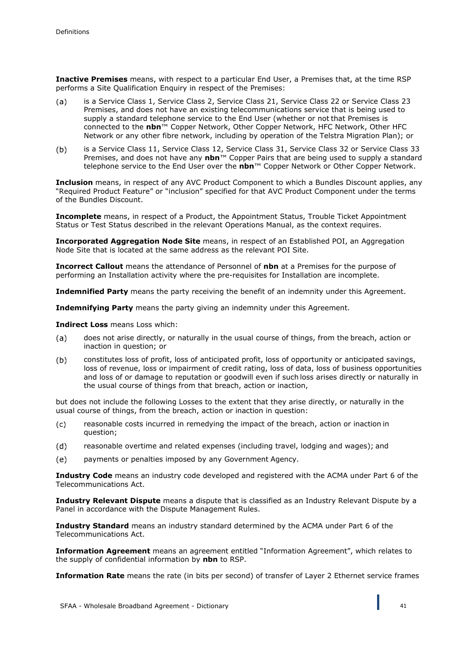**Inactive Premises** means, with respect to a particular End User, a Premises that, at the time RSP performs a Site Qualification Enquiry in respect of the Premises:

- is a Service Class 1, Service Class 2, Service Class 21, Service Class 22 or Service Class 23  $(a)$ Premises, and does not have an existing telecommunications service that is being used to supply a standard telephone service to the End User (whether or not that Premises is connected to the **nbn**™ Copper Network, Other Copper Network, HFC Network, Other HFC Network or any other fibre network, including by operation of the Telstra Migration Plan); or
- $(b)$ is a Service Class 11, Service Class 12, Service Class 31, Service Class 32 or Service Class 33 Premises, and does not have any **nbn**™ Copper Pairs that are being used to supply a standard telephone service to the End User over the **nbn**™ Copper Network or Other Copper Network.

**Inclusion** means, in respect of any AVC Product Component to which a Bundles Discount applies, any "Required Product Feature" or "inclusion" specified for that AVC Product Component under the terms of the Bundles Discount.

**Incomplete** means, in respect of a Product, the Appointment Status, Trouble Ticket Appointment Status or Test Status described in the relevant Operations Manual, as the context requires.

**Incorporated Aggregation Node Site** means, in respect of an Established POI, an Aggregation Node Site that is located at the same address as the relevant POI Site.

**Incorrect Callout** means the attendance of Personnel of **nbn** at a Premises for the purpose of performing an Installation activity where the pre-requisites for Installation are incomplete.

**Indemnified Party** means the party receiving the benefit of an indemnity under this Agreement.

**Indemnifying Party** means the party giving an indemnity under this Agreement.

**Indirect Loss** means Loss which:

- does not arise directly, or naturally in the usual course of things, from the breach, action or  $(a)$ inaction in question; or
- $(b)$ constitutes loss of profit, loss of anticipated profit, loss of opportunity or anticipated savings, loss of revenue, loss or impairment of credit rating, loss of data, loss of business opportunities and loss of or damage to reputation or goodwill even if such loss arises directly or naturally in the usual course of things from that breach, action or inaction,

but does not include the following Losses to the extent that they arise directly, or naturally in the usual course of things, from the breach, action or inaction in question:

- $(c)$ reasonable costs incurred in remedying the impact of the breach, action or inaction in question;
- reasonable overtime and related expenses (including travel, lodging and wages); and  $(d)$
- payments or penalties imposed by any Government Agency.  $(e)$

**Industry Code** means an industry code developed and registered with the ACMA under Part 6 of the Telecommunications Act.

**Industry Relevant Dispute** means a dispute that is classified as an Industry Relevant Dispute by a Panel in accordance with the Dispute Management Rules.

**Industry Standard** means an industry standard determined by the ACMA under Part 6 of the Telecommunications Act.

**Information Agreement** means an agreement entitled "Information Agreement", which relates to the supply of confidential information by **nbn** to RSP.

**Information Rate** means the rate (in bits per second) of transfer of Layer 2 Ethernet service frames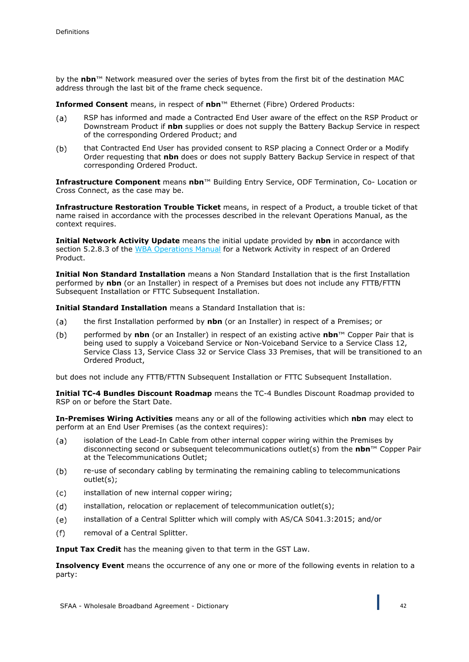by the **nbn**™ Network measured over the series of bytes from the first bit of the destination MAC address through the last bit of the frame check sequence.

**Informed Consent** means, in respect of **nbn**™ Ethernet (Fibre) Ordered Products:

- RSP has informed and made a Contracted End User aware of the effect on the RSP Product or  $(a)$ Downstream Product if **nbn** supplies or does not supply the Battery Backup Service in respect of the corresponding Ordered Product; and
- $(b)$ that Contracted End User has provided consent to RSP placing a Connect Order or a Modify Order requesting that **nbn** does or does not supply Battery Backup Service in respect of that corresponding Ordered Product.

**Infrastructure Component** means **nbn**™ Building Entry Service, ODF Termination, Co- Location or Cross Connect, as the case may be.

**Infrastructure Restoration Trouble Ticket** means, in respect of a Product, a trouble ticket of that name raised in accordance with the processes described in the relevant Operations Manual, as the context requires.

**Initial Network Activity Update** means the initial update provided by **nbn** in accordance with section 5.2.8.3 of the WBA Operations Manual for a Network Activity in respect of an Ordered Product.

**Initial Non Standard Installation** means a Non Standard Installation that is the first Installation performed by **nbn** (or an Installer) in respect of a Premises but does not include any FTTB/FTTN Subsequent Installation or FTTC Subsequent Installation.

**Initial Standard Installation** means a Standard Installation that is:

- $(a)$ the first Installation performed by **nbn** (or an Installer) in respect of a Premises; or
- $(b)$ performed by **nbn** (or an Installer) in respect of an existing active **nbn**™ Copper Pair that is being used to supply a Voiceband Service or Non-Voiceband Service to a Service Class 12, Service Class 13, Service Class 32 or Service Class 33 Premises, that will be transitioned to an Ordered Product,

but does not include any FTTB/FTTN Subsequent Installation or FTTC Subsequent Installation.

**Initial TC-4 Bundles Discount Roadmap** means the TC-4 Bundles Discount Roadmap provided to RSP on or before the Start Date.

**In-Premises Wiring Activities** means any or all of the following activities which **nbn** may elect to perform at an End User Premises (as the context requires):

- isolation of the Lead-In Cable from other internal copper wiring within the Premises by  $(a)$ disconnecting second or subsequent telecommunications outlet(s) from the **nbn**™ Copper Pair at the Telecommunications Outlet;
- re-use of secondary cabling by terminating the remaining cabling to telecommunications  $(b)$ outlet(s);
- installation of new internal copper wiring;  $(c)$
- installation, relocation or replacement of telecommunication outlet(s);  $(d)$
- installation of a Central Splitter which will comply with AS/CA S041.3:2015; and/or  $(e)$
- $(f)$ removal of a Central Splitter.

**Input Tax Credit** has the meaning given to that term in the GST Law.

**Insolvency Event** means the occurrence of any one or more of the following events in relation to a party: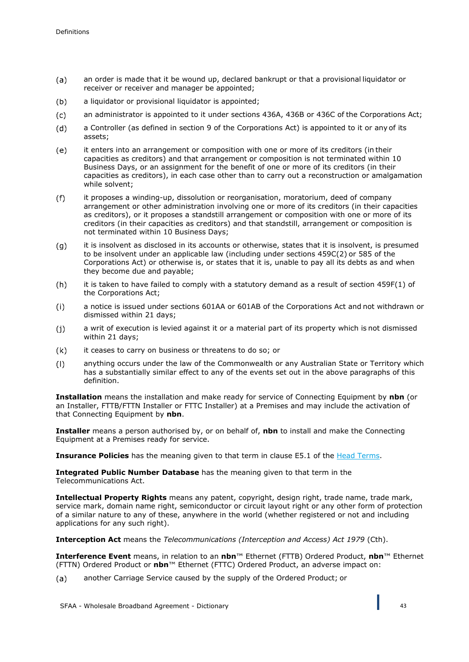- $(a)$ an order is made that it be wound up, declared bankrupt or that a provisional liquidator or receiver or receiver and manager be appointed;
- a liquidator or provisional liquidator is appointed:  $(b)$
- $(c)$ an administrator is appointed to it under sections 436A, 436B or 436C of the Corporations Act;
- $(d)$ a Controller (as defined in section 9 of the Corporations Act) is appointed to it or any of its assets;
- it enters into an arrangement or composition with one or more of its creditors (in their  $(e)$ capacities as creditors) and that arrangement or composition is not terminated within 10 Business Days, or an assignment for the benefit of one or more of its creditors (in their capacities as creditors), in each case other than to carry out a reconstruction or amalgamation while solvent;
- $(f)$ it proposes a winding-up, dissolution or reorganisation, moratorium, deed of company arrangement or other administration involving one or more of its creditors (in their capacities as creditors), or it proposes a standstill arrangement or composition with one or more of its creditors (in their capacities as creditors) and that standstill, arrangement or composition is not terminated within 10 Business Days;
- it is insolvent as disclosed in its accounts or otherwise, states that it is insolvent, is presumed  $(g)$ to be insolvent under an applicable law (including under sections 459C(2) or 585 of the Corporations Act) or otherwise is, or states that it is, unable to pay all its debts as and when they become due and payable;
- $(h)$ it is taken to have failed to comply with a statutory demand as a result of section 459F(1) of the Corporations Act;
- $(i)$ a notice is issued under sections 601AA or 601AB of the Corporations Act and not withdrawn or dismissed within 21 days;
- a writ of execution is levied against it or a material part of its property which is not dismissed  $(i)$ within 21 days;
- it ceases to carry on business or threatens to do so; or  $(k)$
- $(1)$ anything occurs under the law of the Commonwealth or any Australian State or Territory which has a substantially similar effect to any of the events set out in the above paragraphs of this definition.

**Installation** means the installation and make ready for service of Connecting Equipment by **nbn** (or an Installer, FTTB/FTTN Installer or FTTC Installer) at a Premises and may include the activation of that Connecting Equipment by **nbn**.

**Installer** means a person authorised by, or on behalf of, **nbn** to install and make the Connecting Equipment at a Premises ready for service.

**Insurance Policies** has the meaning given to that term in clause E5.1 of the Head Terms.

**Integrated Public Number Database** has the meaning given to that term in the Telecommunications Act.

**Intellectual Property Rights** means any patent, copyright, design right, trade name, trade mark, service mark, domain name right, semiconductor or circuit layout right or any other form of protection of a similar nature to any of these, anywhere in the world (whether registered or not and including applications for any such right).

**Interception Act** means the *Telecommunications (Interception and Access) Act 1979* (Cth).

**Interference Event** means, in relation to an **nbn**™ Ethernet (FTTB) Ordered Product, **nbn**™ Ethernet (FTTN) Ordered Product or **nbn**™ Ethernet (FTTC) Ordered Product, an adverse impact on:

another Carriage Service caused by the supply of the Ordered Product; or $(a)$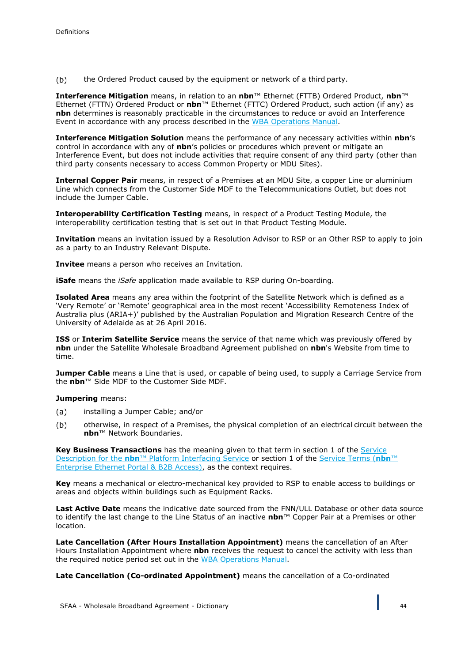$(b)$ the Ordered Product caused by the equipment or network of a third party.

**Interference Mitigation** means, in relation to an **nbn**™ Ethernet (FTTB) Ordered Product, **nbn**™ Ethernet (FTTN) Ordered Product or **nbn**™ Ethernet (FTTC) Ordered Product, such action (if any) as **nbn** determines is reasonably practicable in the circumstances to reduce or avoid an Interference Event in accordance with any process described in the WBA Operations Manual.

**Interference Mitigation Solution** means the performance of any necessary activities within **nbn**'s control in accordance with any of **nbn**'s policies or procedures which prevent or mitigate an Interference Event, but does not include activities that require consent of any third party (other than third party consents necessary to access Common Property or MDU Sites).

**Internal Copper Pair** means, in respect of a Premises at an MDU Site, a copper Line or aluminium Line which connects from the Customer Side MDF to the Telecommunications Outlet, but does not include the Jumper Cable.

**Interoperability Certification Testing** means, in respect of a Product Testing Module, the interoperability certification testing that is set out in that Product Testing Module.

**Invitation** means an invitation issued by a Resolution Advisor to RSP or an Other RSP to apply to join as a party to an Industry Relevant Dispute.

**Invitee** means a person who receives an Invitation.

**iSafe** means the *iSafe* application made available to RSP during On-boarding.

**Isolated Area** means any area within the footprint of the Satellite Network which is defined as a 'Very Remote' or 'Remote' geographical area in the most recent 'Accessibility Remoteness Index of Australia plus (ARIA+)' published by the Australian Population and Migration Research Centre of the University of Adelaide as at 26 April 2016.

**ISS** or **Interim Satellite Service** means the service of that name which was previously offered by **nbn** under the Satellite Wholesale Broadband Agreement published on **nbn**'s Website from time to time.

**Jumper Cable** means a Line that is used, or capable of being used, to supply a Carriage Service from the **nbn**™ Side MDF to the Customer Side MDF.

**Jumpering** means:

- installing a Jumper Cable; and/or  $(a)$
- otherwise, in respect of a Premises, the physical completion of an electrical circuit between the  $(b)$ **nbn**™ Network Boundaries.

**Key Business Transactions** has the meaning given to that term in section 1 of the Service Description for the **nbn**™ Platform Interfacing Service or section 1 of the Service Terms (**nbn**™ Enterprise Ethernet Portal & B2B Access), as the context requires.

**Key** means a mechanical or electro-mechanical key provided to RSP to enable access to buildings or areas and objects within buildings such as Equipment Racks.

**Last Active Date** means the indicative date sourced from the FNN/ULL Database or other data source to identify the last change to the Line Status of an inactive **nbn**™ Copper Pair at a Premises or other location.

**Late Cancellation (After Hours Installation Appointment)** means the cancellation of an After Hours Installation Appointment where **nbn** receives the request to cancel the activity with less than the required notice period set out in the WBA Operations Manual.

**Late Cancellation (Co-ordinated Appointment)** means the cancellation of a Co-ordinated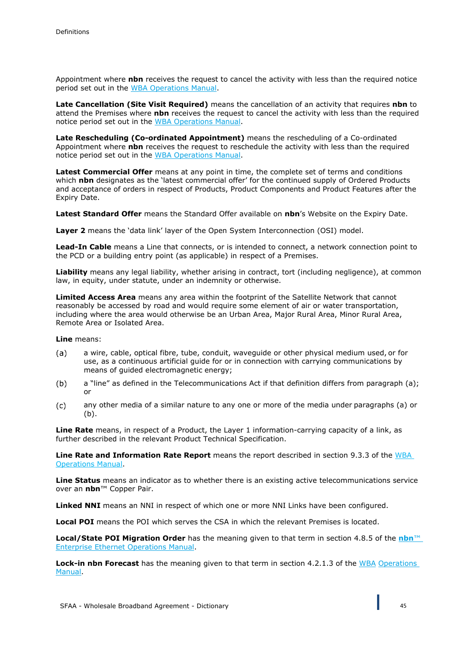Appointment where **nbn** receives the request to cancel the activity with less than the required notice period set out in the WBA Operations Manual.

**Late Cancellation (Site Visit Required)** means the cancellation of an activity that requires **nbn** to attend the Premises where **nbn** receives the request to cancel the activity with less than the required notice period set out in the WBA Operations Manual.

**Late Rescheduling (Co-ordinated Appointment)** means the rescheduling of a Co-ordinated Appointment where **nbn** receives the request to reschedule the activity with less than the required notice period set out in the WBA Operations Manual.

**Latest Commercial Offer** means at any point in time, the complete set of terms and conditions which **nbn** designates as the 'latest commercial offer' for the continued supply of Ordered Products and acceptance of orders in respect of Products, Product Components and Product Features after the Expiry Date.

**Latest Standard Offer** means the Standard Offer available on **nbn**'s Website on the Expiry Date.

**Layer 2** means the 'data link' layer of the Open System Interconnection (OSI) model.

**Lead-In Cable** means a Line that connects, or is intended to connect, a network connection point to the PCD or a building entry point (as applicable) in respect of a Premises.

**Liability** means any legal liability, whether arising in contract, tort (including negligence), at common law, in equity, under statute, under an indemnity or otherwise.

**Limited Access Area** means any area within the footprint of the Satellite Network that cannot reasonably be accessed by road and would require some element of air or water transportation, including where the area would otherwise be an Urban Area, Major Rural Area, Minor Rural Area, Remote Area or Isolated Area.

**Line** means:

- a wire, cable, optical fibre, tube, conduit, waveguide or other physical medium used, or for  $(a)$ use, as a continuous artificial guide for or in connection with carrying communications by means of guided electromagnetic energy;
- $(b)$ a "line" as defined in the Telecommunications Act if that definition differs from paragraph (a); or
- any other media of a similar nature to any one or more of the media under paragraphs (a) or  $(c)$  $(h)$ .

**Line Rate** means, in respect of a Product, the Layer 1 information-carrying capacity of a link, as further described in the relevant Product Technical Specification.

Line Rate and Information Rate Report means the report described in section 9.3.3 of the WBA Operations Manual.

**Line Status** means an indicator as to whether there is an existing active telecommunications service over an **nbn**™ Copper Pair.

**Linked NNI** means an NNI in respect of which one or more NNI Links have been configured.

**Local POI** means the POI which serves the CSA in which the relevant Premises is located.

**Local/State POI Migration Order** has the meaning given to that term in section 4.8.5 of the **nbn**™ Enterprise Ethernet Operations Manual.

Lock-in nbn Forecast has the meaning given to that term in section 4.2.1.3 of the WBA Operations Manual.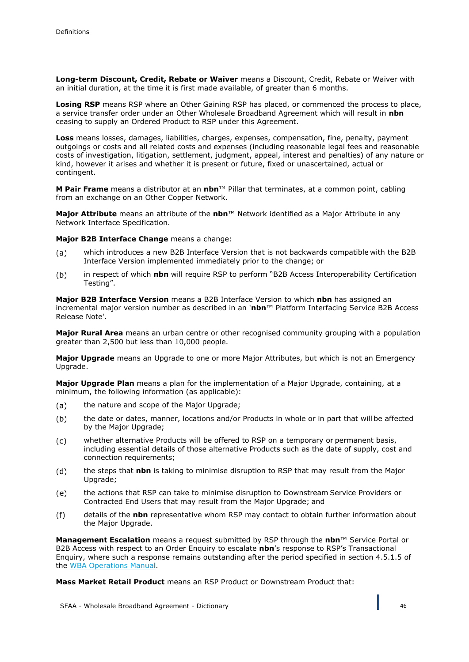**Long-term Discount, Credit, Rebate or Waiver** means a Discount, Credit, Rebate or Waiver with an initial duration, at the time it is first made available, of greater than 6 months.

Losing RSP means RSP where an Other Gaining RSP has placed, or commenced the process to place, a service transfer order under an Other Wholesale Broadband Agreement which will result in **nbn**  ceasing to supply an Ordered Product to RSP under this Agreement.

**Loss** means losses, damages, liabilities, charges, expenses, compensation, fine, penalty, payment outgoings or costs and all related costs and expenses (including reasonable legal fees and reasonable costs of investigation, litigation, settlement, judgment, appeal, interest and penalties) of any nature or kind, however it arises and whether it is present or future, fixed or unascertained, actual or contingent.

**M Pair Frame** means a distributor at an **nbn**™ Pillar that terminates, at a common point, cabling from an exchange on an Other Copper Network.

**Major Attribute** means an attribute of the **nbn**™ Network identified as a Major Attribute in any Network Interface Specification.

**Major B2B Interface Change** means a change:

- which introduces a new B2B Interface Version that is not backwards compatible with the B2B  $(a)$ Interface Version implemented immediately prior to the change; or
- $(b)$ in respect of which **nbn** will require RSP to perform "B2B Access Interoperability Certification Testing".

**Major B2B Interface Version** means a B2B Interface Version to which **nbn** has assigned an incremental major version number as described in an '**nbn**™ Platform Interfacing Service B2B Access Release Note'.

**Major Rural Area** means an urban centre or other recognised community grouping with a population greater than 2,500 but less than 10,000 people.

**Major Upgrade** means an Upgrade to one or more Major Attributes, but which is not an Emergency Upgrade.

**Major Upgrade Plan** means a plan for the implementation of a Major Upgrade, containing, at a minimum, the following information (as applicable):

- the nature and scope of the Major Upgrade;  $(a)$
- $(b)$ the date or dates, manner, locations and/or Products in whole or in part that will be affected by the Major Upgrade;
- whether alternative Products will be offered to RSP on a temporary or permanent basis,  $(c)$ including essential details of those alternative Products such as the date of supply, cost and connection requirements;
- $(d)$ the steps that **nbn** is taking to minimise disruption to RSP that may result from the Major Upgrade;
- the actions that RSP can take to minimise disruption to Downstream Service Providers or  $(e)$ Contracted End Users that may result from the Major Upgrade; and
- details of the **nbn** representative whom RSP may contact to obtain further information about  $(f)$ the Major Upgrade.

**Management Escalation** means a request submitted by RSP through the **nbn**™ Service Portal or B2B Access with respect to an Order Enquiry to escalate **nbn**'s response to RSP's Transactional Enquiry, where such a response remains outstanding after the period specified in section 4.5.1.5 of the WBA Operations Manual.

**Mass Market Retail Product** means an RSP Product or Downstream Product that: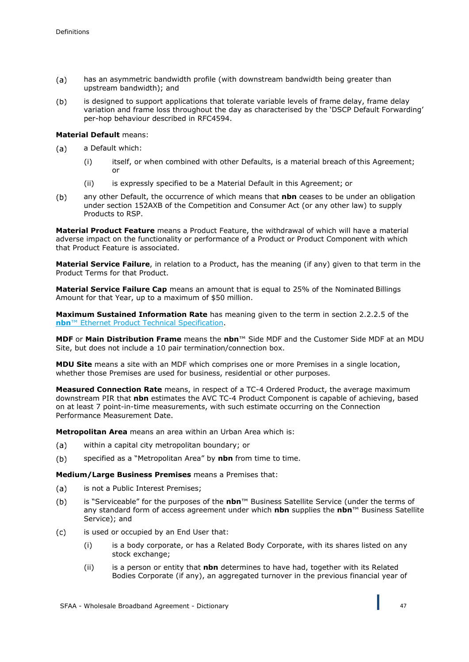- $(a)$ has an asymmetric bandwidth profile (with downstream bandwidth being greater than upstream bandwidth); and
- is designed to support applications that tolerate variable levels of frame delay, frame delay  $(b)$ variation and frame loss throughout the day as characterised by the 'DSCP Default Forwarding' per-hop behaviour described in RFC4594.

### **Material Default** means:

- $(a)$ a Default which:
	- (i) itself, or when combined with other Defaults, is a material breach of this Agreement; or
	- (ii) is expressly specified to be a Material Default in this Agreement; or
- $(b)$ any other Default, the occurrence of which means that **nbn** ceases to be under an obligation under section 152AXB of the Competition and Consumer Act (or any other law) to supply Products to RSP.

**Material Product Feature** means a Product Feature, the withdrawal of which will have a material adverse impact on the functionality or performance of a Product or Product Component with which that Product Feature is associated.

**Material Service Failure**, in relation to a Product, has the meaning (if any) given to that term in the Product Terms for that Product.

**Material Service Failure Cap** means an amount that is equal to 25% of the Nominated Billings Amount for that Year, up to a maximum of \$50 million.

**Maximum Sustained Information Rate** has meaning given to the term in section 2.2.2.5 of the **nbn**™ Ethernet Product Technical Specification.

**MDF** or **Main Distribution Frame** means the **nbn**™ Side MDF and the Customer Side MDF at an MDU Site, but does not include a 10 pair termination/connection box.

**MDU Site** means a site with an MDF which comprises one or more Premises in a single location, whether those Premises are used for business, residential or other purposes.

**Measured Connection Rate** means, in respect of a TC-4 Ordered Product, the average maximum downstream PIR that **nbn** estimates the AVC TC-4 Product Component is capable of achieving, based on at least 7 point-in-time measurements, with such estimate occurring on the Connection Performance Measurement Date.

**Metropolitan Area** means an area within an Urban Area which is:

- $(a)$ within a capital city metropolitan boundary; or
- $(b)$ specified as a "Metropolitan Area" by **nbn** from time to time.

**Medium/Large Business Premises** means a Premises that:

- is not a Public Interest Premises;  $(a)$
- $(b)$ is "Serviceable" for the purposes of the **nbn**™ Business Satellite Service (under the terms of any standard form of access agreement under which **nbn** supplies the **nbn**™ Business Satellite Service); and
- $(c)$ is used or occupied by an End User that:
	- (i) is a body corporate, or has a Related Body Corporate, with its shares listed on any stock exchange;
	- (ii) is a person or entity that **nbn** determines to have had, together with its Related Bodies Corporate (if any), an aggregated turnover in the previous financial year of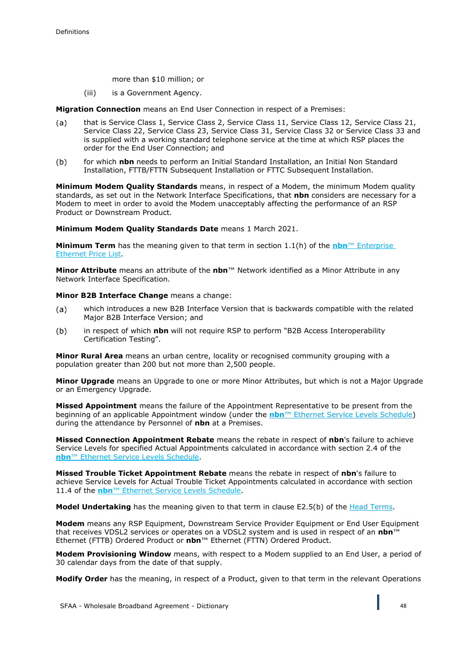more than \$10 million; or

(iii) is a Government Agency.

**Migration Connection** means an End User Connection in respect of a Premises:

- that is Service Class 1, Service Class 2, Service Class 11, Service Class 12, Service Class 21,  $(a)$ Service Class 22, Service Class 23, Service Class 31, Service Class 32 or Service Class 33 and is supplied with a working standard telephone service at the time at which RSP places the order for the End User Connection; and
- $(b)$ for which **nbn** needs to perform an Initial Standard Installation, an Initial Non Standard Installation, FTTB/FTTN Subsequent Installation or FTTC Subsequent Installation.

**Minimum Modem Quality Standards** means, in respect of a Modem, the minimum Modem quality standards, as set out in the Network Interface Specifications, that **nbn** considers are necessary for a Modem to meet in order to avoid the Modem unacceptably affecting the performance of an RSP Product or Downstream Product.

**Minimum Modem Quality Standards Date** means 1 March 2021.

**Minimum Term** has the meaning given to that term in section 1.1(h) of the **nbn**™ Enterprise Ethernet Price List.

**Minor Attribute** means an attribute of the **nbn**™ Network identified as a Minor Attribute in any Network Interface Specification.

**Minor B2B Interface Change** means a change:

- which introduces a new B2B Interface Version that is backwards compatible with the related  $(a)$ Major B2B Interface Version; and
- in respect of which **nbn** will not require RSP to perform "B2B Access Interoperability  $(b)$ Certification Testing".

**Minor Rural Area** means an urban centre, locality or recognised community grouping with a population greater than 200 but not more than 2,500 people.

**Minor Upgrade** means an Upgrade to one or more Minor Attributes, but which is not a Major Upgrade or an Emergency Upgrade.

**Missed Appointment** means the failure of the Appointment Representative to be present from the beginning of an applicable Appointment window (under the **nbn**™ Ethernet Service Levels Schedule) during the attendance by Personnel of **nbn** at a Premises.

**Missed Connection Appointment Rebate** means the rebate in respect of **nbn**'s failure to achieve Service Levels for specified Actual Appointments calculated in accordance with section 2.4 of the **nbn**™ Ethernet Service Levels Schedule.

**Missed Trouble Ticket Appointment Rebate** means the rebate in respect of **nbn**'s failure to achieve Service Levels for Actual Trouble Ticket Appointments calculated in accordance with section 11.4 of the **nbn**™ Ethernet Service Levels Schedule.

**Model Undertaking** has the meaning given to that term in clause E2.5(b) of the Head Terms.

**Modem** means any RSP Equipment, Downstream Service Provider Equipment or End User Equipment that receives VDSL2 services or operates on a VDSL2 system and is used in respect of an **nbn**™ Ethernet (FTTB) Ordered Product or **nbn**™ Ethernet (FTTN) Ordered Product.

**Modem Provisioning Window** means, with respect to a Modem supplied to an End User, a period of 30 calendar days from the date of that supply.

**Modify Order** has the meaning, in respect of a Product, given to that term in the relevant Operations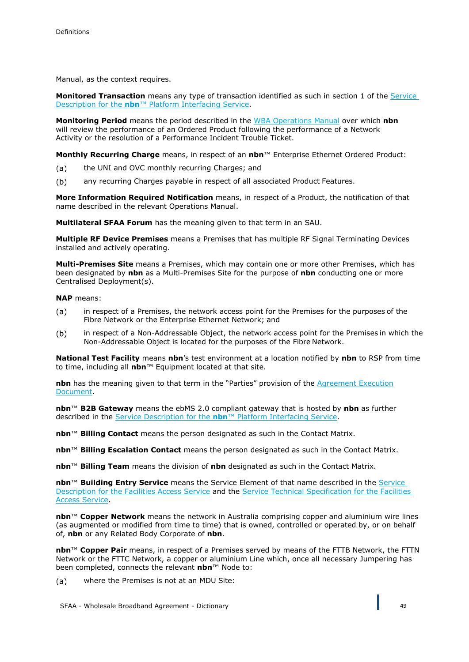Manual, as the context requires.

**Monitored Transaction** means any type of transaction identified as such in section 1 of the Service Description for the **nbn**™ Platform Interfacing Service.

**Monitoring Period** means the period described in the WBA Operations Manual over which **nbn** will review the performance of an Ordered Product following the performance of a Network Activity or the resolution of a Performance Incident Trouble Ticket.

**Monthly Recurring Charge** means, in respect of an **nbn**™ Enterprise Ethernet Ordered Product:

- the UNI and OVC monthly recurring Charges; and  $(a)$
- $(b)$ any recurring Charges payable in respect of all associated Product Features.

**More Information Required Notification** means, in respect of a Product, the notification of that name described in the relevant Operations Manual.

**Multilateral SFAA Forum** has the meaning given to that term in an SAU.

**Multiple RF Device Premises** means a Premises that has multiple RF Signal Terminating Devices installed and actively operating.

**Multi-Premises Site** means a Premises, which may contain one or more other Premises, which has been designated by **nbn** as a Multi-Premises Site for the purpose of **nbn** conducting one or more Centralised Deployment(s).

**NAP** means:

- in respect of a Premises, the network access point for the Premises for the purposes of the  $(a)$ Fibre Network or the Enterprise Ethernet Network; and
- $(b)$ in respect of a Non-Addressable Object, the network access point for the Premises in which the Non-Addressable Object is located for the purposes of the Fibre Network.

**National Test Facility** means **nbn**'s test environment at a location notified by **nbn** to RSP from time to time, including all **nbn**™ Equipment located at that site.

**nbn** has the meaning given to that term in the "Parties" provision of the Agreement Execution Document.

**nbn**™ **B2B Gateway** means the ebMS 2.0 compliant gateway that is hosted by **nbn** as further described in the Service Description for the **nbn**™ Platform Interfacing Service.

**nbn**™ **Billing Contact** means the person designated as such in the Contact Matrix.

**nbn**™ **Billing Escalation Contact** means the person designated as such in the Contact Matrix.

**nbn**™ **Billing Team** means the division of **nbn** designated as such in the Contact Matrix.

**nbn**™ **Building Entry Service** means the Service Element of that name described in the Service Description for the Facilities Access Service and the Service Technical Specification for the Facilities Access Service.

**nbn**™ **Copper Network** means the network in Australia comprising copper and aluminium wire lines (as augmented or modified from time to time) that is owned, controlled or operated by, or on behalf of, **nbn** or any Related Body Corporate of **nbn**.

**nbn**™ **Copper Pair** means, in respect of a Premises served by means of the FTTB Network, the FTTN Network or the FTTC Network, a copper or aluminium Line which, once all necessary Jumpering has been completed, connects the relevant **nbn**™ Node to:

 $(a)$ where the Premises is not at an MDU Site: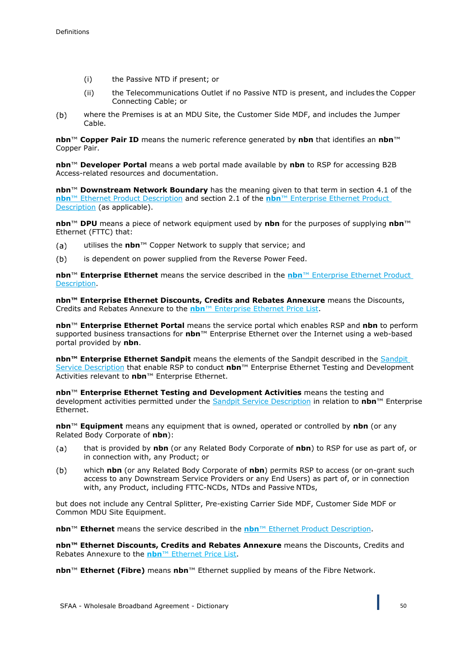- (i) the Passive NTD if present; or
- (ii) the Telecommunications Outlet if no Passive NTD is present, and includes the Copper Connecting Cable; or
- $(b)$ where the Premises is at an MDU Site, the Customer Side MDF, and includes the Jumper Cable.

**nbn**™ **Copper Pair ID** means the numeric reference generated by **nbn** that identifies an **nbn**™ Copper Pair.

**nbn**™ **Developer Portal** means a web portal made available by **nbn** to RSP for accessing B2B Access-related resources and documentation.

**nbn**™ **Downstream Network Boundary** has the meaning given to that term in section 4.1 of the **nbn**™ Ethernet Product Description and section 2.1 of the **nbn**™ Enterprise Ethernet Product Description (as applicable).

**nbn**™ **DPU** means a piece of network equipment used by **nbn** for the purposes of supplying **nbn**™ Ethernet (FTTC) that:

- utilises the **nbn**™ Copper Network to supply that service; and  $(a)$
- is dependent on power supplied from the Reverse Power Feed.  $(b)$

**nbn**™ **Enterprise Ethernet** means the service described in the **nbn**™ Enterprise Ethernet Product Description.

**nbn™ Enterprise Ethernet Discounts, Credits and Rebates Annexure** means the Discounts, Credits and Rebates Annexure to the **nbn**™ Enterprise Ethernet Price List.

**nbn**™ **Enterprise Ethernet Portal** means the service portal which enables RSP and **nbn** to perform supported business transactions for **nbn**™ Enterprise Ethernet over the Internet using a web-based portal provided by **nbn**.

**nbn™ Enterprise Ethernet Sandpit** means the elements of the Sandpit described in the Sandpit Service Description that enable RSP to conduct **nbn**™ Enterprise Ethernet Testing and Development Activities relevant to **nbn**™ Enterprise Ethernet.

**nbn**™ **Enterprise Ethernet Testing and Development Activities** means the testing and development activities permitted under the Sandpit Service Description in relation to **nbn**™ Enterprise Ethernet.

**nbn**™ **Equipment** means any equipment that is owned, operated or controlled by **nbn** (or any Related Body Corporate of **nbn**):

- that is provided by **nbn** (or any Related Body Corporate of **nbn**) to RSP for use as part of, or  $(a)$ in connection with, any Product; or
- $(b)$ which **nbn** (or any Related Body Corporate of **nbn**) permits RSP to access (or on-grant such access to any Downstream Service Providers or any End Users) as part of, or in connection with, any Product, including FTTC-NCDs, NTDs and Passive NTDs,

but does not include any Central Splitter, Pre-existing Carrier Side MDF, Customer Side MDF or Common MDU Site Equipment.

**nbn**™ **Ethernet** means the service described in the **nbn**™ Ethernet Product Description.

**nbn™ Ethernet Discounts, Credits and Rebates Annexure** means the Discounts, Credits and Rebates Annexure to the **nbn**™ Ethernet Price List.

**nbn**™ **Ethernet (Fibre)** means **nbn**™ Ethernet supplied by means of the Fibre Network.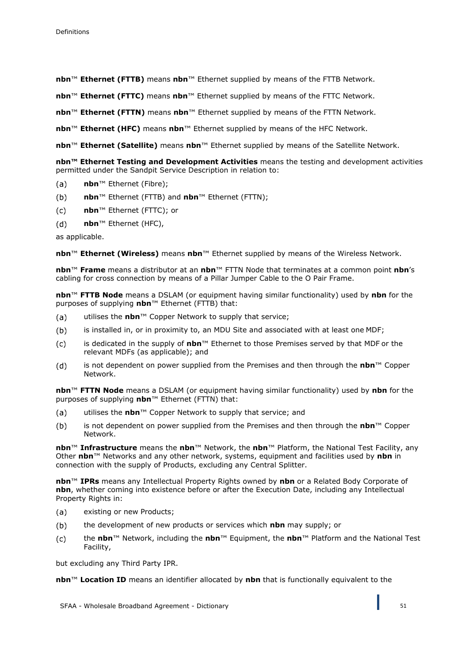**nbn**™ **Ethernet (FTTB)** means **nbn**™ Ethernet supplied by means of the FTTB Network.

**nbn**™ **Ethernet (FTTC)** means **nbn**™ Ethernet supplied by means of the FTTC Network.

**nbn**™ **Ethernet (FTTN)** means **nbn**™ Ethernet supplied by means of the FTTN Network.

**nbn**™ **Ethernet (HFC)** means **nbn**™ Ethernet supplied by means of the HFC Network.

**nbn**™ **Ethernet (Satellite)** means **nbn**™ Ethernet supplied by means of the Satellite Network.

**nbn™ Ethernet Testing and Development Activities** means the testing and development activities permitted under the Sandpit Service Description in relation to:

- $(a)$ **nbn**™ Ethernet (Fibre);
- **nbn**™ Ethernet (FTTB) and **nbn**™ Ethernet (FTTN);  $(b)$
- **nbn**™ Ethernet (FTTC); or  $(c)$
- $(d)$ **nbn**™ Ethernet (HFC),

as applicable.

**nbn**™ **Ethernet (Wireless)** means **nbn**™ Ethernet supplied by means of the Wireless Network.

**nbn**™ **Frame** means a distributor at an **nbn**™ FTTN Node that terminates at a common point **nbn**'s cabling for cross connection by means of a Pillar Jumper Cable to the O Pair Frame.

**nbn**™ **FTTB Node** means a DSLAM (or equipment having similar functionality) used by **nbn** for the purposes of supplying **nbn**™ Ethernet (FTTB) that:

- $(a)$ utilises the **nbn**™ Copper Network to supply that service;
- $(b)$ is installed in, or in proximity to, an MDU Site and associated with at least one MDF;
- is dedicated in the supply of **nbn**™ Ethernet to those Premises served by that MDF or the  $(c)$ relevant MDFs (as applicable); and
- is not dependent on power supplied from the Premises and then through the **nbn**™ Copper  $(d)$ Network.

**nbn**™ **FTTN Node** means a DSLAM (or equipment having similar functionality) used by **nbn** for the purposes of supplying **nbn**™ Ethernet (FTTN) that:

- $(a)$ utilises the **nbn**™ Copper Network to supply that service; and
- $(b)$ is not dependent on power supplied from the Premises and then through the **nbn**™ Copper Network.

**nbn**™ **Infrastructure** means the **nbn**™ Network, the **nbn**™ Platform, the National Test Facility, any Other **nbn**™ Networks and any other network, systems, equipment and facilities used by **nbn** in connection with the supply of Products, excluding any Central Splitter.

**nbn**™ **IPRs** means any Intellectual Property Rights owned by **nbn** or a Related Body Corporate of **nbn**, whether coming into existence before or after the Execution Date, including any Intellectual Property Rights in:

- $(a)$ existing or new Products;
- $(b)$ the development of new products or services which **nbn** may supply; or
- the **nbn**™ Network, including the **nbn**™ Equipment, the **nbn**™ Platform and the National Test  $(c)$ Facility,

but excluding any Third Party IPR.

**nbn**™ **Location ID** means an identifier allocated by **nbn** that is functionally equivalent to the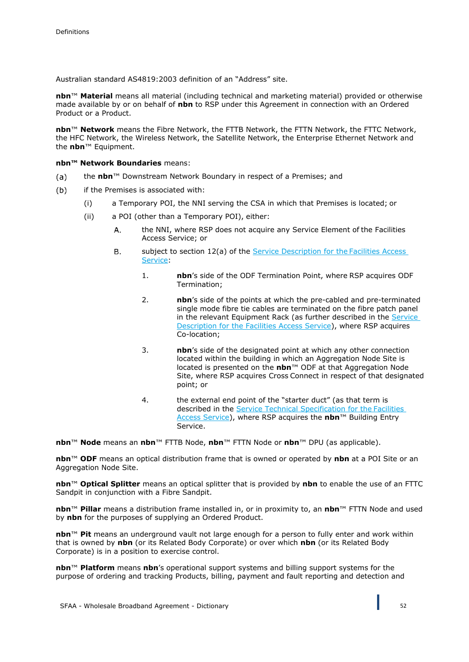Australian standard AS4819:2003 definition of an "Address" site.

**nbn**™ **Material** means all material (including technical and marketing material) provided or otherwise made available by or on behalf of **nbn** to RSP under this Agreement in connection with an Ordered Product or a Product.

**nbn**™ **Network** means the Fibre Network, the FTTB Network, the FTTN Network, the FTTC Network, the HFC Network, the Wireless Network, the Satellite Network, the Enterprise Ethernet Network and the **nbn**™ Equipment.

**nbn™ Network Boundaries** means:

- the **nbn**™ Downstream Network Boundary in respect of a Premises; and  $(a)$
- if the Premises is associated with:  $(b)$ 
	- (i) a Temporary POI, the NNI serving the CSA in which that Premises is located; or
	- (ii) a POI (other than a Temporary POI), either:
		- the NNI, where RSP does not acquire any Service Element of the Facilities A. Access Service; or
		- subject to section 12(a) of the Service Description for the Facilities Access В. Service:
			- 1. **nbn**'s side of the ODF Termination Point, where RSP acquires ODF Termination;
			- 2. **nbn**'s side of the points at which the pre-cabled and pre-terminated single mode fibre tie cables are terminated on the fibre patch panel in the relevant Equipment Rack (as further described in the Service Description for the Facilities Access Service), where RSP acquires Co-location;
			- 3. **nbn**'s side of the designated point at which any other connection located within the building in which an Aggregation Node Site is located is presented on the **nbn**™ ODF at that Aggregation Node Site, where RSP acquires Cross Connect in respect of that designated point; or
			- 4. the external end point of the "starter duct" (as that term is described in the Service Technical Specification for the Facilities Access Service), where RSP acquires the **nbn**™ Building Entry Service.

**nbn**™ **Node** means an **nbn**™ FTTB Node, **nbn**™ FTTN Node or **nbn**™ DPU (as applicable).

**nbn**™ **ODF** means an optical distribution frame that is owned or operated by **nbn** at a POI Site or an Aggregation Node Site.

**nbn**™ **Optical Splitter** means an optical splitter that is provided by **nbn** to enable the use of an FTTC Sandpit in conjunction with a Fibre Sandpit.

**nbn**™ **Pillar** means a distribution frame installed in, or in proximity to, an **nbn**™ FTTN Node and used by **nbn** for the purposes of supplying an Ordered Product.

**nbn**™ **Pit** means an underground vault not large enough for a person to fully enter and work within that is owned by **nbn** (or its Related Body Corporate) or over which **nbn** (or its Related Body Corporate) is in a position to exercise control.

**nbn**™ **Platform** means **nbn**'s operational support systems and billing support systems for the purpose of ordering and tracking Products, billing, payment and fault reporting and detection and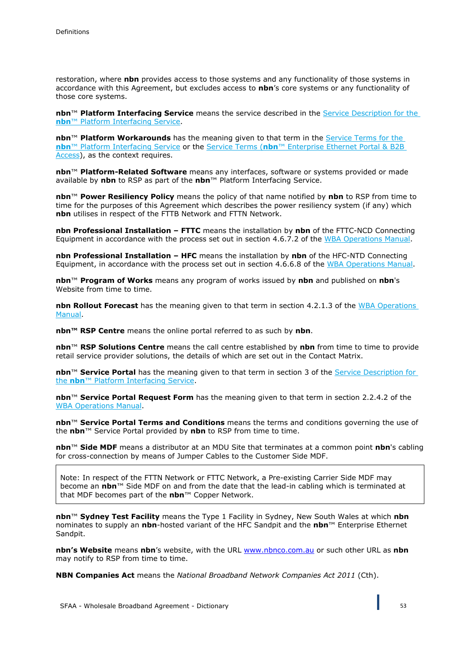restoration, where **nbn** provides access to those systems and any functionality of those systems in accordance with this Agreement, but excludes access to **nbn**'s core systems or any functionality of those core systems.

**nbn**™ **Platform Interfacing Service** means the service described in the Service Description for the **nbn**™ Platform Interfacing Service.

**nbn**™ **Platform Workarounds** has the meaning given to that term in the Service Terms for the **nbn**™ Platform Interfacing Service or the Service Terms (**nbn**™ Enterprise Ethernet Portal & B2B Access), as the context requires.

**nbn**™ **Platform-Related Software** means any interfaces, software or systems provided or made available by **nbn** to RSP as part of the **nbn**™ Platform Interfacing Service.

**nbn**™ **Power Resiliency Policy** means the policy of that name notified by **nbn** to RSP from time to time for the purposes of this Agreement which describes the power resiliency system (if any) which **nbn** utilises in respect of the FTTB Network and FTTN Network.

**nbn Professional Installation – FTTC** means the installation by **nbn** of the FTTC-NCD Connecting Equipment in accordance with the process set out in section 4.6.7.2 of the WBA Operations Manual.

**nbn Professional Installation – HFC** means the installation by **nbn** of the HFC-NTD Connecting Equipment, in accordance with the process set out in section 4.6.6.8 of the WBA Operations Manual.

**nbn**™ **Program of Works** means any program of works issued by **nbn** and published on **nbn**'s Website from time to time.

**nbn Rollout Forecast** has the meaning given to that term in section 4.2.1.3 of the WBA Operations Manual.

**nbn™ RSP Centre** means the online portal referred to as such by **nbn**.

**nbn**™ **RSP Solutions Centre** means the call centre established by **nbn** from time to time to provide retail service provider solutions, the details of which are set out in the Contact Matrix.

**nbn™ Service Portal** has the meaning given to that term in section 3 of the Service Description for the **nbn**™ Platform Interfacing Service.

**nbn**™ **Service Portal Request Form** has the meaning given to that term in section 2.2.4.2 of the WBA Operations Manual.

**nbn**™ **Service Portal Terms and Conditions** means the terms and conditions governing the use of the **nbn**™ Service Portal provided by **nbn** to RSP from time to time.

**nbn**™ **Side MDF** means a distributor at an MDU Site that terminates at a common point **nbn**'s cabling for cross-connection by means of Jumper Cables to the Customer Side MDF.

Note: In respect of the FTTN Network or FTTC Network, a Pre-existing Carrier Side MDF may become an **nbn**™ Side MDF on and from the date that the lead-in cabling which is terminated at that MDF becomes part of the **nbn**™ Copper Network.

**nbn**™ **Sydney Test Facility** means the Type 1 Facility in Sydney, New South Wales at which **nbn**  nominates to supply an **nbn**-hosted variant of the HFC Sandpit and the **nbn**™ Enterprise Ethernet Sandpit.

**nbn's Website** means **nbn**'s website, with the URL [www.nbnco.com.au](http://www.nbnco.com.au/) or such other URL as **nbn**  may notify to RSP from time to time.

**NBN Companies Act** means the *National Broadband Network Companies Act 2011* (Cth).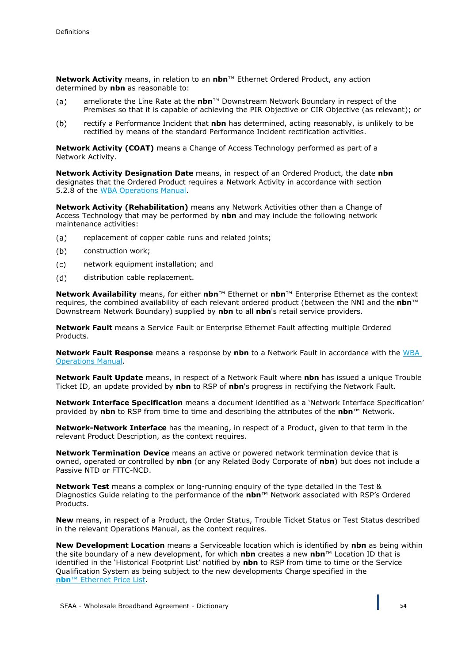**Network Activity** means, in relation to an **nbn**™ Ethernet Ordered Product, any action determined by **nbn** as reasonable to:

- ameliorate the Line Rate at the **nbn**™ Downstream Network Boundary in respect of the  $(a)$ Premises so that it is capable of achieving the PIR Objective or CIR Objective (as relevant); or
- $(b)$ rectify a Performance Incident that **nbn** has determined, acting reasonably, is unlikely to be rectified by means of the standard Performance Incident rectification activities.

**Network Activity (COAT)** means a Change of Access Technology performed as part of a Network Activity.

**Network Activity Designation Date** means, in respect of an Ordered Product, the date **nbn** designates that the Ordered Product requires a Network Activity in accordance with section 5.2.8 of the WBA Operations Manual.

**Network Activity (Rehabilitation)** means any Network Activities other than a Change of Access Technology that may be performed by **nbn** and may include the following network maintenance activities:

- replacement of copper cable runs and related joints;  $(a)$
- $(b)$ construction work;
- $(c)$ network equipment installation; and
- distribution cable replacement. (d)

**Network Availability** means, for either **nbn**™ Ethernet or **nbn**™ Enterprise Ethernet as the context requires, the combined availability of each relevant ordered product (between the NNI and the **nbn**™ Downstream Network Boundary) supplied by **nbn** to all **nbn**'s retail service providers.

**Network Fault** means a Service Fault or Enterprise Ethernet Fault affecting multiple Ordered Products.

**Network Fault Response** means a response by **nbn** to a Network Fault in accordance with the WBA Operations Manual.

**Network Fault Update** means, in respect of a Network Fault where **nbn** has issued a unique Trouble Ticket ID, an update provided by **nbn** to RSP of **nbn**'s progress in rectifying the Network Fault.

**Network Interface Specification** means a document identified as a 'Network Interface Specification' provided by **nbn** to RSP from time to time and describing the attributes of the **nbn**™ Network.

**Network-Network Interface** has the meaning, in respect of a Product, given to that term in the relevant Product Description, as the context requires.

**Network Termination Device** means an active or powered network termination device that is owned, operated or controlled by **nbn** (or any Related Body Corporate of **nbn**) but does not include a Passive NTD or FTTC-NCD.

**Network Test** means a complex or long-running enquiry of the type detailed in the Test & Diagnostics Guide relating to the performance of the **nbn**™ Network associated with RSP's Ordered Products.

**New** means, in respect of a Product, the Order Status, Trouble Ticket Status or Test Status described in the relevant Operations Manual, as the context requires.

**New Development Location** means a Serviceable location which is identified by **nbn** as being within the site boundary of a new development, for which **nbn** creates a new **nbn**™ Location ID that is identified in the 'Historical Footprint List' notified by **nbn** to RSP from time to time or the Service Qualification System as being subject to the new developments Charge specified in the **nbn**™ Ethernet Price List.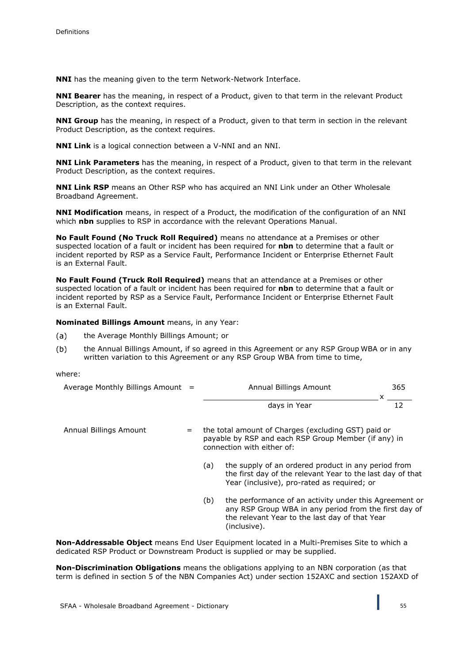**NNI** has the meaning given to the term Network-Network Interface.

**NNI Bearer** has the meaning, in respect of a Product, given to that term in the relevant Product Description, as the context requires.

**NNI Group** has the meaning, in respect of a Product, given to that term in section in the relevant Product Description, as the context requires.

**NNI Link** is a logical connection between a V-NNI and an NNI.

**NNI Link Parameters** has the meaning, in respect of a Product, given to that term in the relevant Product Description, as the context requires.

**NNI Link RSP** means an Other RSP who has acquired an NNI Link under an Other Wholesale Broadband Agreement.

**NNI Modification** means, in respect of a Product, the modification of the configuration of an NNI which **nbn** supplies to RSP in accordance with the relevant Operations Manual.

**No Fault Found (No Truck Roll Required)** means no attendance at a Premises or other suspected location of a fault or incident has been required for **nbn** to determine that a fault or incident reported by RSP as a Service Fault, Performance Incident or Enterprise Ethernet Fault is an External Fault.

**No Fault Found (Truck Roll Required)** means that an attendance at a Premises or other suspected location of a fault or incident has been required for **nbn** to determine that a fault or incident reported by RSP as a Service Fault, Performance Incident or Enterprise Ethernet Fault is an External Fault.

**Nominated Billings Amount** means, in any Year:

- $(a)$ the Average Monthly Billings Amount; or
- the Annual Billings Amount, if so agreed in this Agreement or any RSP Group WBA or in any  $(b)$ written variation to this Agreement or any RSP Group WBA from time to time,

where:

| Average Monthly Billings Amount $=$ | Annual Billings Amount | 365 |
|-------------------------------------|------------------------|-----|
|                                     | davs in Year           |     |

Annual Billings Amount  $=$  the total amount of Charges (excluding GST) paid or payable by RSP and each RSP Group Member (if any) in connection with either of:

- (a) the supply of an ordered product in any period from the first day of the relevant Year to the last day of that Year (inclusive), pro-rated as required; or
- (b) the performance of an activity under this Agreement or any RSP Group WBA in any period from the first day of the relevant Year to the last day of that Year (inclusive).

**Non-Addressable Object** means End User Equipment located in a Multi-Premises Site to which a dedicated RSP Product or Downstream Product is supplied or may be supplied.

**Non-Discrimination Obligations** means the obligations applying to an NBN corporation (as that term is defined in section 5 of the NBN Companies Act) under section 152AXC and section 152AXD of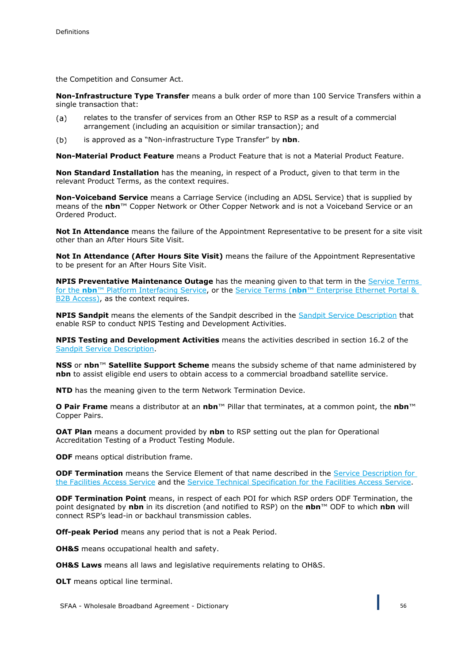the Competition and Consumer Act.

**Non-Infrastructure Type Transfer** means a bulk order of more than 100 Service Transfers within a single transaction that:

- relates to the transfer of services from an Other RSP to RSP as a result of a commercial  $(a)$ arrangement (including an acquisition or similar transaction); and
- is approved as a "Non-infrastructure Type Transfer" by **nbn**.  $(b)$

**Non-Material Product Feature** means a Product Feature that is not a Material Product Feature.

**Non Standard Installation** has the meaning, in respect of a Product, given to that term in the relevant Product Terms, as the context requires.

**Non-Voiceband Service** means a Carriage Service (including an ADSL Service) that is supplied by means of the **nbn**™ Copper Network or Other Copper Network and is not a Voiceband Service or an Ordered Product.

**Not In Attendance** means the failure of the Appointment Representative to be present for a site visit other than an After Hours Site Visit.

**Not In Attendance (After Hours Site Visit)** means the failure of the Appointment Representative to be present for an After Hours Site Visit.

**NPIS Preventative Maintenance Outage** has the meaning given to that term in the Service Terms for the **nbn**™ Platform Interfacing Service, or the Service Terms (**nbn**™ Enterprise Ethernet Portal & B2B Access), as the context requires.

**NPIS Sandpit** means the elements of the Sandpit described in the Sandpit Service Description that enable RSP to conduct NPIS Testing and Development Activities.

**NPIS Testing and Development Activities** means the activities described in section 16.2 of the Sandpit Service Description.

**NSS** or **nbn**™ **Satellite Support Scheme** means the subsidy scheme of that name administered by **nbn** to assist eligible end users to obtain access to a commercial broadband satellite service.

**NTD** has the meaning given to the term Network Termination Device.

**O Pair Frame** means a distributor at an **nbn**™ Pillar that terminates, at a common point, the **nbn**™ Copper Pairs.

**OAT Plan** means a document provided by **nbn** to RSP setting out the plan for Operational Accreditation Testing of a Product Testing Module.

**ODF** means optical distribution frame.

**ODF Termination** means the Service Element of that name described in the Service Description for the Facilities Access Service and the Service Technical Specification for the Facilities Access Service.

**ODF Termination Point** means, in respect of each POI for which RSP orders ODF Termination, the point designated by **nbn** in its discretion (and notified to RSP) on the **nbn**™ ODF to which **nbn** will connect RSP's lead-in or backhaul transmission cables.

**Off-peak Period** means any period that is not a Peak Period.

**OH&S** means occupational health and safety.

**OH&S Laws** means all laws and legislative requirements relating to OH&S.

**OLT** means optical line terminal.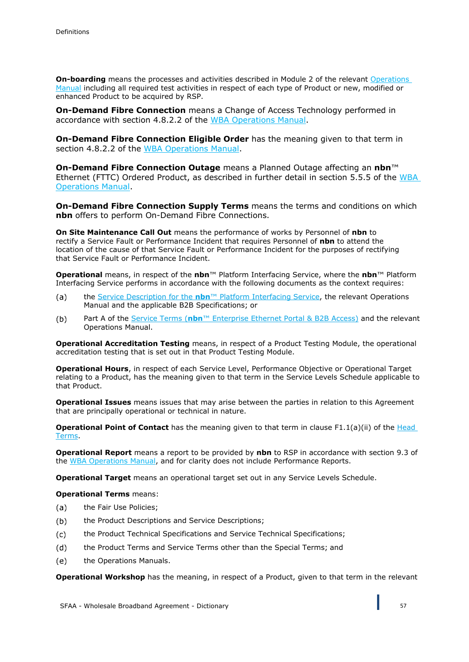**On-boarding** means the processes and activities described in Module 2 of the relevant Operations Manual including all required test activities in respect of each type of Product or new, modified or enhanced Product to be acquired by RSP.

**On-Demand Fibre Connection** means a Change of Access Technology performed in accordance with section 4.8.2.2 of the WBA Operations Manual.

**On-Demand Fibre Connection Eligible Order** has the meaning given to that term in section 4.8.2.2 of the WBA Operations Manual.

**On-Demand Fibre Connection Outage** means a Planned Outage affecting an **nbn**™ Ethernet (FTTC) Ordered Product, as described in further detail in section 5.5.5 of the WBA Operations Manual.

**On-Demand Fibre Connection Supply Terms** means the terms and conditions on which **nbn** offers to perform On-Demand Fibre Connections.

**On Site Maintenance Call Out** means the performance of works by Personnel of **nbn** to rectify a Service Fault or Performance Incident that requires Personnel of **nbn** to attend the location of the cause of that Service Fault or Performance Incident for the purposes of rectifying that Service Fault or Performance Incident.

**Operational** means, in respect of the **nbn**™ Platform Interfacing Service, where the **nbn**™ Platform Interfacing Service performs in accordance with the following documents as the context requires:

- the Service Description for the **nbn**™ Platform Interfacing Service, the relevant Operations  $(a)$ Manual and the applicable B2B Specifications; or
- $(b)$ Part A of the Service Terms (**nbn**™ Enterprise Ethernet Portal & B2B Access) and the relevant Operations Manual.

**Operational Accreditation Testing** means, in respect of a Product Testing Module, the operational accreditation testing that is set out in that Product Testing Module.

**Operational Hours**, in respect of each Service Level, Performance Objective or Operational Target relating to a Product, has the meaning given to that term in the Service Levels Schedule applicable to that Product.

**Operational Issues** means issues that may arise between the parties in relation to this Agreement that are principally operational or technical in nature.

**Operational Point of Contact** has the meaning given to that term in clause F1.1(a)(ii) of the Head Terms.

**Operational Report** means a report to be provided by **nbn** to RSP in accordance with section 9.3 of the WBA Operations Manual, and for clarity does not include Performance Reports.

**Operational Target** means an operational target set out in any Service Levels Schedule.

**Operational Terms** means:

- the Fair Use Policies;  $(a)$
- the Product Descriptions and Service Descriptions;  $(b)$
- the Product Technical Specifications and Service Technical Specifications;  $(c)$
- the Product Terms and Service Terms other than the Special Terms; and  $(d)$
- $(e)$ the Operations Manuals.

**Operational Workshop** has the meaning, in respect of a Product, given to that term in the relevant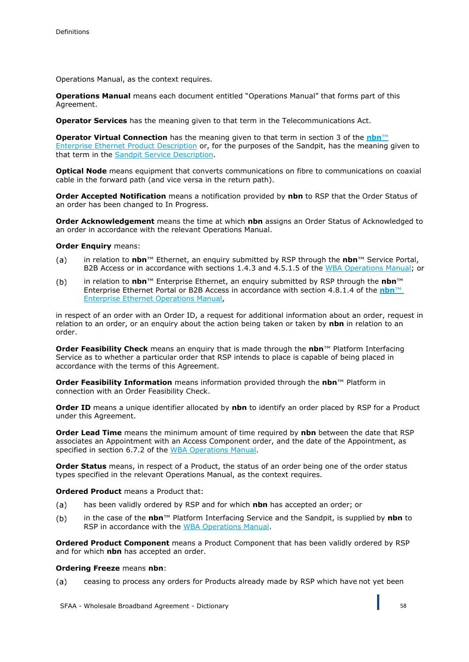Operations Manual, as the context requires.

**Operations Manual** means each document entitled "Operations Manual" that forms part of this Agreement.

**Operator Services** has the meaning given to that term in the Telecommunications Act.

**Operator Virtual Connection** has the meaning given to that term in section 3 of the **nbn**™ Enterprise Ethernet Product Description or, for the purposes of the Sandpit, has the meaning given to that term in the Sandpit Service Description.

**Optical Node** means equipment that converts communications on fibre to communications on coaxial cable in the forward path (and vice versa in the return path).

**Order Accepted Notification** means a notification provided by **nbn** to RSP that the Order Status of an order has been changed to In Progress.

**Order Acknowledgement** means the time at which **nbn** assigns an Order Status of Acknowledged to an order in accordance with the relevant Operations Manual.

### **Order Enquiry** means:

- in relation to **nbn**™ Ethernet, an enquiry submitted by RSP through the **nbn**™ Service Portal,  $(a)$ B2B Access or in accordance with sections 1.4.3 and 4.5.1.5 of the WBA Operations Manual; or
- in relation to **nbn**™ Enterprise Ethernet, an enquiry submitted by RSP through the **nbn**™  $(b)$ Enterprise Ethernet Portal or B2B Access in accordance with section 4.8.1.4 of the **nbn**™ Enterprise Ethernet Operations Manual,

in respect of an order with an Order ID, a request for additional information about an order, request in relation to an order, or an enquiry about the action being taken or taken by **nbn** in relation to an order.

**Order Feasibility Check** means an enquiry that is made through the **nbn**™ Platform Interfacing Service as to whether a particular order that RSP intends to place is capable of being placed in accordance with the terms of this Agreement.

**Order Feasibility Information** means information provided through the **nbn**™ Platform in connection with an Order Feasibility Check.

**Order ID** means a unique identifier allocated by **nbn** to identify an order placed by RSP for a Product under this Agreement.

**Order Lead Time** means the minimum amount of time required by **nbn** between the date that RSP associates an Appointment with an Access Component order, and the date of the Appointment, as specified in section 6.7.2 of the WBA Operations Manual.

**Order Status** means, in respect of a Product, the status of an order being one of the order status types specified in the relevant Operations Manual, as the context requires.

**Ordered Product** means a Product that:

- has been validly ordered by RSP and for which **nbn** has accepted an order; or  $(a)$
- $(b)$ in the case of the **nbn**™ Platform Interfacing Service and the Sandpit, is supplied by **nbn** to RSP in accordance with the WBA Operations Manual.

**Ordered Product Component** means a Product Component that has been validly ordered by RSP and for which **nbn** has accepted an order.

#### **Ordering Freeze** means **nbn**:

 $(a)$ ceasing to process any orders for Products already made by RSP which have not yet been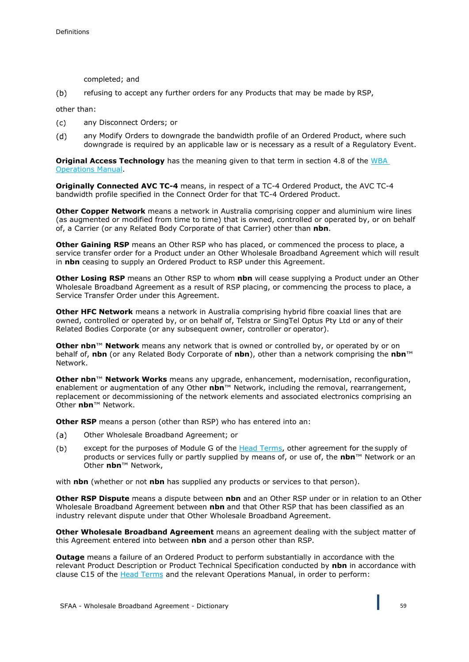completed; and

 $(b)$ refusing to accept any further orders for any Products that may be made by RSP,

other than:

- $(c)$ any Disconnect Orders; or
- $(d)$ any Modify Orders to downgrade the bandwidth profile of an Ordered Product, where such downgrade is required by an applicable law or is necessary as a result of a Regulatory Event.

**Original Access Technology** has the meaning given to that term in section 4.8 of the WBA Operations Manual.

**Originally Connected AVC TC-4** means, in respect of a TC-4 Ordered Product, the AVC TC-4 bandwidth profile specified in the Connect Order for that TC-4 Ordered Product.

**Other Copper Network** means a network in Australia comprising copper and aluminium wire lines (as augmented or modified from time to time) that is owned, controlled or operated by, or on behalf of, a Carrier (or any Related Body Corporate of that Carrier) other than **nbn**.

**Other Gaining RSP** means an Other RSP who has placed, or commenced the process to place, a service transfer order for a Product under an Other Wholesale Broadband Agreement which will result in **nbn** ceasing to supply an Ordered Product to RSP under this Agreement.

**Other Losing RSP** means an Other RSP to whom **nbn** will cease supplying a Product under an Other Wholesale Broadband Agreement as a result of RSP placing, or commencing the process to place, a Service Transfer Order under this Agreement.

**Other HFC Network** means a network in Australia comprising hybrid fibre coaxial lines that are owned, controlled or operated by, or on behalf of, Telstra or SingTel Optus Pty Ltd or any of their Related Bodies Corporate (or any subsequent owner, controller or operator).

**Other nbn™ Network** means any network that is owned or controlled by, or operated by or on behalf of, **nbn** (or any Related Body Corporate of **nbn**), other than a network comprising the **nbn**™ Network.

**Other nbn**™ **Network Works** means any upgrade, enhancement, modernisation, reconfiguration, enablement or augmentation of any Other **nbn**™ Network, including the removal, rearrangement, replacement or decommissioning of the network elements and associated electronics comprising an Other **nbn**™ Network.

**Other RSP** means a person (other than RSP) who has entered into an:

- $(a)$ Other Wholesale Broadband Agreement; or
- $(b)$ except for the purposes of Module G of the Head Terms, other agreement for the supply of products or services fully or partly supplied by means of, or use of, the **nbn**™ Network or an Other **nbn**™ Network,

with **nbn** (whether or not **nbn** has supplied any products or services to that person).

**Other RSP Dispute** means a dispute between **nbn** and an Other RSP under or in relation to an Other Wholesale Broadband Agreement between **nbn** and that Other RSP that has been classified as an industry relevant dispute under that Other Wholesale Broadband Agreement.

**Other Wholesale Broadband Agreement** means an agreement dealing with the subject matter of this Agreement entered into between **nbn** and a person other than RSP.

**Outage** means a failure of an Ordered Product to perform substantially in accordance with the relevant Product Description or Product Technical Specification conducted by **nbn** in accordance with clause C15 of the Head Terms and the relevant Operations Manual, in order to perform: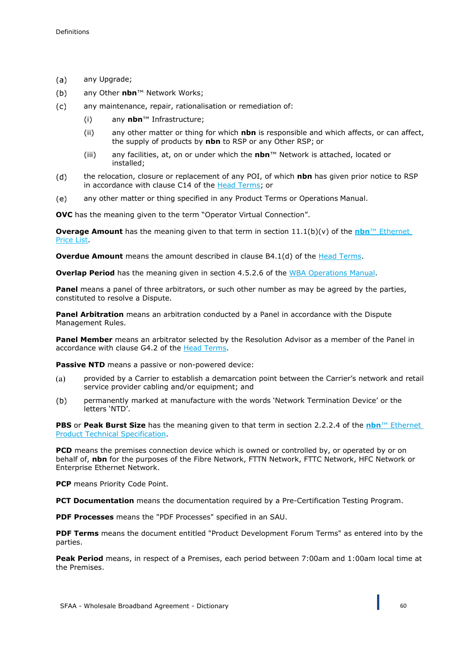- $(a)$ any Upgrade;
- $(b)$ any Other **nbn**™ Network Works;
- any maintenance, repair, rationalisation or remediation of:  $(c)$ 
	- (i) any **nbn**™ Infrastructure;
	- (ii) any other matter or thing for which **nbn** is responsible and which affects, or can affect, the supply of products by **nbn** to RSP or any Other RSP; or
	- (iii) any facilities, at, on or under which the **nbn**™ Network is attached, located or installed;
- the relocation, closure or replacement of any POI, of which **nbn** has given prior notice to RSP  $(d)$ in accordance with clause C14 of the Head Terms; or
- any other matter or thing specified in any Product Terms or Operations Manual.  $(e)$

**OVC** has the meaning given to the term "Operator Virtual Connection".

**Overage Amount** has the meaning given to that term in section 11.1(b)(v) of the **nbn**™ Ethernet Price List.

**Overdue Amount** means the amount described in clause B4.1(d) of the Head Terms.

**Overlap Period** has the meaning given in section 4.5.2.6 of the WBA Operations Manual.

**Panel** means a panel of three arbitrators, or such other number as may be agreed by the parties, constituted to resolve a Dispute.

**Panel Arbitration** means an arbitration conducted by a Panel in accordance with the Dispute Management Rules.

**Panel Member** means an arbitrator selected by the Resolution Advisor as a member of the Panel in accordance with clause G4.2 of the **Head Terms**.

Passive NTD means a passive or non-powered device:

- provided by a Carrier to establish a demarcation point between the Carrier's network and retail  $(a)$ service provider cabling and/or equipment; and
- $(b)$ permanently marked at manufacture with the words 'Network Termination Device' or the letters 'NTD'.

**PBS** or **Peak Burst Size** has the meaning given to that term in section 2.2.2.4 of the **nbn**™ Ethernet Product Technical Specification.

**PCD** means the premises connection device which is owned or controlled by, or operated by or on behalf of, **nbn** for the purposes of the Fibre Network, FTTN Network, FTTC Network, HFC Network or Enterprise Ethernet Network.

**PCP** means Priority Code Point.

**PCT Documentation** means the documentation required by a Pre-Certification Testing Program.

**PDF Processes** means the "PDF Processes" specified in an SAU.

**PDF Terms** means the document entitled "Product Development Forum Terms" as entered into by the parties.

**Peak Period** means, in respect of a Premises, each period between 7:00am and 1:00am local time at the Premises.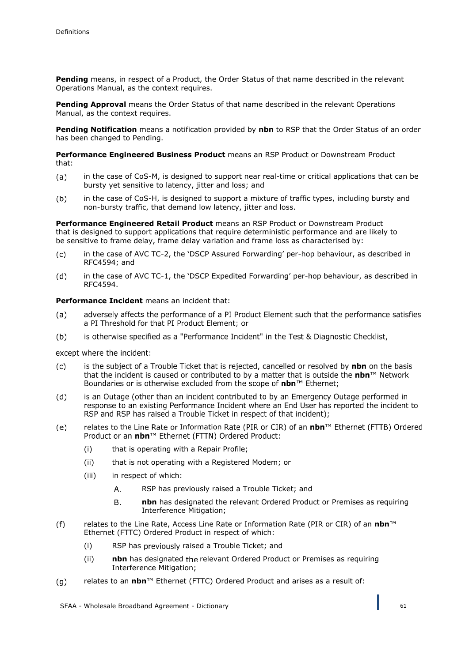**Pending** means, in respect of a Product, the Order Status of that name described in the relevant Operations Manual, as the context requires.

**Pending Approval** means the Order Status of that name described in the relevant Operations Manual, as the context requires.

**Pending Notification** means a notification provided by **nbn** to RSP that the Order Status of an order has been changed to Pending.

**Performance Engineered Business Product** means an RSP Product or Downstream Product that:

- in the case of CoS-M, is designed to support near real-time or critical applications that can be  $(a)$ bursty yet sensitive to latency, jitter and loss; and
- $(b)$ in the case of CoS-H, is designed to support a mixture of traffic types, including bursty and non-bursty traffic, that demand low latency, jitter and loss.

**Performance Engineered Retail Product** means an RSP Product or Downstream Product that is designed to support applications that require deterministic performance and are likely to be sensitive to frame delay, frame delay variation and frame loss as characterised by:

- $(c)$ in the case of AVC TC-2, the 'DSCP Assured Forwarding' per-hop behaviour, as described in RFC4594; and
- $(d)$ in the case of AVC TC-1, the 'DSCP Expedited Forwarding' per-hop behaviour, as described in RFC4594.

# **Performance Incident** means an incident that:

- adversely affects the performance of a PI Product Element such that the performance satisfies a PI Threshold for that PI Product Element; or (a)
- is otherwise specified as a "Performance Incident" in the Test & Diagnostic Checklist,  $(b)$

except where the incident:

- is the subject of a Trouble Ticket that is rejected, cancelled or resolved by nbn on the basis  $(c)$ that the incident is caused or contributed to by a matter that is outside the nbn™ Network Boundaries or is otherwise excluded from the scope of nbn™ Ethernet;
- is an Outage (other than an incident contributed to by an Emergency Outage performed in  $(d)$ response to an existing Performance Incident where an End User has reported the incident to RSP and RSP has raised a Trouble Ticket in respect of that incident);
- relates to the Line Rate or Information Rate (PIR or CIR) of an nbn™ Ethernet (FTTB) Ordered  $(e)$ Product or an nbn™ Ethernet (FTTN) Ordered Product:
	- (i) that is operating with a Repair Profile;
	- (ii) that is not operating with a Registered Modem; or
	- (iii) in respect of which:
		- $\overline{A}$ RSP has previously raised a Trouble Ticket; and
		- **nbn** has designated the relevant Ordered Product or Premises as requiring **B.** Interference Mitigation;
- $(f)$ relates to the Line Rate, Access Line Rate or Information Rate (PIR or CIR) of an *nbn™* Ethernet (FTTC) Ordered Product in respect of which:
	- (i) RSP has previously raised a Trouble Ticket; and
	- (ii) **nbn** has designated the relevant Ordered Product or Premises as requiring Interference Mitigation;
- $(q)$ relates to an **nbn**™ Ethernet (FTTC) Ordered Product and arises as a result of: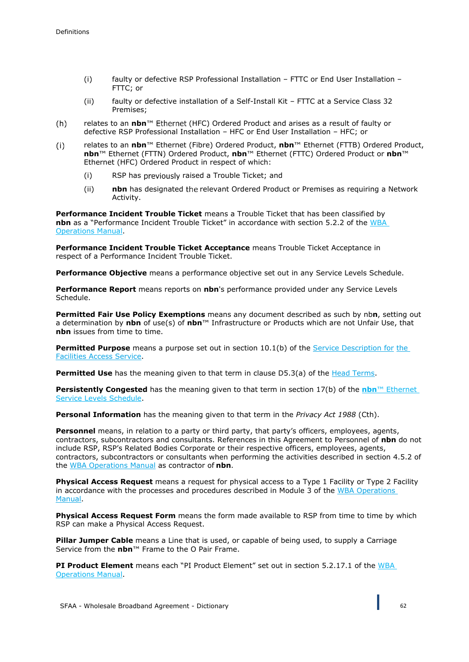- (i) faulty or defective RSP Professional Installation FTTC or End User Installation FTTC; or
- (ii) faulty or defective installation of a Self-Install Kit FTTC at a Service Class 32 Premises;
- $(h)$ relates to an **nbn**™ Ethernet (HFC) Ordered Product and arises as a result of faulty or defective RSP Professional Installation – HFC or End User Installation – HFC; or
- $(i)$ relates to an **nbn**™ Ethernet (Fibre) Ordered Product, **nbn**™ Ethernet (FTTB) Ordered Product, **nbn**™ Ethernet (FTTN) Ordered Product, **nbn**™ Ethernet (FTTC) Ordered Product or **nbn**™ Ethernet (HFC) Ordered Product in respect of which:
	- (i) RSP has previously raised a Trouble Ticket; and
	- (ii) **nbn** has designated the relevant Ordered Product or Premises as requiring a Network Activity.

**Performance Incident Trouble Ticket** means a Trouble Ticket that has been classified by **nbn** as a "Performance Incident Trouble Ticket" in accordance with section 5.2.2 of the WBA Operations Manual.

**Performance Incident Trouble Ticket Acceptance** means Trouble Ticket Acceptance in respect of a Performance Incident Trouble Ticket.

**Performance Objective** means a performance objective set out in any Service Levels Schedule.

**Performance Report** means reports on **nbn**'s performance provided under any Service Levels Schedule.

**Permitted Fair Use Policy Exemptions** means any document described as such by nb**n**, setting out a determination by **nbn** of use(s) of **nbn**™ Infrastructure or Products which are not Unfair Use, that **nbn** issues from time to time.

**Permitted Purpose** means a purpose set out in section 10.1(b) of the Service Description for the Facilities Access Service.

**Permitted Use** has the meaning given to that term in clause D5.3(a) of the Head Terms.

**Persistently Congested** has the meaning given to that term in section 17(b) of the **nbn**™ Ethernet Service Levels Schedule.

**Personal Information** has the meaning given to that term in the *Privacy Act 1988* (Cth).

**Personnel** means, in relation to a party or third party, that party's officers, employees, agents, contractors, subcontractors and consultants. References in this Agreement to Personnel of **nbn** do not include RSP, RSP's Related Bodies Corporate or their respective officers, employees, agents, contractors, subcontractors or consultants when performing the activities described in section 4.5.2 of the WBA Operations Manual as contractor of **nbn**.

**Physical Access Request** means a request for physical access to a Type 1 Facility or Type 2 Facility in accordance with the processes and procedures described in Module 3 of the WBA Operations Manual.

**Physical Access Request Form** means the form made available to RSP from time to time by which RSP can make a Physical Access Request.

**Pillar Jumper Cable** means a Line that is used, or capable of being used, to supply a Carriage Service from the **nbn**™ Frame to the O Pair Frame.

**PI Product Element** means each "PI Product Element" set out in section 5.2.17.1 of the WBA Operations Manual.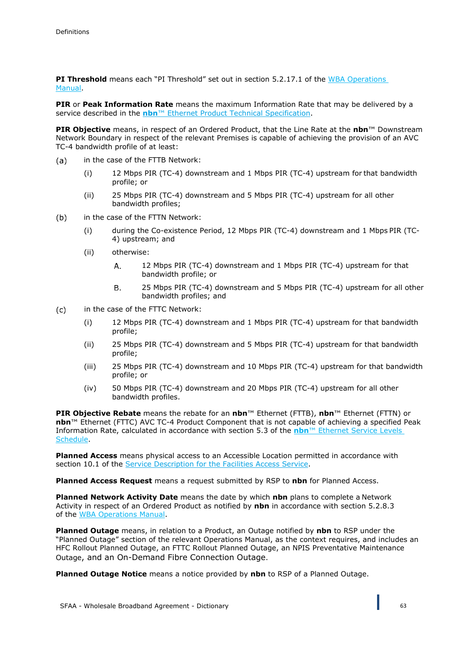**PI Threshold** means each "PI Threshold" set out in section 5.2.17.1 of the WBA Operations Manual.

**PIR** or **Peak Information Rate** means the maximum Information Rate that may be delivered by a service described in the **nbn**™ Ethernet Product Technical Specification.

**PIR Objective** means, in respect of an Ordered Product, that the Line Rate at the **nbn**™ Downstream Network Boundary in respect of the relevant Premises is capable of achieving the provision of an AVC TC-4 bandwidth profile of at least:

- in the case of the FTTB Network: (a)
	- (i) 12 Mbps PIR (TC-4) downstream and 1 Mbps PIR (TC-4) upstream for that bandwidth profile; or
	- (ii) 25 Mbps PIR (TC-4) downstream and 5 Mbps PIR (TC-4) upstream for all other bandwidth profiles;
- $(b)$ in the case of the FTTN Network:
	- (i) during the Co-existence Period, 12 Mbps PIR (TC-4) downstream and 1 Mbps PIR (TC-4) upstream; and
	- (ii) otherwise:
		- $A<sub>1</sub>$ 12 Mbps PIR (TC-4) downstream and 1 Mbps PIR (TC-4) upstream for that bandwidth profile; or
		- **B.** 25 Mbps PIR (TC-4) downstream and 5 Mbps PIR (TC-4) upstream for all other bandwidth profiles; and
- in the case of the FTTC Network:  $(c)$ 
	- (i) 12 Mbps PIR (TC-4) downstream and 1 Mbps PIR (TC-4) upstream for that bandwidth profile;
	- (ii) 25 Mbps PIR (TC-4) downstream and 5 Mbps PIR (TC-4) upstream for that bandwidth profile;
	- (iii) 25 Mbps PIR (TC-4) downstream and 10 Mbps PIR (TC-4) upstream for that bandwidth profile; or
	- (iv) 50 Mbps PIR (TC-4) downstream and 20 Mbps PIR (TC-4) upstream for all other bandwidth profiles.

**PIR Objective Rebate** means the rebate for an **nbn**™ Ethernet (FTTB), **nbn**™ Ethernet (FTTN) or **nbn**™ Ethernet (FTTC) AVC TC-4 Product Component that is not capable of achieving a specified Peak Information Rate, calculated in accordance with section 5.3 of the **nbn**™ Ethernet Service Levels Schedule.

**Planned Access** means physical access to an Accessible Location permitted in accordance with section 10.1 of the Service Description for the Facilities Access Service.

**Planned Access Request** means a request submitted by RSP to **nbn** for Planned Access.

**Planned Network Activity Date** means the date by which **nbn** plans to complete a Network Activity in respect of an Ordered Product as notified by **nbn** in accordance with section 5.2.8.3 of the WBA Operations Manual.

**Planned Outage** means, in relation to a Product, an Outage notified by **nbn** to RSP under the "Planned Outage" section of the relevant Operations Manual, as the context requires, and includes an HFC Rollout Planned Outage, an FTTC Rollout Planned Outage, an NPIS Preventative Maintenance Outage, and an On-Demand Fibre Connection Outage.

**Planned Outage Notice** means a notice provided by **nbn** to RSP of a Planned Outage.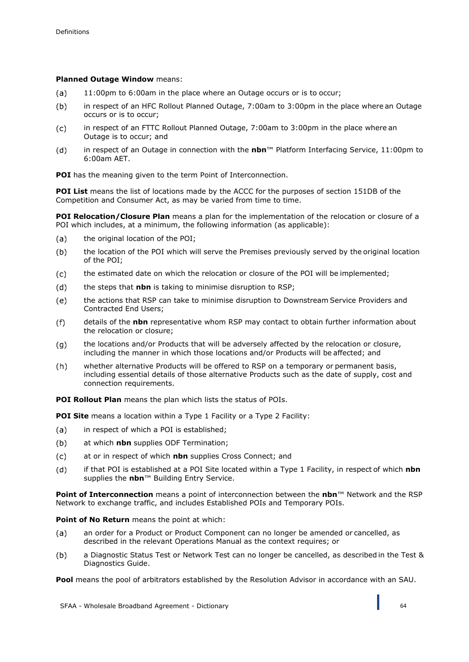# **Planned Outage Window** means:

- $(a)$ 11:00pm to 6:00am in the place where an Outage occurs or is to occur;
- $(b)$ in respect of an HFC Rollout Planned Outage, 7:00am to 3:00pm in the place where an Outage occurs or is to occur;
- $(c)$ in respect of an FTTC Rollout Planned Outage, 7:00am to 3:00pm in the place where an Outage is to occur; and
- in respect of an Outage in connection with the **nbn**™ Platform Interfacing Service, 11:00pm to  $(d)$ 6:00am AET.

**POI** has the meaning given to the term Point of Interconnection.

**POI List** means the list of locations made by the ACCC for the purposes of section 151DB of the Competition and Consumer Act, as may be varied from time to time.

**POI Relocation/Closure Plan** means a plan for the implementation of the relocation or closure of a POI which includes, at a minimum, the following information (as applicable):

- $(a)$ the original location of the POI;
- the location of the POI which will serve the Premises previously served by the original location  $(b)$ of the POI;
- the estimated date on which the relocation or closure of the POI will be implemented;  $(c)$
- $(d)$ the steps that **nbn** is taking to minimise disruption to RSP;
- (e) the actions that RSP can take to minimise disruption to Downstream Service Providers and Contracted End Users;
- $(f)$ details of the **nbn** representative whom RSP may contact to obtain further information about the relocation or closure;
- the locations and/or Products that will be adversely affected by the relocation or closure,  $(q)$ including the manner in which those locations and/or Products will be affected; and
- $(h)$ whether alternative Products will be offered to RSP on a temporary or permanent basis, including essential details of those alternative Products such as the date of supply, cost and connection requirements.

**POI Rollout Plan** means the plan which lists the status of POIs.

**POI Site** means a location within a Type 1 Facility or a Type 2 Facility:

- in respect of which a POI is established;  $(a)$
- $(b)$ at which **nbn** supplies ODF Termination;
- at or in respect of which **nbn** supplies Cross Connect; and  $(c)$
- if that POI is established at a POI Site located within a Type 1 Facility, in respect of which **nbn**   $(d)$ supplies the **nbn**™ Building Entry Service.

**Point of Interconnection** means a point of interconnection between the **nbn**™ Network and the RSP Network to exchange traffic, and includes Established POIs and Temporary POIs.

**Point of No Return** means the point at which:

- an order for a Product or Product Component can no longer be amended or cancelled, as  $(a)$ described in the relevant Operations Manual as the context requires; or
- $(b)$ a Diagnostic Status Test or Network Test can no longer be cancelled, as described in the Test & Diagnostics Guide.

**Pool** means the pool of arbitrators established by the Resolution Advisor in accordance with an SAU.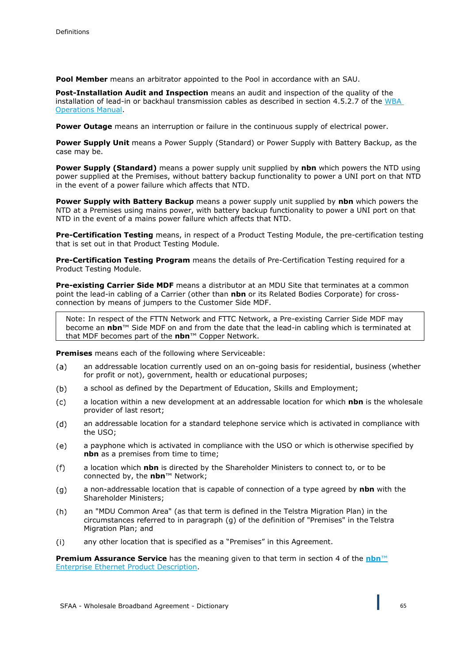**Pool Member** means an arbitrator appointed to the Pool in accordance with an SAU.

**Post-Installation Audit and Inspection** means an audit and inspection of the quality of the installation of lead-in or backhaul transmission cables as described in section 4.5.2.7 of the WBA Operations Manual.

**Power Outage** means an interruption or failure in the continuous supply of electrical power.

**Power Supply Unit** means a Power Supply (Standard) or Power Supply with Battery Backup, as the case may be.

**Power Supply (Standard)** means a power supply unit supplied by **nbn** which powers the NTD using power supplied at the Premises, without battery backup functionality to power a UNI port on that NTD in the event of a power failure which affects that NTD.

**Power Supply with Battery Backup** means a power supply unit supplied by **nbn** which powers the NTD at a Premises using mains power, with battery backup functionality to power a UNI port on that NTD in the event of a mains power failure which affects that NTD.

**Pre-Certification Testing** means, in respect of a Product Testing Module, the pre-certification testing that is set out in that Product Testing Module.

**Pre-Certification Testing Program** means the details of Pre-Certification Testing required for a Product Testing Module.

**Pre-existing Carrier Side MDF** means a distributor at an MDU Site that terminates at a common point the lead-in cabling of a Carrier (other than **nbn** or its Related Bodies Corporate) for crossconnection by means of jumpers to the Customer Side MDF.

Note: In respect of the FTTN Network and FTTC Network, a Pre-existing Carrier Side MDF may become an **nbn**™ Side MDF on and from the date that the lead-in cabling which is terminated at that MDF becomes part of the **nbn**™ Copper Network.

**Premises** means each of the following where Serviceable:

- an addressable location currently used on an on-going basis for residential, business (whether  $(a)$ for profit or not), government, health or educational purposes;
- a school as defined by the Department of Education, Skills and Employment;  $(b)$
- $(c)$ a location within a new development at an addressable location for which **nbn** is the wholesale provider of last resort;
- an addressable location for a standard telephone service which is activated in compliance with  $(d)$ the USO;
- a payphone which is activated in compliance with the USO or which is otherwise specified by  $(e)$ **nbn** as a premises from time to time;
- a location which **nbn** is directed by the Shareholder Ministers to connect to, or to be  $(f)$ connected by, the **nbn**™ Network;
- a non-addressable location that is capable of connection of a type agreed by **nbn** with the  $(g)$ Shareholder Ministers;
- $(h)$ an "MDU Common Area" (as that term is defined in the Telstra Migration Plan) in the circumstances referred to in paragraph (g) of the definition of "Premises" in the Telstra Migration Plan; and
- $(i)$ any other location that is specified as a "Premises" in this Agreement.

**Premium Assurance Service** has the meaning given to that term in section 4 of the **nbn**™ Enterprise Ethernet Product Description.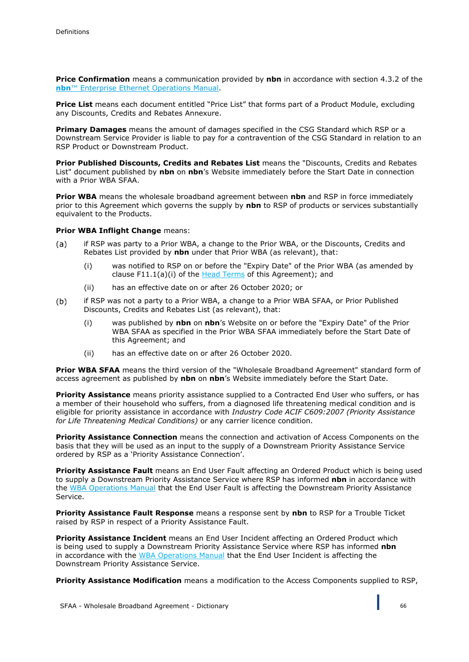**Price Confirmation** means a communication provided by **nbn** in accordance with section 4.3.2 of the **nbn**™ Enterprise Ethernet Operations Manual.

**Price List** means each document entitled "Price List" that forms part of a Product Module, excluding any Discounts, Credits and Rebates Annexure.

**Primary Damages** means the amount of damages specified in the CSG Standard which RSP or a Downstream Service Provider is liable to pay for a contravention of the CSG Standard in relation to an RSP Product or Downstream Product.

**Prior Published Discounts, Credits and Rebates List** means the "Discounts, Credits and Rebates List" document published by **nbn** on **nbn**'s Website immediately before the Start Date in connection with a Prior WBA SFAA.

**Prior WBA** means the wholesale broadband agreement between **nbn** and RSP in force immediately prior to this Agreement which governs the supply by **nbn** to RSP of products or services substantially equivalent to the Products.

### **Prior WBA Inflight Change** means:

- if RSP was party to a Prior WBA, a change to the Prior WBA, or the Discounts, Credits and  $(a)$ Rebates List provided by **nbn** under that Prior WBA (as relevant), that:
	- (i) was notified to RSP on or before the "Expiry Date" of the Prior WBA (as amended by clause F11.1(a)(i) of the Head Terms of this Agreement); and
	- (ii) has an effective date on or after 26 October 2020; or
- $(b)$ if RSP was not a party to a Prior WBA, a change to a Prior WBA SFAA, or Prior Published Discounts, Credits and Rebates List (as relevant), that:
	- (i) was published by **nbn** on **nbn**'s Website on or before the "Expiry Date" of the Prior WBA SFAA as specified in the Prior WBA SFAA immediately before the Start Date of this Agreement; and
	- (ii) has an effective date on or after 26 October 2020.

**Prior WBA SFAA** means the third version of the "Wholesale Broadband Agreement" standard form of access agreement as published by **nbn** on **nbn**'s Website immediately before the Start Date.

**Priority Assistance** means priority assistance supplied to a Contracted End User who suffers, or has a member of their household who suffers, from a diagnosed life threatening medical condition and is eligible for priority assistance in accordance with *Industry Code ACIF C609:2007 (Priority Assistance for Life Threatening Medical Conditions)* or any carrier licence condition.

**Priority Assistance Connection** means the connection and activation of Access Components on the basis that they will be used as an input to the supply of a Downstream Priority Assistance Service ordered by RSP as a 'Priority Assistance Connection'.

**Priority Assistance Fault** means an End User Fault affecting an Ordered Product which is being used to supply a Downstream Priority Assistance Service where RSP has informed **nbn** in accordance with the WBA Operations Manual that the End User Fault is affecting the Downstream Priority Assistance Service.

**Priority Assistance Fault Response** means a response sent by **nbn** to RSP for a Trouble Ticket raised by RSP in respect of a Priority Assistance Fault.

**Priority Assistance Incident** means an End User Incident affecting an Ordered Product which is being used to supply a Downstream Priority Assistance Service where RSP has informed **nbn**  in accordance with the WBA Operations Manual that the End User Incident is affecting the Downstream Priority Assistance Service.

**Priority Assistance Modification** means a modification to the Access Components supplied to RSP,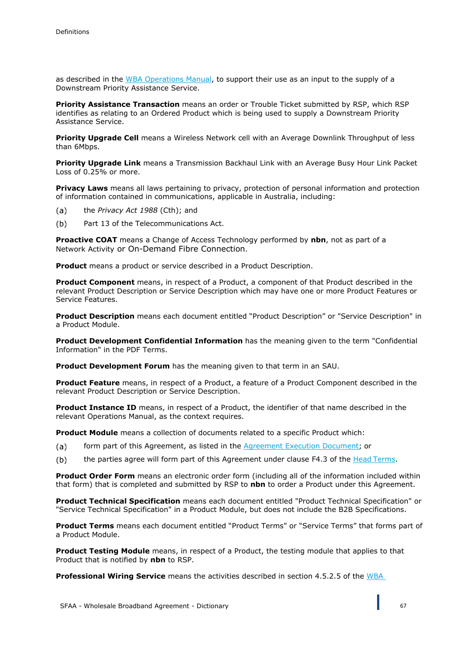as described in the WBA Operations Manual, to support their use as an input to the supply of a Downstream Priority Assistance Service.

**Priority Assistance Transaction** means an order or Trouble Ticket submitted by RSP, which RSP identifies as relating to an Ordered Product which is being used to supply a Downstream Priority Assistance Service.

**Priority Upgrade Cell** means a Wireless Network cell with an Average Downlink Throughput of less than 6Mbps.

**Priority Upgrade Link** means a Transmission Backhaul Link with an Average Busy Hour Link Packet Loss of 0.25% or more.

**Privacy Laws** means all laws pertaining to privacy, protection of personal information and protection of information contained in communications, applicable in Australia, including:

- the *Privacy Act 1988* (Cth); and  $(a)$
- $(b)$ Part 13 of the Telecommunications Act.

**Proactive COAT** means a Change of Access Technology performed by **nbn**, not as part of a Network Activity or On-Demand Fibre Connection.

**Product** means a product or service described in a Product Description.

**Product Component** means, in respect of a Product, a component of that Product described in the relevant Product Description or Service Description which may have one or more Product Features or Service Features.

**Product Description** means each document entitled "Product Description" or "Service Description" in a Product Module.

**Product Development Confidential Information** has the meaning given to the term "Confidential Information" in the PDF Terms.

**Product Development Forum** has the meaning given to that term in an SAU.

**Product Feature** means, in respect of a Product, a feature of a Product Component described in the relevant Product Description or Service Description.

**Product Instance ID** means, in respect of a Product, the identifier of that name described in the relevant Operations Manual, as the context requires.

**Product Module** means a collection of documents related to a specific Product which:

- $(a)$ form part of this Agreement, as listed in the Agreement Execution Document; or
- the parties agree will form part of this Agreement under clause F4.3 of the Head Terms.  $(b)$

**Product Order Form** means an electronic order form (including all of the information included within that form) that is completed and submitted by RSP to **nbn** to order a Product under this Agreement.

**Product Technical Specification** means each document entitled "Product Technical Specification" or "Service Technical Specification" in a Product Module, but does not include the B2B Specifications.

**Product Terms** means each document entitled "Product Terms" or "Service Terms" that forms part of a Product Module.

**Product Testing Module** means, in respect of a Product, the testing module that applies to that Product that is notified by **nbn** to RSP.

**Professional Wiring Service** means the activities described in section 4.5.2.5 of the WBA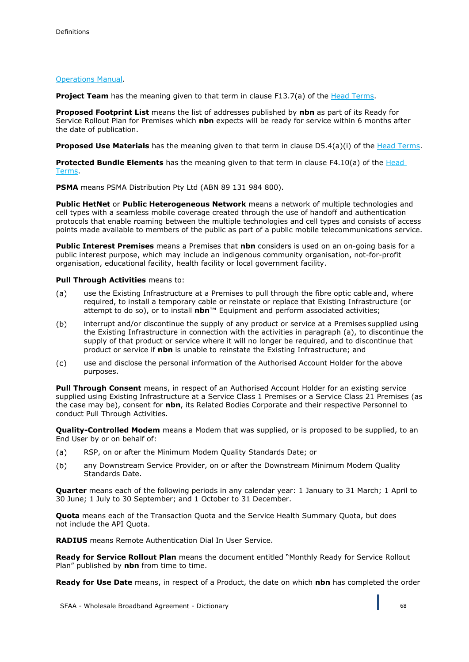## Operations Manual.

**Project Team** has the meaning given to that term in clause F13.7(a) of the Head Terms.

**Proposed Footprint List** means the list of addresses published by **nbn** as part of its Ready for Service Rollout Plan for Premises which **nbn** expects will be ready for service within 6 months after the date of publication.

**Proposed Use Materials** has the meaning given to that term in clause D5.4(a)(i) of the Head Terms.

**Protected Bundle Elements** has the meaning given to that term in clause F4.10(a) of the Head Terms.

**PSMA** means PSMA Distribution Pty Ltd (ABN 89 131 984 800).

**Public HetNet** or **Public Heterogeneous Network** means a network of multiple technologies and cell types with a seamless mobile coverage created through the use of handoff and authentication protocols that enable roaming between the multiple technologies and cell types and consists of access points made available to members of the public as part of a public mobile telecommunications service.

**Public Interest Premises** means a Premises that **nbn** considers is used on an on-going basis for a public interest purpose, which may include an indigenous community organisation, not-for-profit organisation, educational facility, health facility or local government facility.

### **Pull Through Activities** means to:

- $(a)$ use the Existing Infrastructure at a Premises to pull through the fibre optic cable and, where required, to install a temporary cable or reinstate or replace that Existing Infrastructure (or attempt to do so), or to install **nbn**™ Equipment and perform associated activities;
- interrupt and/or discontinue the supply of any product or service at a Premises supplied using  $(b)$ the Existing Infrastructure in connection with the activities in paragraph (a), to discontinue the supply of that product or service where it will no longer be required, and to discontinue that product or service if **nbn** is unable to reinstate the Existing Infrastructure; and
- use and disclose the personal information of the Authorised Account Holder for the above  $(c)$ purposes.

**Pull Through Consent** means, in respect of an Authorised Account Holder for an existing service supplied using Existing Infrastructure at a Service Class 1 Premises or a Service Class 21 Premises (as the case may be), consent for **nbn**, its Related Bodies Corporate and their respective Personnel to conduct Pull Through Activities.

**Quality-Controlled Modem** means a Modem that was supplied, or is proposed to be supplied, to an End User by or on behalf of:

- $(a)$ RSP, on or after the Minimum Modem Quality Standards Date; or
- $(b)$ any Downstream Service Provider, on or after the Downstream Minimum Modem Quality Standards Date.

**Quarter** means each of the following periods in any calendar year: 1 January to 31 March; 1 April to 30 June; 1 July to 30 September; and 1 October to 31 December.

**Quota** means each of the Transaction Quota and the Service Health Summary Quota, but does not include the API Quota.

**RADIUS** means Remote Authentication Dial In User Service.

**Ready for Service Rollout Plan** means the document entitled "Monthly Ready for Service Rollout Plan" published by **nbn** from time to time.

**Ready for Use Date** means, in respect of a Product, the date on which **nbn** has completed the order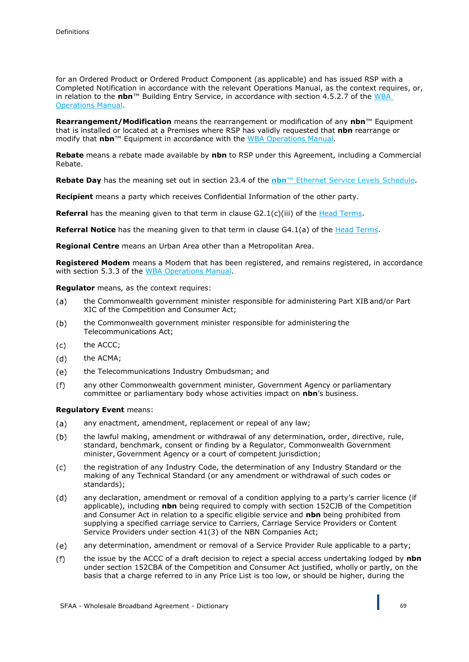for an Ordered Product or Ordered Product Component (as applicable) and has issued RSP with a Completed Notification in accordance with the relevant Operations Manual, as the context requires, or, in relation to the **nbn**™ Building Entry Service, in accordance with section 4.5.2.7 of the WBA Operations Manual.

**Rearrangement/Modification** means the rearrangement or modification of any **nbn**™ Equipment that is installed or located at a Premises where RSP has validly requested that **nbn** rearrange or modify that **nbn**™ Equipment in accordance with the WBA Operations Manual.

**Rebate** means a rebate made available by **nbn** to RSP under this Agreement, including a Commercial Rebate.

**Rebate Day** has the meaning set out in section 23.4 of the **nbn**™ Ethernet Service Levels Schedule.

**Recipient** means a party which receives Confidential Information of the other party.

**Referral** has the meaning given to that term in clause G2.1(c)(iii) of the Head Terms.

**Referral Notice** has the meaning given to that term in clause G4.1(a) of the Head Terms.

**Regional Centre** means an Urban Area other than a Metropolitan Area.

**Registered Modem** means a Modem that has been registered, and remains registered, in accordance with section 5.3.3 of the WBA Operations Manual.

**Regulator** means, as the context requires:

- the Commonwealth government minister responsible for administering Part XIB and/or Part (a) XIC of the Competition and Consumer Act;
- the Commonwealth government minister responsible for administering the  $(b)$ Telecommunications Act;
- the ACCC; (c)
- $(d)$ the ACMA;
- the Telecommunications Industry Ombudsman; and (e)
- $(f)$ any other Commonwealth government minister, Government Agency or parliamentary committee or parliamentary body whose activities impact on **nbn**'s business.

#### **Regulatory Event** means:

- any enactment, amendment, replacement or repeal of any law;  $(a)$
- $(b)$ the lawful making, amendment or withdrawal of any determination, order, directive, rule, standard, benchmark, consent or finding by a Regulator, Commonwealth Government minister, Government Agency or a court of competent jurisdiction;
- $(c)$ the registration of any Industry Code, the determination of any Industry Standard or the making of any Technical Standard (or any amendment or withdrawal of such codes or standards);
- any declaration, amendment or removal of a condition applying to a party's carrier licence (if  $(d)$ applicable), including **nbn** being required to comply with section 152CJB of the Competition and Consumer Act in relation to a specific eligible service and **nbn** being prohibited from supplying a specified carriage service to Carriers, Carriage Service Providers or Content Service Providers under section 41(3) of the NBN Companies Act;
- $(e)$ any determination, amendment or removal of a Service Provider Rule applicable to a party;
- $(f)$ the issue by the ACCC of a draft decision to reject a special access undertaking lodged by **nbn**  under section 152CBA of the Competition and Consumer Act justified, wholly or partly, on the basis that a charge referred to in any Price List is too low, or should be higher, during the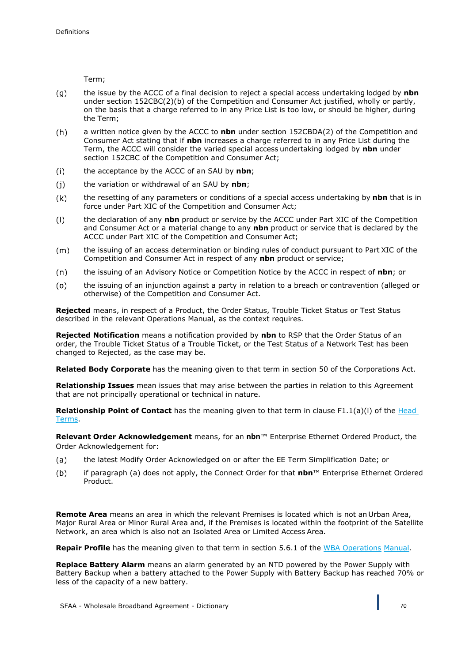Term;

- the issue by the ACCC of a final decision to reject a special access undertaking lodged by **nbn**   $(g)$ under section 152CBC(2)(b) of the Competition and Consumer Act justified, wholly or partly, on the basis that a charge referred to in any Price List is too low, or should be higher, during the Term;
- $(h)$ a written notice given by the ACCC to **nbn** under section 152CBDA(2) of the Competition and Consumer Act stating that if **nbn** increases a charge referred to in any Price List during the Term, the ACCC will consider the varied special access undertaking lodged by **nbn** under section 152CBC of the Competition and Consumer Act;
- the acceptance by the ACCC of an SAU by **nbn**;  $(i)$
- $(i)$ the variation or withdrawal of an SAU by **nbn**;
- $(k)$ the resetting of any parameters or conditions of a special access undertaking by **nbn** that is in force under Part XIC of the Competition and Consumer Act;
- the declaration of any **nbn** product or service by the ACCC under Part XIC of the Competition  $(1)$ and Consumer Act or a material change to any **nbn** product or service that is declared by the ACCC under Part XIC of the Competition and Consumer Act;
- $(m)$ the issuing of an access determination or binding rules of conduct pursuant to Part XIC of the Competition and Consumer Act in respect of any **nbn** product or service;
- the issuing of an Advisory Notice or Competition Notice by the ACCC in respect of **nbn**; or  $(n)$
- the issuing of an injunction against a party in relation to a breach or contravention (alleged or  $(o)$ otherwise) of the Competition and Consumer Act.

**Rejected** means, in respect of a Product, the Order Status, Trouble Ticket Status or Test Status described in the relevant Operations Manual, as the context requires.

**Rejected Notification** means a notification provided by **nbn** to RSP that the Order Status of an order, the Trouble Ticket Status of a Trouble Ticket, or the Test Status of a Network Test has been changed to Rejected, as the case may be.

**Related Body Corporate** has the meaning given to that term in section 50 of the Corporations Act.

**Relationship Issues** mean issues that may arise between the parties in relation to this Agreement that are not principally operational or technical in nature.

**Relationship Point of Contact** has the meaning given to that term in clause F1.1(a)(i) of the Head Terms.

**Relevant Order Acknowledgement** means, for an **nbn**™ Enterprise Ethernet Ordered Product, the Order Acknowledgement for:

- the latest Modify Order Acknowledged on or after the EE Term Simplification Date; or  $(a)$
- $(b)$ if paragraph (a) does not apply, the Connect Order for that **nbn**™ Enterprise Ethernet Ordered Product.

**Remote Area** means an area in which the relevant Premises is located which is not an Urban Area, Major Rural Area or Minor Rural Area and, if the Premises is located within the footprint of the Satellite Network, an area which is also not an Isolated Area or Limited Access Area.

**Repair Profile** has the meaning given to that term in section 5.6.1 of the WBA Operations Manual.

**Replace Battery Alarm** means an alarm generated by an NTD powered by the Power Supply with Battery Backup when a battery attached to the Power Supply with Battery Backup has reached 70% or less of the capacity of a new battery.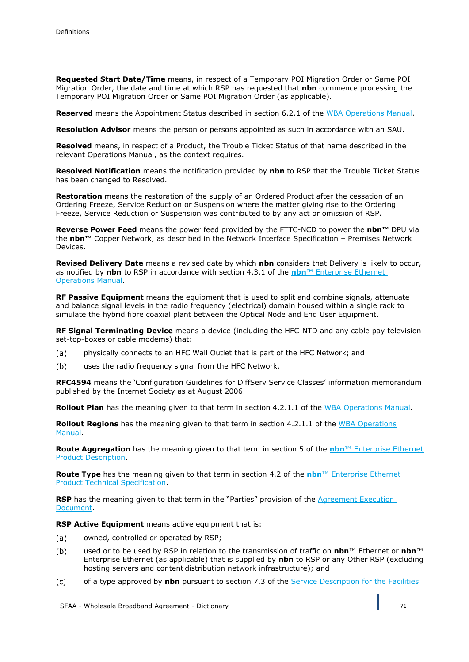**Requested Start Date/Time** means, in respect of a Temporary POI Migration Order or Same POI Migration Order, the date and time at which RSP has requested that **nbn** commence processing the Temporary POI Migration Order or Same POI Migration Order (as applicable).

**Reserved** means the Appointment Status described in section 6.2.1 of the WBA Operations Manual.

**Resolution Advisor** means the person or persons appointed as such in accordance with an SAU.

**Resolved** means, in respect of a Product, the Trouble Ticket Status of that name described in the relevant Operations Manual, as the context requires.

**Resolved Notification** means the notification provided by **nbn** to RSP that the Trouble Ticket Status has been changed to Resolved.

**Restoration** means the restoration of the supply of an Ordered Product after the cessation of an Ordering Freeze, Service Reduction or Suspension where the matter giving rise to the Ordering Freeze, Service Reduction or Suspension was contributed to by any act or omission of RSP.

**Reverse Power Feed** means the power feed provided by the FTTC-NCD to power the **nbn™** DPU via the **nbn™** Copper Network, as described in the Network Interface Specification – Premises Network Devices.

**Revised Delivery Date** means a revised date by which **nbn** considers that Delivery is likely to occur, as notified by **nbn** to RSP in accordance with section 4.3.1 of the **nbn**™ Enterprise Ethernet Operations Manual.

**RF Passive Equipment** means the equipment that is used to split and combine signals, attenuate and balance signal levels in the radio frequency (electrical) domain housed within a single rack to simulate the hybrid fibre coaxial plant between the Optical Node and End User Equipment.

**RF Signal Terminating Device** means a device (including the HFC-NTD and any cable pay television set-top-boxes or cable modems) that:

- physically connects to an HFC Wall Outlet that is part of the HFC Network; and (a)
- $(b)$ uses the radio frequency signal from the HFC Network.

**RFC4594** means the 'Configuration Guidelines for DiffServ Service Classes' information memorandum published by the Internet Society as at August 2006.

**Rollout Plan** has the meaning given to that term in section 4.2.1.1 of the WBA Operations Manual.

**Rollout Regions** has the meaning given to that term in section 4.2.1.1 of the WBA Operations Manual.

**Route Aggregation** has the meaning given to that term in section 5 of the **nbn**™ Enterprise Ethernet Product Description.

**Route Type** has the meaning given to that term in section 4.2 of the **nbn**™ Enterprise Ethernet Product Technical Specification.

**RSP** has the meaning given to that term in the "Parties" provision of the Agreement Execution Document.

**RSP Active Equipment** means active equipment that is:

- owned, controlled or operated by RSP;  $(a)$
- $(b)$ used or to be used by RSP in relation to the transmission of traffic on **nbn**™ Ethernet or **nbn**™ Enterprise Ethernet (as applicable) that is supplied by **nbn** to RSP or any Other RSP (excluding hosting servers and content distribution network infrastructure); and
- $(c)$ of a type approved by **nbn** pursuant to section 7.3 of the **Service Description for the Facilities**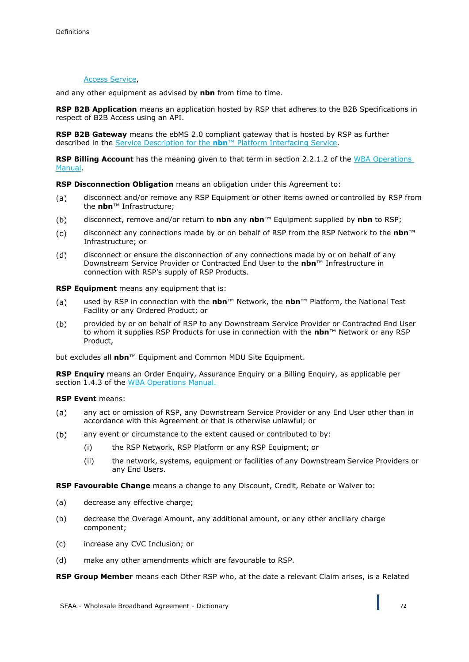### Access Service,

and any other equipment as advised by **nbn** from time to time.

**RSP B2B Application** means an application hosted by RSP that adheres to the B2B Specifications in respect of B2B Access using an API.

**RSP B2B Gateway** means the ebMS 2.0 compliant gateway that is hosted by RSP as further described in the Service Description for the **nbn**™ Platform Interfacing Service.

**RSP Billing Account** has the meaning given to that term in section 2.2.1.2 of the WBA Operations Manual.

**RSP Disconnection Obligation** means an obligation under this Agreement to:

- disconnect and/or remove any RSP Equipment or other items owned or controlled by RSP from  $(a)$ the **nbn**™ Infrastructure;
- disconnect, remove and/or return to **nbn** any **nbn**™ Equipment supplied by **nbn** to RSP;  $(b)$
- disconnect any connections made by or on behalf of RSP from the RSP Network to the **nbn**™  $(c)$ Infrastructure; or
- $(d)$ disconnect or ensure the disconnection of any connections made by or on behalf of any Downstream Service Provider or Contracted End User to the **nbn**™ Infrastructure in connection with RSP's supply of RSP Products.

**RSP Equipment** means any equipment that is:

- used by RSP in connection with the **nbn**™ Network, the **nbn**™ Platform, the National Test  $(a)$ Facility or any Ordered Product; or
- $(b)$ provided by or on behalf of RSP to any Downstream Service Provider or Contracted End User to whom it supplies RSP Products for use in connection with the **nbn**™ Network or any RSP Product,

but excludes all **nbn**™ Equipment and Common MDU Site Equipment.

**RSP Enquiry** means an Order Enquiry, Assurance Enquiry or a Billing Enquiry, as applicable per section 1.4.3 of the WBA Operations Manual.

**RSP Event** means:

- $(a)$ any act or omission of RSP, any Downstream Service Provider or any End User other than in accordance with this Agreement or that is otherwise unlawful; or
- $(b)$ any event or circumstance to the extent caused or contributed to by:
	- (i) the RSP Network, RSP Platform or any RSP Equipment; or
	- (ii) the network, systems, equipment or facilities of any Downstream Service Providers or any End Users.

**RSP Favourable Change** means a change to any Discount, Credit, Rebate or Waiver to:

- (a) decrease any effective charge;
- (b) decrease the Overage Amount, any additional amount, or any other ancillary charge component;
- (c) increase any CVC Inclusion; or
- (d) make any other amendments which are favourable to RSP.

**RSP Group Member** means each Other RSP who, at the date a relevant Claim arises, is a Related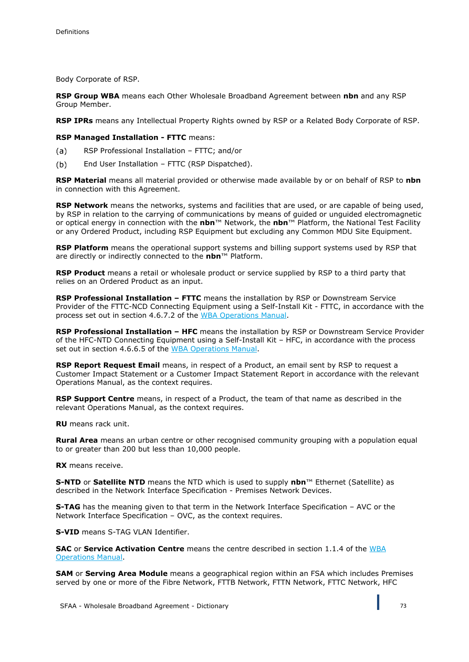Body Corporate of RSP.

**RSP Group WBA** means each Other Wholesale Broadband Agreement between **nbn** and any RSP Group Member.

**RSP IPRs** means any Intellectual Property Rights owned by RSP or a Related Body Corporate of RSP.

**RSP Managed Installation - FTTC** means:

- RSP Professional Installation FTTC; and/or  $(a)$
- $(b)$ End User Installation – FTTC (RSP Dispatched).

**RSP Material** means all material provided or otherwise made available by or on behalf of RSP to **nbn**  in connection with this Agreement.

**RSP Network** means the networks, systems and facilities that are used, or are capable of being used, by RSP in relation to the carrying of communications by means of guided or unguided electromagnetic or optical energy in connection with the **nbn**™ Network, the **nbn**™ Platform, the National Test Facility or any Ordered Product, including RSP Equipment but excluding any Common MDU Site Equipment.

**RSP Platform** means the operational support systems and billing support systems used by RSP that are directly or indirectly connected to the **nbn**™ Platform.

**RSP Product** means a retail or wholesale product or service supplied by RSP to a third party that relies on an Ordered Product as an input.

**RSP Professional Installation – FTTC** means the installation by RSP or Downstream Service Provider of the FTTC-NCD Connecting Equipment using a Self-Install Kit - FTTC, in accordance with the process set out in section 4.6.7.2 of the WBA Operations Manual.

**RSP Professional Installation – HFC** means the installation by RSP or Downstream Service Provider of the HFC-NTD Connecting Equipment using a Self-Install Kit – HFC, in accordance with the process set out in section 4.6.6.5 of the WBA Operations Manual.

**RSP Report Request Email** means, in respect of a Product, an email sent by RSP to request a Customer Impact Statement or a Customer Impact Statement Report in accordance with the relevant Operations Manual, as the context requires.

**RSP Support Centre** means, in respect of a Product, the team of that name as described in the relevant Operations Manual, as the context requires.

**RU** means rack unit.

**Rural Area** means an urban centre or other recognised community grouping with a population equal to or greater than 200 but less than 10,000 people.

**RX** means receive.

**S-NTD** or **Satellite NTD** means the NTD which is used to supply **nbn**™ Ethernet (Satellite) as described in the Network Interface Specification - Premises Network Devices.

**S-TAG** has the meaning given to that term in the Network Interface Specification – AVC or the Network Interface Specification – OVC, as the context requires.

**S-VID** means S-TAG VLAN Identifier.

**SAC** or **Service Activation Centre** means the centre described in section 1.1.4 of the WBA Operations Manual.

**SAM** or **Serving Area Module** means a geographical region within an FSA which includes Premises served by one or more of the Fibre Network, FTTB Network, FTTN Network, FTTC Network, HFC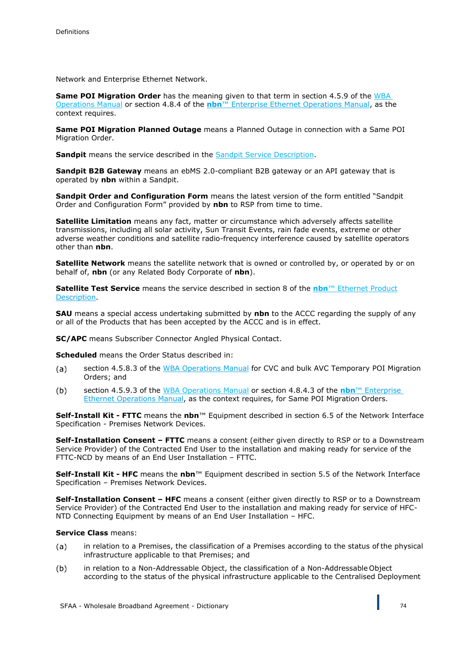Network and Enterprise Ethernet Network.

**Same POI Migration Order** has the meaning given to that term in section 4.5.9 of the WBA Operations Manual or section 4.8.4 of the **nbn**™ Enterprise Ethernet Operations Manual, as the context requires.

**Same POI Migration Planned Outage** means a Planned Outage in connection with a Same POI Migration Order.

**Sandpit** means the service described in the Sandpit Service Description.

**Sandpit B2B Gateway** means an ebMS 2.0-compliant B2B gateway or an API gateway that is operated by **nbn** within a Sandpit.

**Sandpit Order and Configuration Form** means the latest version of the form entitled "Sandpit Order and Configuration Form" provided by **nbn** to RSP from time to time.

**Satellite Limitation** means any fact, matter or circumstance which adversely affects satellite transmissions, including all solar activity, Sun Transit Events, rain fade events, extreme or other adverse weather conditions and satellite radio-frequency interference caused by satellite operators other than **nbn**.

**Satellite Network** means the satellite network that is owned or controlled by, or operated by or on behalf of, **nbn** (or any Related Body Corporate of **nbn**).

**Satellite Test Service** means the service described in section 8 of the **nbn**™ Ethernet Product Description.

**SAU** means a special access undertaking submitted by **nbn** to the ACCC regarding the supply of any or all of the Products that has been accepted by the ACCC and is in effect.

**SC/APC** means Subscriber Connector Angled Physical Contact.

**Scheduled** means the Order Status described in:

- section 4.5.8.3 of the WBA Operations Manual for CVC and bulk AVC Temporary POI Migration  $(a)$ Orders; and
- $(b)$ section 4.5.9.3 of the WBA Operations Manual or section 4.8.4.3 of the **nbn**™ Enterprise Ethernet Operations Manual, as the context requires, for Same POI Migration Orders.

**Self-Install Kit - FTTC** means the **nbn**™ Equipment described in section 6.5 of the Network Interface Specification - Premises Network Devices.

**Self-Installation Consent – FTTC** means a consent (either given directly to RSP or to a Downstream Service Provider) of the Contracted End User to the installation and making ready for service of the FTTC-NCD by means of an End User Installation – FTTC.

**Self-Install Kit - HFC** means the **nbn**™ Equipment described in section 5.5 of the Network Interface Specification – Premises Network Devices.

**Self-Installation Consent – HFC** means a consent (either given directly to RSP or to a Downstream Service Provider) of the Contracted End User to the installation and making ready for service of HFC-NTD Connecting Equipment by means of an End User Installation – HFC.

## **Service Class** means:

- $(a)$ in relation to a Premises, the classification of a Premises according to the status of the physical infrastructure applicable to that Premises; and
- $(b)$ in relation to a Non-Addressable Object, the classification of a Non-Addressable Object according to the status of the physical infrastructure applicable to the Centralised Deployment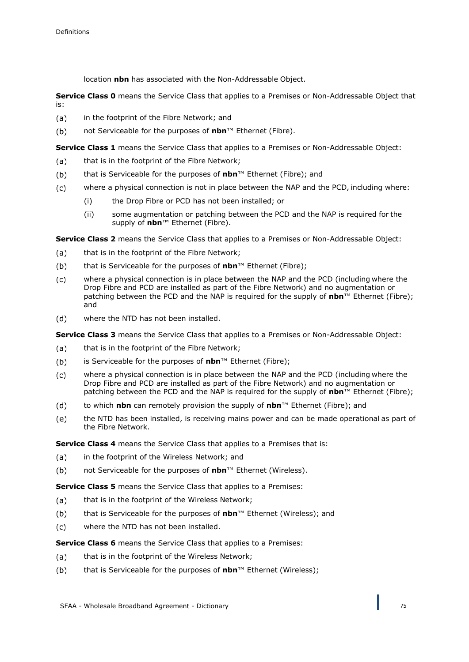location **nbn** has associated with the Non-Addressable Object.

**Service Class 0** means the Service Class that applies to a Premises or Non-Addressable Object that is:

- in the footprint of the Fibre Network; and  $(a)$
- $(b)$ not Serviceable for the purposes of **nbn**™ Ethernet (Fibre).

**Service Class 1** means the Service Class that applies to a Premises or Non-Addressable Object:

- $(a)$ that is in the footprint of the Fibre Network;
- that is Serviceable for the purposes of **nbn**™ Ethernet (Fibre); and  $(b)$
- $(c)$ where a physical connection is not in place between the NAP and the PCD, including where:
	- (i) the Drop Fibre or PCD has not been installed; or
	- (ii) some augmentation or patching between the PCD and the NAP is required for the supply of **nbn**™ Ethernet (Fibre).

**Service Class 2** means the Service Class that applies to a Premises or Non-Addressable Object:

- that is in the footprint of the Fibre Network;  $(a)$
- that is Serviceable for the purposes of **nbn**™ Ethernet (Fibre);  $(b)$
- $(c)$ where a physical connection is in place between the NAP and the PCD (including where the Drop Fibre and PCD are installed as part of the Fibre Network) and no augmentation or patching between the PCD and the NAP is required for the supply of **nbn**™ Ethernet (Fibre); and
- where the NTD has not been installed.  $(d)$

**Service Class 3** means the Service Class that applies to a Premises or Non-Addressable Object:

- $(a)$ that is in the footprint of the Fibre Network;
- $(b)$ is Serviceable for the purposes of **nbn**™ Ethernet (Fibre);
- $(c)$ where a physical connection is in place between the NAP and the PCD (including where the Drop Fibre and PCD are installed as part of the Fibre Network) and no augmentation or patching between the PCD and the NAP is required for the supply of **nbn**™ Ethernet (Fibre);
- to which **nbn** can remotely provision the supply of **nbn**™ Ethernet (Fibre); and  $(d)$
- $(e)$ the NTD has been installed, is receiving mains power and can be made operational as part of the Fibre Network.

**Service Class 4** means the Service Class that applies to a Premises that is:

- in the footprint of the Wireless Network; and  $(a)$
- $(b)$ not Serviceable for the purposes of **nbn**™ Ethernet (Wireless).

**Service Class 5** means the Service Class that applies to a Premises:

- that is in the footprint of the Wireless Network;  $(a)$
- that is Serviceable for the purposes of **nbn**™ Ethernet (Wireless); and  $(b)$
- $(c)$ where the NTD has not been installed.

**Service Class 6** means the Service Class that applies to a Premises:

- that is in the footprint of the Wireless Network;  $(a)$
- $(b)$ that is Serviceable for the purposes of **nbn**™ Ethernet (Wireless);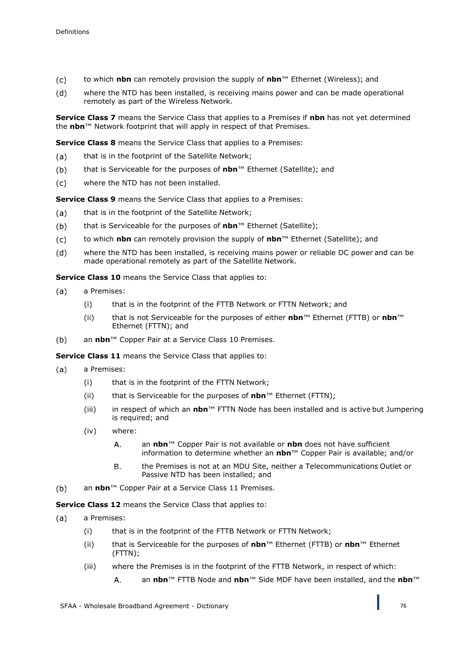- $(c)$ to which **nbn** can remotely provision the supply of **nbn**™ Ethernet (Wireless); and
- where the NTD has been installed, is receiving mains power and can be made operational  $(d)$ remotely as part of the Wireless Network.

**Service Class 7** means the Service Class that applies to a Premises if **nbn** has not yet determined the **nbn**™ Network footprint that will apply in respect of that Premises.

**Service Class 8** means the Service Class that applies to a Premises:

- that is in the footprint of the Satellite Network;  $(a)$
- $(b)$ that is Serviceable for the purposes of **nbn**™ Ethernet (Satellite); and
- where the NTD has not been installed.  $(c)$

**Service Class 9** means the Service Class that applies to a Premises:

- that is in the footprint of the Satellite Network;  $(a)$
- that is Serviceable for the purposes of **nbn**™ Ethernet (Satellite);  $(b)$
- to which **nbn** can remotely provision the supply of **nbn**™ Ethernet (Satellite); and  $(c)$
- $(d)$ where the NTD has been installed, is receiving mains power or reliable DC power and can be made operational remotely as part of the Satellite Network.

**Service Class 10** means the Service Class that applies to:

- $(a)$ a Premises:
	- (i) that is in the footprint of the FTTB Network or FTTN Network; and
	- (ii) that is not Serviceable for the purposes of either **nbn**™ Ethernet (FTTB) or **nbn**™ Ethernet (FTTN); and
- $(b)$ an **nbn**™ Copper Pair at a Service Class 10 Premises.

**Service Class 11** means the Service Class that applies to:

- $(a)$ a Premises:
	- (i) that is in the footprint of the FTTN Network;
	- (ii) that is Serviceable for the purposes of **nbn**™ Ethernet (FTTN);
	- (iii) in respect of which an **nbn**™ FTTN Node has been installed and is active but Jumpering is required; and
	- (iv) where:
		- an **nbn**™ Copper Pair is not available or **nbn** does not have sufficient  $A<sub>1</sub>$ information to determine whether an **nbn**™ Copper Pair is available; and/or
		- the Premises is not at an MDU Site, neither a Telecommunications Outlet or В. Passive NTD has been installed; and
- $(b)$ an **nbn**™ Copper Pair at a Service Class 11 Premises.

**Service Class 12** means the Service Class that applies to:

- $(a)$ a Premises:
	- (i) that is in the footprint of the FTTB Network or FTTN Network;
	- (ii) that is Serviceable for the purposes of **nbn**™ Ethernet (FTTB) or **nbn**™ Ethernet (FTTN);
	- (iii) where the Premises is in the footprint of the FTTB Network, in respect of which:
		- A. an **nbn**™ FTTB Node and **nbn**™ Side MDF have been installed, and the **nbn**™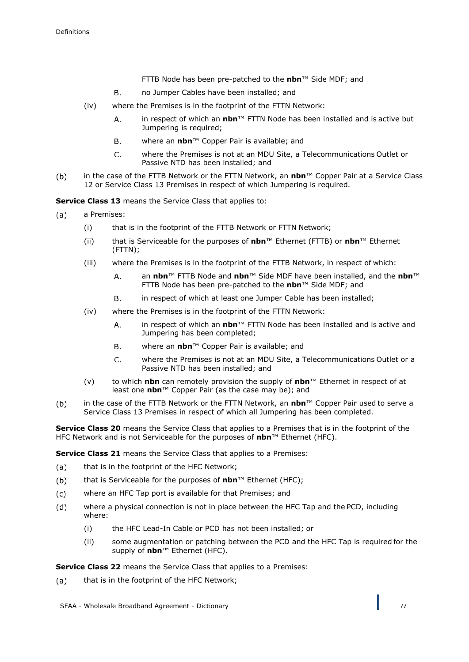- FTTB Node has been pre-patched to the **nbn**™ Side MDF; and
- $B<sub>1</sub>$ no Jumper Cables have been installed; and
- (iv) where the Premises is in the footprint of the FTTN Network:
	- in respect of which an **nbn**™ FTTN Node has been installed and is active but A. Jumpering is required;
	- Β. where an **nbn**™ Copper Pair is available; and
	- $\mathsf{C}$ . where the Premises is not at an MDU Site, a Telecommunications Outlet or Passive NTD has been installed; and
- $(b)$ in the case of the FTTB Network or the FTTN Network, an **nbn**™ Copper Pair at a Service Class 12 or Service Class 13 Premises in respect of which Jumpering is required.

**Service Class 13** means the Service Class that applies to:

- $(a)$ a Premises:
	- (i) that is in the footprint of the FTTB Network or FTTN Network;
	- (ii) that is Serviceable for the purposes of **nbn**™ Ethernet (FTTB) or **nbn**™ Ethernet (FTTN);
	- (iii) where the Premises is in the footprint of the FTTB Network, in respect of which:
		- $A<sub>1</sub>$ an **nbn**™ FTTB Node and **nbn**™ Side MDF have been installed, and the **nbn**™ FTTB Node has been pre-patched to the **nbn**™ Side MDF; and
		- $B<sub>r</sub>$ in respect of which at least one Jumper Cable has been installed;
	- (iv) where the Premises is in the footprint of the FTTN Network:
		- A. in respect of which an **nbn**™ FTTN Node has been installed and is active and Jumpering has been completed;
		- **B.** where an **nbn**™ Copper Pair is available; and
		- where the Premises is not at an MDU Site, a Telecommunications Outlet or a  $\mathsf{C}$ . Passive NTD has been installed; and
	- (v) to which **nbn** can remotely provision the supply of **nbn**™ Ethernet in respect of at least one **nbn**™ Copper Pair (as the case may be); and
- $(b)$ in the case of the FTTB Network or the FTTN Network, an **nbn**™ Copper Pair used to serve a Service Class 13 Premises in respect of which all Jumpering has been completed.

**Service Class 20** means the Service Class that applies to a Premises that is in the footprint of the HFC Network and is not Serviceable for the purposes of **nbn**™ Ethernet (HFC).

**Service Class 21** means the Service Class that applies to a Premises:

- $(a)$ that is in the footprint of the HFC Network;
- $(b)$ that is Serviceable for the purposes of **nbn**™ Ethernet (HFC);
- $(c)$ where an HFC Tap port is available for that Premises; and
- $(d)$ where a physical connection is not in place between the HFC Tap and the PCD, including where:
	- (i) the HFC Lead-In Cable or PCD has not been installed; or
	- (ii) some augmentation or patching between the PCD and the HFC Tap is required for the supply of **nbn**™ Ethernet (HFC).

**Service Class 22** means the Service Class that applies to a Premises:

that is in the footprint of the HFC Network; $(a)$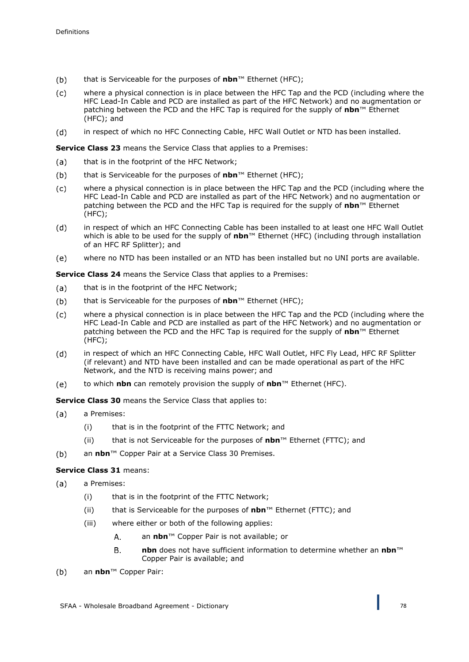- $(b)$ that is Serviceable for the purposes of **nbn**™ Ethernet (HFC);
- where a physical connection is in place between the HFC Tap and the PCD (including where the  $(c)$ HFC Lead-In Cable and PCD are installed as part of the HFC Network) and no augmentation or patching between the PCD and the HFC Tap is required for the supply of **nbn**™ Ethernet (HFC); and
- $(d)$ in respect of which no HFC Connecting Cable, HFC Wall Outlet or NTD has been installed.

**Service Class 23** means the Service Class that applies to a Premises:

- that is in the footprint of the HFC Network;  $(a)$
- $(b)$ that is Serviceable for the purposes of **nbn**™ Ethernet (HFC);
- where a physical connection is in place between the HFC Tap and the PCD (including where the  $(c)$ HFC Lead-In Cable and PCD are installed as part of the HFC Network) and no augmentation or patching between the PCD and the HFC Tap is required for the supply of **nbn**™ Ethernet (HFC);
- $(d)$ in respect of which an HFC Connecting Cable has been installed to at least one HFC Wall Outlet which is able to be used for the supply of **nbn**™ Ethernet (HFC) (including through installation of an HFC RF Splitter); and
- $(e)$ where no NTD has been installed or an NTD has been installed but no UNI ports are available.

**Service Class 24** means the Service Class that applies to a Premises:

- that is in the footprint of the HFC Network;  $(a)$
- that is Serviceable for the purposes of **nbn**™ Ethernet (HFC);  $(b)$
- $(c)$ where a physical connection is in place between the HFC Tap and the PCD (including where the HFC Lead-In Cable and PCD are installed as part of the HFC Network) and no augmentation or patching between the PCD and the HFC Tap is required for the supply of **nbn**™ Ethernet (HFC);
- in respect of which an HFC Connecting Cable, HFC Wall Outlet, HFC Fly Lead, HFC RF Splitter  $(d)$ (if relevant) and NTD have been installed and can be made operational as part of the HFC Network, and the NTD is receiving mains power; and
- $(e)$ to which **nbn** can remotely provision the supply of **nbn**™ Ethernet (HFC).

**Service Class 30** means the Service Class that applies to:

- $(a)$ a Premises:
	- (i) that is in the footprint of the FTTC Network; and
	- (ii) that is not Serviceable for the purposes of **nbn**™ Ethernet (FTTC); and
- $(b)$ an **nbn**™ Copper Pair at a Service Class 30 Premises.

# **Service Class 31** means:

- $(a)$ a Premises:
	- (i) that is in the footprint of the FTTC Network;
	- (ii) that is Serviceable for the purposes of **nbn**™ Ethernet (FTTC); and
	- (iii) where either or both of the following applies:
		- $\overline{A}$ . an **nbn**™ Copper Pair is not available; or
		- **nbn** does not have sufficient information to determine whether an **nbn**™ **B.** Copper Pair is available; and
- an **nbn**™ Copper Pair: $(b)$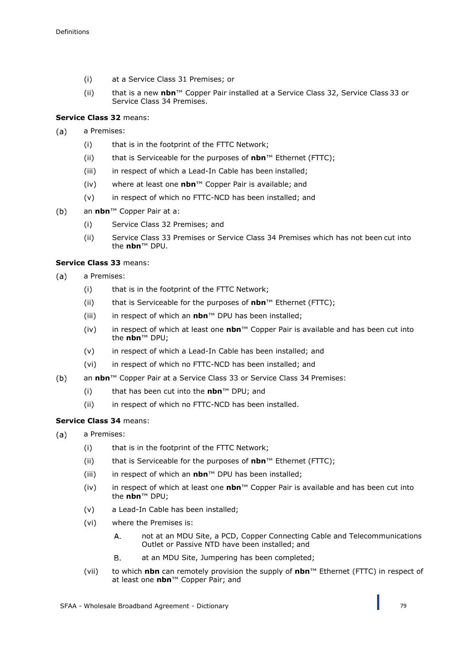- (i) at a Service Class 31 Premises; or
- (ii) that is a new **nbn**™ Copper Pair installed at a Service Class 32, Service Class 33 or Service Class 34 Premises.

**Service Class 32** means:

- $(a)$ a Premises:
	- (i) that is in the footprint of the FTTC Network;
	- (ii) that is Serviceable for the purposes of **nbn**™ Ethernet (FTTC);
	- (iii) in respect of which a Lead-In Cable has been installed;
	- (iv) where at least one **nbn**™ Copper Pair is available; and
	- (v) in respect of which no FTTC-NCD has been installed; and
- an **nbn**™ Copper Pair at a:  $(b)$ 
	- (i) Service Class 32 Premises; and
	- (ii) Service Class 33 Premises or Service Class 34 Premises which has not been cut into the **nbn**™ DPU.

## **Service Class 33** means:

- $(a)$ a Premises:
	- (i) that is in the footprint of the FTTC Network;
	- (ii) that is Serviceable for the purposes of **nbn**™ Ethernet (FTTC);
	- (iii) in respect of which an **nbn**™ DPU has been installed;
	- (iv) in respect of which at least one **nbn**™ Copper Pair is available and has been cut into the **nbn**™ DPU;
	- (v) in respect of which a Lead-In Cable has been installed; and
	- (vi) in respect of which no FTTC-NCD has been installed; and
- $(b)$ an **nbn**™ Copper Pair at a Service Class 33 or Service Class 34 Premises:
	- (i) that has been cut into the **nbn**™ DPU; and
	- (ii) in respect of which no FTTC-NCD has been installed.

# **Service Class 34** means:

- $(a)$ a Premises:
	- (i) that is in the footprint of the FTTC Network;
	- (ii) that is Serviceable for the purposes of **nbn**™ Ethernet (FTTC);
	- (iii) in respect of which an **nbn**™ DPU has been installed;
	- (iv) in respect of which at least one **nbn**™ Copper Pair is available and has been cut into the **nbn**™ DPU;
	- (v) a Lead-In Cable has been installed;
	- (vi) where the Premises is:
		- A. not at an MDU Site, a PCD, Copper Connecting Cable and Telecommunications Outlet or Passive NTD have been installed; and
		- Β. at an MDU Site, Jumpering has been completed;
	- (vii) to which **nbn** can remotely provision the supply of **nbn**™ Ethernet (FTTC) in respect of at least one **nbn**™ Copper Pair; and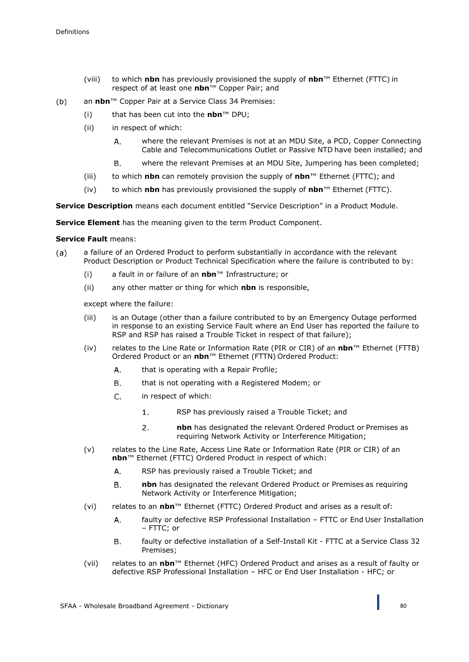- (viii) to which **nbn** has previously provisioned the supply of **nbn**™ Ethernet (FTTC) in respect of at least one **nbn**™ Copper Pair; and
- an **nbn**™ Copper Pair at a Service Class 34 Premises:  $(b)$ 
	- (i) that has been cut into the **nbn**™ DPU;
	- (ii) in respect of which:
		- where the relevant Premises is not at an MDU Site, a PCD, Copper Connecting A. Cable and Telecommunications Outlet or Passive NTD have been installed; and
		- **B.** where the relevant Premises at an MDU Site, Jumpering has been completed;
	- (iii) to which **nbn** can remotely provision the supply of **nbn**™ Ethernet (FTTC); and
	- (iv) to which **nbn** has previously provisioned the supply of **nbn**™ Ethernet (FTTC).

**Service Description** means each document entitled "Service Description" in a Product Module.

**Service Element** has the meaning given to the term Product Component.

# **Service Fault** means:

- a failure of an Ordered Product to perform substantially in accordance with the relevant  $(a)$ Product Description or Product Technical Specification where the failure is contributed to by:
	- (i) a fault in or failure of an **nbn**™ Infrastructure; or
	- (ii) any other matter or thing for which **nbn** is responsible,

except where the failure:

- (iii) is an Outage (other than a failure contributed to by an Emergency Outage performed in response to an existing Service Fault where an End User has reported the failure to RSP and RSP has raised a Trouble Ticket in respect of that failure);
- (iv) relates to the Line Rate or Information Rate (PIR or CIR) of an **nbn**™ Ethernet (FTTB) Ordered Product or an **nbn**™ Ethernet (FTTN) Ordered Product:
	- A. that is operating with a Repair Profile;
	- Β. that is not operating with a Registered Modem; or
	- $\mathsf{C}$ . in respect of which:
		- RSP has previously raised a Trouble Ticket; and  $\mathbf{1}$ .
		- $2<sup>1</sup>$ **nbn** has designated the relevant Ordered Product or Premises as requiring Network Activity or Interference Mitigation;
- (v) relates to the Line Rate, Access Line Rate or Information Rate (PIR or CIR) of an **nbn**™ Ethernet (FTTC) Ordered Product in respect of which:
	- A. RSP has previously raised a Trouble Ticket; and
	- **B. nbn** has designated the relevant Ordered Product or Premises as requiring Network Activity or Interference Mitigation;
- (vi) relates to an **nbn**™ Ethernet (FTTC) Ordered Product and arises as a result of:
	- faulty or defective RSP Professional Installation FTTC or End User Installation  $\mathsf{A}$ – FTTC; or
	- $B.$ faulty or defective installation of a Self-Install Kit - FTTC at a Service Class 32 Premises;
- (vii) relates to an **nbn**™ Ethernet (HFC) Ordered Product and arises as a result of faulty or defective RSP Professional Installation – HFC or End User Installation - HFC; or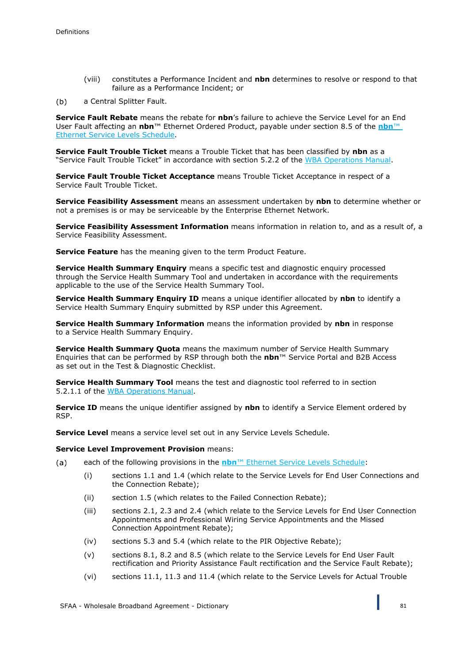(viii) constitutes a Performance Incident and **nbn** determines to resolve or respond to that failure as a Performance Incident; or

 $(b)$ a Central Splitter Fault.

**Service Fault Rebate** means the rebate for **nbn**'s failure to achieve the Service Level for an End User Fault affecting an **nbn**™ Ethernet Ordered Product, payable under section 8.5 of the **nbn**™ Ethernet Service Levels Schedule.

**Service Fault Trouble Ticket** means a Trouble Ticket that has been classified by **nbn** as a "Service Fault Trouble Ticket" in accordance with section 5.2.2 of the WBA Operations Manual.

**Service Fault Trouble Ticket Acceptance** means Trouble Ticket Acceptance in respect of a Service Fault Trouble Ticket.

**Service Feasibility Assessment** means an assessment undertaken by **nbn** to determine whether or not a premises is or may be serviceable by the Enterprise Ethernet Network.

**Service Feasibility Assessment Information** means information in relation to, and as a result of, a Service Feasibility Assessment.

**Service Feature** has the meaning given to the term Product Feature.

**Service Health Summary Enquiry** means a specific test and diagnostic enquiry processed through the Service Health Summary Tool and undertaken in accordance with the requirements applicable to the use of the Service Health Summary Tool.

**Service Health Summary Enquiry ID** means a unique identifier allocated by **nbn** to identify a Service Health Summary Enquiry submitted by RSP under this Agreement.

**Service Health Summary Information** means the information provided by **nbn** in response to a Service Health Summary Enquiry.

**Service Health Summary Quota** means the maximum number of Service Health Summary Enquiries that can be performed by RSP through both the **nbn**™ Service Portal and B2B Access as set out in the Test & Diagnostic Checklist.

**Service Health Summary Tool** means the test and diagnostic tool referred to in section 5.2.1.1 of the WBA Operations Manual.

**Service ID** means the unique identifier assigned by **nbn** to identify a Service Element ordered by RSP.

**Service Level** means a service level set out in any Service Levels Schedule.

### **Service Level Improvement Provision** means:

- each of the following provisions in the **nbn**™ Ethernet Service Levels Schedule:  $(a)$ 
	- (i) sections 1.1 and 1.4 (which relate to the Service Levels for End User Connections and the Connection Rebate);
	- (ii) section 1.5 (which relates to the Failed Connection Rebate);
	- (iii) sections 2.1, 2.3 and 2.4 (which relate to the Service Levels for End User Connection Appointments and Professional Wiring Service Appointments and the Missed Connection Appointment Rebate);
	- (iv) sections 5.3 and 5.4 (which relate to the PIR Objective Rebate);
	- (v) sections 8.1, 8.2 and 8.5 (which relate to the Service Levels for End User Fault rectification and Priority Assistance Fault rectification and the Service Fault Rebate);
	- (vi) sections 11.1, 11.3 and 11.4 (which relate to the Service Levels for Actual Trouble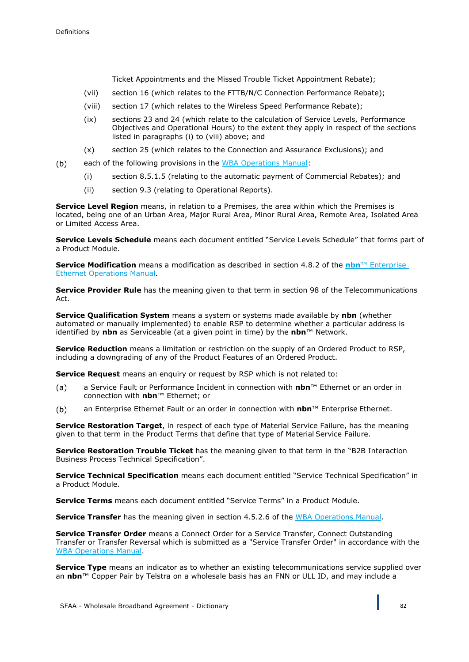$(b)$ 

Ticket Appointments and the Missed Trouble Ticket Appointment Rebate);

- (vii) section 16 (which relates to the FTTB/N/C Connection Performance Rebate);
- (viii) section 17 (which relates to the Wireless Speed Performance Rebate);
- (ix) sections 23 and 24 (which relate to the calculation of Service Levels, Performance Objectives and Operational Hours) to the extent they apply in respect of the sections listed in paragraphs (i) to (viii) above; and
- (x) section 25 (which relates to the Connection and Assurance Exclusions); and
- each of the following provisions in the WBA Operations Manual:
	- (i) section 8.5.1.5 (relating to the automatic payment of Commercial Rebates); and
	- (ii) section 9.3 (relating to Operational Reports).

**Service Level Region** means, in relation to a Premises, the area within which the Premises is located, being one of an Urban Area, Major Rural Area, Minor Rural Area, Remote Area, Isolated Area or Limited Access Area.

**Service Levels Schedule** means each document entitled "Service Levels Schedule" that forms part of a Product Module.

**Service Modification** means a modification as described in section 4.8.2 of the **nbn**™ Enterprise Ethernet Operations Manual.

**Service Provider Rule** has the meaning given to that term in section 98 of the Telecommunications Act.

**Service Qualification System** means a system or systems made available by **nbn** (whether automated or manually implemented) to enable RSP to determine whether a particular address is identified by **nbn** as Serviceable (at a given point in time) by the **nbn**™ Network.

**Service Reduction** means a limitation or restriction on the supply of an Ordered Product to RSP, including a downgrading of any of the Product Features of an Ordered Product.

**Service Request** means an enquiry or request by RSP which is not related to:

- a Service Fault or Performance Incident in connection with **nbn**™ Ethernet or an order in  $(a)$ connection with **nbn**™ Ethernet; or
- an Enterprise Ethernet Fault or an order in connection with **nbn**™ Enterprise Ethernet.  $(b)$

**Service Restoration Target**, in respect of each type of Material Service Failure, has the meaning given to that term in the Product Terms that define that type of Material Service Failure.

**Service Restoration Trouble Ticket** has the meaning given to that term in the "B2B Interaction Business Process Technical Specification".

**Service Technical Specification** means each document entitled "Service Technical Specification" in a Product Module.

**Service Terms** means each document entitled "Service Terms" in a Product Module.

**Service Transfer** has the meaning given in section 4.5.2.6 of the WBA Operations Manual.

**Service Transfer Order** means a Connect Order for a Service Transfer, Connect Outstanding Transfer or Transfer Reversal which is submitted as a "Service Transfer Order" in accordance with the WBA Operations Manual.

**Service Type** means an indicator as to whether an existing telecommunications service supplied over an **nbn**™ Copper Pair by Telstra on a wholesale basis has an FNN or ULL ID, and may include a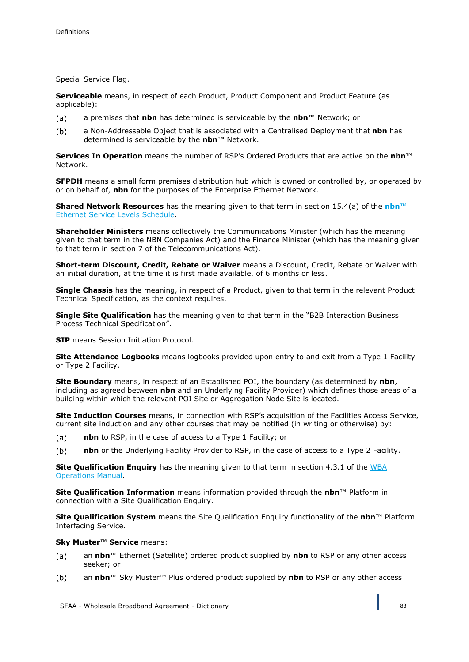Special Service Flag.

**Serviceable** means, in respect of each Product, Product Component and Product Feature (as applicable):

- a premises that **nbn** has determined is serviceable by the **nbn**™ Network; or  $(a)$
- $(b)$ a Non-Addressable Object that is associated with a Centralised Deployment that **nbn** has determined is serviceable by the **nbn**™ Network.

**Services In Operation** means the number of RSP's Ordered Products that are active on the **nbn**™ Network.

**SFPDH** means a small form premises distribution hub which is owned or controlled by, or operated by or on behalf of, **nbn** for the purposes of the Enterprise Ethernet Network.

**Shared Network Resources** has the meaning given to that term in section 15.4(a) of the **nbn**™ Ethernet Service Levels Schedule.

**Shareholder Ministers** means collectively the Communications Minister (which has the meaning given to that term in the NBN Companies Act) and the Finance Minister (which has the meaning given to that term in section 7 of the Telecommunications Act).

**Short-term Discount, Credit, Rebate or Waiver** means a Discount, Credit, Rebate or Waiver with an initial duration, at the time it is first made available, of 6 months or less.

**Single Chassis** has the meaning, in respect of a Product, given to that term in the relevant Product Technical Specification, as the context requires.

**Single Site Qualification** has the meaning given to that term in the "B2B Interaction Business Process Technical Specification".

**SIP** means Session Initiation Protocol.

**Site Attendance Logbooks** means logbooks provided upon entry to and exit from a Type 1 Facility or Type 2 Facility.

**Site Boundary** means, in respect of an Established POI, the boundary (as determined by **nbn**, including as agreed between **nbn** and an Underlying Facility Provider) which defines those areas of a building within which the relevant POI Site or Aggregation Node Site is located.

**Site Induction Courses** means, in connection with RSP's acquisition of the Facilities Access Service, current site induction and any other courses that may be notified (in writing or otherwise) by:

- $(a)$ **nbn** to RSP, in the case of access to a Type 1 Facility; or
- **nbn** or the Underlying Facility Provider to RSP, in the case of access to a Type 2 Facility.  $(b)$

**Site Qualification Enquiry** has the meaning given to that term in section 4.3.1 of the WBA Operations Manual.

**Site Qualification Information** means information provided through the **nbn**™ Platform in connection with a Site Qualification Enquiry.

**Site Qualification System** means the Site Qualification Enquiry functionality of the **nbn**™ Platform Interfacing Service.

### **Sky Muster™ Service** means:

- an **nbn**™ Ethernet (Satellite) ordered product supplied by **nbn** to RSP or any other access  $(a)$ seeker; or
- $(b)$ an **nbn**™ Sky Muster™ Plus ordered product supplied by **nbn** to RSP or any other access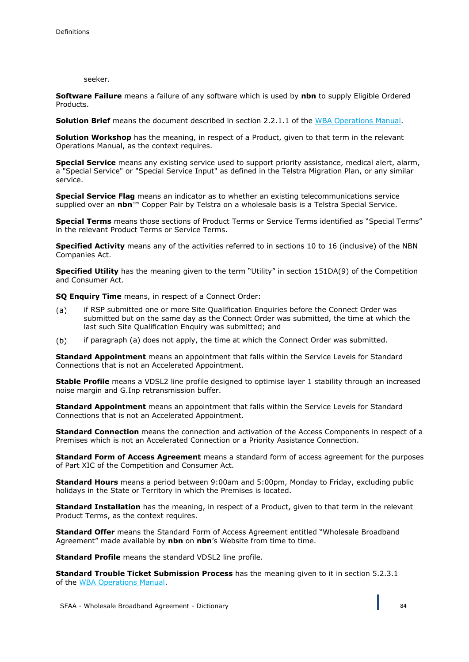### seeker.

**Software Failure** means a failure of any software which is used by **nbn** to supply Eligible Ordered Products.

**Solution Brief** means the document described in section 2.2.1.1 of the WBA Operations Manual.

**Solution Workshop** has the meaning, in respect of a Product, given to that term in the relevant Operations Manual, as the context requires.

**Special Service** means any existing service used to support priority assistance, medical alert, alarm, a "Special Service" or "Special Service Input" as defined in the Telstra Migration Plan, or any similar service.

**Special Service Flag** means an indicator as to whether an existing telecommunications service supplied over an **nbn**™ Copper Pair by Telstra on a wholesale basis is a Telstra Special Service.

**Special Terms** means those sections of Product Terms or Service Terms identified as "Special Terms" in the relevant Product Terms or Service Terms.

**Specified Activity** means any of the activities referred to in sections 10 to 16 (inclusive) of the NBN Companies Act.

**Specified Utility** has the meaning given to the term "Utility" in section 151DA(9) of the Competition and Consumer Act.

**SQ Enquiry Time** means, in respect of a Connect Order:

- if RSP submitted one or more Site Qualification Enquiries before the Connect Order was (a) submitted but on the same day as the Connect Order was submitted, the time at which the last such Site Qualification Enquiry was submitted; and
- $(b)$ if paragraph (a) does not apply, the time at which the Connect Order was submitted.

**Standard Appointment** means an appointment that falls within the Service Levels for Standard Connections that is not an Accelerated Appointment.

**Stable Profile** means a VDSL2 line profile designed to optimise layer 1 stability through an increased noise margin and G.Inp retransmission buffer.

**Standard Appointment** means an appointment that falls within the Service Levels for Standard Connections that is not an Accelerated Appointment.

**Standard Connection** means the connection and activation of the Access Components in respect of a Premises which is not an Accelerated Connection or a Priority Assistance Connection.

**Standard Form of Access Agreement** means a standard form of access agreement for the purposes of Part XIC of the Competition and Consumer Act.

**Standard Hours** means a period between 9:00am and 5:00pm, Monday to Friday, excluding public holidays in the State or Territory in which the Premises is located.

**Standard Installation** has the meaning, in respect of a Product, given to that term in the relevant Product Terms, as the context requires.

**Standard Offer** means the Standard Form of Access Agreement entitled "Wholesale Broadband Agreement" made available by **nbn** on **nbn**'s Website from time to time.

**Standard Profile** means the standard VDSL2 line profile.

**Standard Trouble Ticket Submission Process** has the meaning given to it in section 5.2.3.1 of the WBA Operations Manual.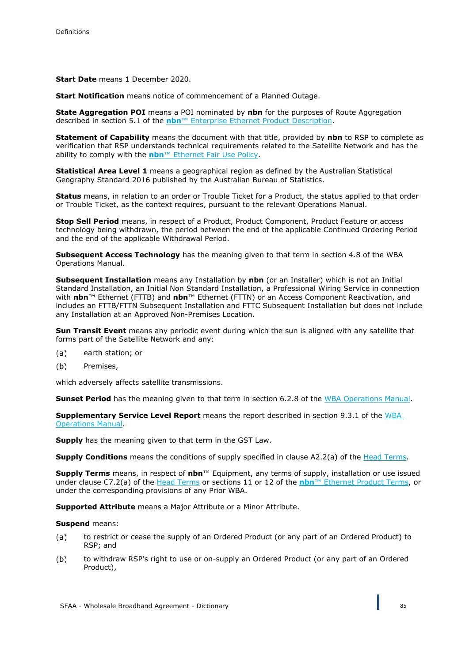**Start Date** means 1 December 2020.

**Start Notification** means notice of commencement of a Planned Outage.

**State Aggregation POI** means a POI nominated by **nbn** for the purposes of Route Aggregation described in section 5.1 of the **nbn**™ Enterprise Ethernet Product Description.

**Statement of Capability** means the document with that title, provided by **nbn** to RSP to complete as verification that RSP understands technical requirements related to the Satellite Network and has the ability to comply with the **nbn**™ Ethernet Fair Use Policy.

**Statistical Area Level 1** means a geographical region as defined by the Australian Statistical Geography Standard 2016 published by the Australian Bureau of Statistics.

**Status** means, in relation to an order or Trouble Ticket for a Product, the status applied to that order or Trouble Ticket, as the context requires, pursuant to the relevant Operations Manual.

**Stop Sell Period** means, in respect of a Product, Product Component, Product Feature or access technology being withdrawn, the period between the end of the applicable Continued Ordering Period and the end of the applicable Withdrawal Period.

**Subsequent Access Technology** has the meaning given to that term in section 4.8 of the WBA Operations Manual.

**Subsequent Installation** means any Installation by **nbn** (or an Installer) which is not an Initial Standard Installation, an Initial Non Standard Installation, a Professional Wiring Service in connection with **nbn**™ Ethernet (FTTB) and **nbn**™ Ethernet (FTTN) or an Access Component Reactivation, and includes an FTTB/FTTN Subsequent Installation and FTTC Subsequent Installation but does not include any Installation at an Approved Non-Premises Location.

**Sun Transit Event** means any periodic event during which the sun is aligned with any satellite that forms part of the Satellite Network and any:

- (a) earth station; or
- $(b)$ Premises,

which adversely affects satellite transmissions.

**Sunset Period** has the meaning given to that term in section 6.2.8 of the WBA Operations Manual.

**Supplementary Service Level Report** means the report described in section 9.3.1 of the WBA Operations Manual.

**Supply** has the meaning given to that term in the GST Law.

**Supply Conditions** means the conditions of supply specified in clause A2.2(a) of the Head Terms.

**Supply Terms** means, in respect of **nbn**™ Equipment, any terms of supply, installation or use issued under clause C7.2(a) of the Head Terms or sections 11 or 12 of the **nbn**™ Ethernet Product Terms, or under the corresponding provisions of any Prior WBA.

**Supported Attribute** means a Major Attribute or a Minor Attribute.

#### **Suspend** means:

- to restrict or cease the supply of an Ordered Product (or any part of an Ordered Product) to  $(a)$ RSP; and
- $(b)$ to withdraw RSP's right to use or on-supply an Ordered Product (or any part of an Ordered Product),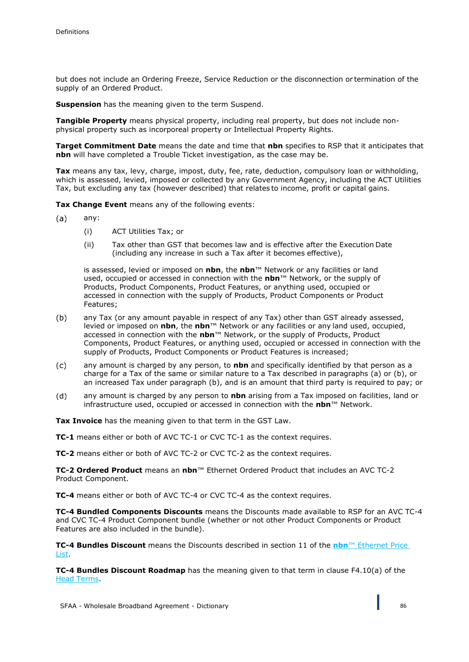but does not include an Ordering Freeze, Service Reduction or the disconnection or termination of the supply of an Ordered Product.

**Suspension** has the meaning given to the term Suspend.

**Tangible Property** means physical property, including real property, but does not include nonphysical property such as incorporeal property or Intellectual Property Rights.

**Target Commitment Date** means the date and time that **nbn** specifies to RSP that it anticipates that **nbn** will have completed a Trouble Ticket investigation, as the case may be.

**Tax** means any tax, levy, charge, impost, duty, fee, rate, deduction, compulsory loan or withholding, which is assessed, levied, imposed or collected by any Government Agency, including the ACT Utilities Tax, but excluding any tax (however described) that relates to income, profit or capital gains.

**Tax Change Event** means any of the following events:

- $(a)$ any:
	- (i) ACT Utilities Tax; or
	- (ii) Tax other than GST that becomes law and is effective after the Execution Date (including any increase in such a Tax after it becomes effective),

is assessed, levied or imposed on **nbn**, the **nbn**™ Network or any facilities or land used, occupied or accessed in connection with the **nbn**™ Network, or the supply of Products, Product Components, Product Features, or anything used, occupied or accessed in connection with the supply of Products, Product Components or Product Features;

- $(b)$ any Tax (or any amount payable in respect of any Tax) other than GST already assessed, levied or imposed on **nbn**, the **nbn**™ Network or any facilities or any land used, occupied, accessed in connection with the **nbn**™ Network, or the supply of Products, Product Components, Product Features, or anything used, occupied or accessed in connection with the supply of Products, Product Components or Product Features is increased;
- $(c)$ any amount is charged by any person, to **nbn** and specifically identified by that person as a charge for a Tax of the same or similar nature to a Tax described in paragraphs (a) or (b), or an increased Tax under paragraph (b), and is an amount that third party is required to pay; or
- any amount is charged by any person to **nbn** arising from a Tax imposed on facilities, land or  $(d)$ infrastructure used, occupied or accessed in connection with the **nbn**™ Network.

**Tax Invoice** has the meaning given to that term in the GST Law.

**TC-1** means either or both of AVC TC-1 or CVC TC-1 as the context requires.

**TC-2** means either or both of AVC TC-2 or CVC TC-2 as the context requires.

**TC-2 Ordered Product** means an **nbn**™ Ethernet Ordered Product that includes an AVC TC-2 Product Component.

**TC-4** means either or both of AVC TC-4 or CVC TC-4 as the context requires.

**TC-4 Bundled Components Discounts** means the Discounts made available to RSP for an AVC TC-4 and CVC TC-4 Product Component bundle (whether or not other Product Components or Product Features are also included in the bundle).

**TC-4 Bundles Discount** means the Discounts described in section 11 of the **nbn**™ Ethernet Price List.

**TC-4 Bundles Discount Roadmap** has the meaning given to that term in clause F4.10(a) of the Head Terms.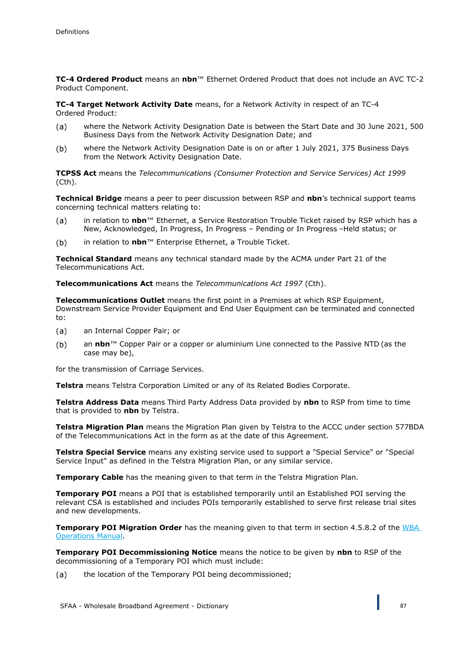**TC-4 Ordered Product** means an **nbn**™ Ethernet Ordered Product that does not include an AVC TC-2 Product Component.

**TC-4 Target Network Activity Date** means, for a Network Activity in respect of an TC-4 Ordered Product:

- where the Network Activity Designation Date is between the Start Date and 30 June 2021, 500  $(a)$ Business Days from the Network Activity Designation Date; and
- where the Network Activity Designation Date is on or after 1 July 2021, 375 Business Days  $(b)$ from the Network Activity Designation Date.

**TCPSS Act** means the *Telecommunications (Consumer Protection and Service Services) Act 1999*  (Cth).

**Technical Bridge** means a peer to peer discussion between RSP and **nbn**'s technical support teams concerning technical matters relating to:

- in relation to **nbn**™ Ethernet, a Service Restoration Trouble Ticket raised by RSP which has a  $(a)$ New, Acknowledged, In Progress, In Progress – Pending or In Progress –Held status; or
- in relation to **nbn**™ Enterprise Ethernet, a Trouble Ticket.  $(b)$

**Technical Standard** means any technical standard made by the ACMA under Part 21 of the Telecommunications Act.

**Telecommunications Act** means the *Telecommunications Act 1997* (Cth).

**Telecommunications Outlet** means the first point in a Premises at which RSP Equipment, Downstream Service Provider Equipment and End User Equipment can be terminated and connected to:

- $(a)$ an Internal Copper Pair; or
- an **nbn**™ Copper Pair or a copper or aluminium Line connected to the Passive NTD (as the  $(b)$ case may be),

for the transmission of Carriage Services.

**Telstra** means Telstra Corporation Limited or any of its Related Bodies Corporate.

**Telstra Address Data** means Third Party Address Data provided by **nbn** to RSP from time to time that is provided to **nbn** by Telstra.

**Telstra Migration Plan** means the Migration Plan given by Telstra to the ACCC under section 577BDA of the Telecommunications Act in the form as at the date of this Agreement.

**Telstra Special Service** means any existing service used to support a "Special Service" or "Special Service Input" as defined in the Telstra Migration Plan, or any similar service.

**Temporary Cable** has the meaning given to that term in the Telstra Migration Plan.

**Temporary POI** means a POI that is established temporarily until an Established POI serving the relevant CSA is established and includes POIs temporarily established to serve first release trial sites and new developments.

**Temporary POI Migration Order** has the meaning given to that term in section 4.5.8.2 of the WBA Operations Manual.

**Temporary POI Decommissioning Notice** means the notice to be given by **nbn** to RSP of the decommissioning of a Temporary POI which must include:

the location of the Temporary POI being decommissioned;(a)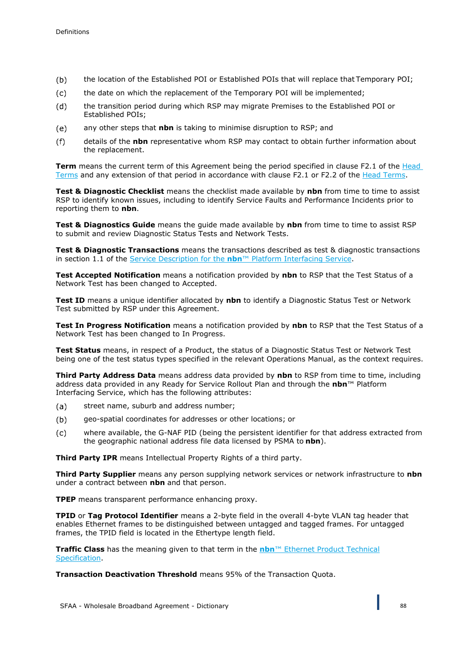- $(b)$ the location of the Established POI or Established POIs that will replace that Temporary POI;
- the date on which the replacement of the Temporary POI will be implemented;  $(c)$
- $(d)$ the transition period during which RSP may migrate Premises to the Established POI or Established POIs;
- $(e)$ any other steps that **nbn** is taking to minimise disruption to RSP; and
- details of the **nbn** representative whom RSP may contact to obtain further information about  $(f)$ the replacement.

**Term** means the current term of this Agreement being the period specified in clause F2.1 of the Head Terms and any extension of that period in accordance with clause F2.1 or F2.2 of the Head Terms.

**Test & Diagnostic Checklist** means the checklist made available by **nbn** from time to time to assist RSP to identify known issues, including to identify Service Faults and Performance Incidents prior to reporting them to **nbn**.

**Test & Diagnostics Guide** means the guide made available by **nbn** from time to time to assist RSP to submit and review Diagnostic Status Tests and Network Tests.

**Test & Diagnostic Transactions** means the transactions described as test & diagnostic transactions in section 1.1 of the Service Description for the **nbn**™ Platform Interfacing Service.

**Test Accepted Notification** means a notification provided by **nbn** to RSP that the Test Status of a Network Test has been changed to Accepted.

**Test ID** means a unique identifier allocated by **nbn** to identify a Diagnostic Status Test or Network Test submitted by RSP under this Agreement.

**Test In Progress Notification** means a notification provided by **nbn** to RSP that the Test Status of a Network Test has been changed to In Progress.

**Test Status** means, in respect of a Product, the status of a Diagnostic Status Test or Network Test being one of the test status types specified in the relevant Operations Manual, as the context requires.

**Third Party Address Data** means address data provided by **nbn** to RSP from time to time, including address data provided in any Ready for Service Rollout Plan and through the **nbn**™ Platform Interfacing Service, which has the following attributes:

- street name, suburb and address number;  $(a)$
- $(b)$ geo-spatial coordinates for addresses or other locations; or
- where available, the G-NAF PID (being the persistent identifier for that address extracted from  $(c)$ the geographic national address file data licensed by PSMA to **nbn**).

**Third Party IPR** means Intellectual Property Rights of a third party.

**Third Party Supplier** means any person supplying network services or network infrastructure to **nbn**  under a contract between **nbn** and that person.

**TPEP** means transparent performance enhancing proxy.

**TPID** or **Tag Protocol Identifier** means a 2-byte field in the overall 4-byte VLAN tag header that enables Ethernet frames to be distinguished between untagged and tagged frames. For untagged frames, the TPID field is located in the Ethertype length field.

**Traffic Class** has the meaning given to that term in the **nbn**™ Ethernet Product Technical Specification.

**Transaction Deactivation Threshold** means 95% of the Transaction Quota.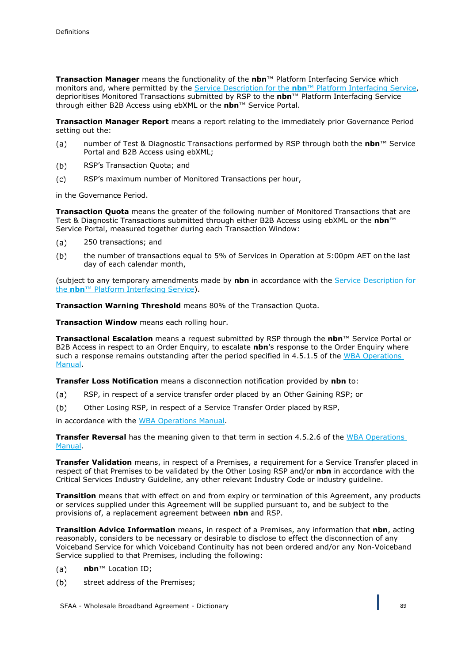**Transaction Manager** means the functionality of the **nbn**™ Platform Interfacing Service which monitors and, where permitted by the Service Description for the **nbn**™ Platform Interfacing Service, deprioritises Monitored Transactions submitted by RSP to the **nbn**™ Platform Interfacing Service through either B2B Access using ebXML or the **nbn**™ Service Portal.

**Transaction Manager Report** means a report relating to the immediately prior Governance Period setting out the:

- number of Test & Diagnostic Transactions performed by RSP through both the **nbn**™ Service  $(a)$ Portal and B2B Access using ebXML;
- RSP's Transaction Quota; and  $(b)$
- $(c)$ RSP's maximum number of Monitored Transactions per hour,

in the Governance Period.

**Transaction Quota** means the greater of the following number of Monitored Transactions that are Test & Diagnostic Transactions submitted through either B2B Access using ebXML or the **nbn**™ Service Portal, measured together during each Transaction Window:

- 250 transactions; and  $(a)$
- $(b)$ the number of transactions equal to 5% of Services in Operation at 5:00pm AET on the last day of each calendar month,

(subject to any temporary amendments made by **nbn** in accordance with the Service Description for the **nbn**™ Platform Interfacing Service).

**Transaction Warning Threshold** means 80% of the Transaction Quota.

**Transaction Window** means each rolling hour.

**Transactional Escalation** means a request submitted by RSP through the **nbn**™ Service Portal or B2B Access in respect to an Order Enquiry, to escalate **nbn**'s response to the Order Enquiry where such a response remains outstanding after the period specified in 4.5.1.5 of the WBA Operations Manual.

**Transfer Loss Notification** means a disconnection notification provided by **nbn** to:

- RSP, in respect of a service transfer order placed by an Other Gaining RSP; or  $(a)$
- $(b)$ Other Losing RSP, in respect of a Service Transfer Order placed by RSP,

in accordance with the WBA Operations Manual.

**Transfer Reversal** has the meaning given to that term in section 4.5.2.6 of the WBA Operations Manual.

**Transfer Validation** means, in respect of a Premises, a requirement for a Service Transfer placed in respect of that Premises to be validated by the Other Losing RSP and/or **nbn** in accordance with the Critical Services Industry Guideline, any other relevant Industry Code or industry guideline.

**Transition** means that with effect on and from expiry or termination of this Agreement, any products or services supplied under this Agreement will be supplied pursuant to, and be subject to the provisions of, a replacement agreement between **nbn** and RSP.

**Transition Advice Information** means, in respect of a Premises, any information that **nbn**, acting reasonably, considers to be necessary or desirable to disclose to effect the disconnection of any Voiceband Service for which Voiceband Continuity has not been ordered and/or any Non-Voiceband Service supplied to that Premises, including the following:

- $(a)$ **nbn**™ Location ID;
- $(b)$ street address of the Premises;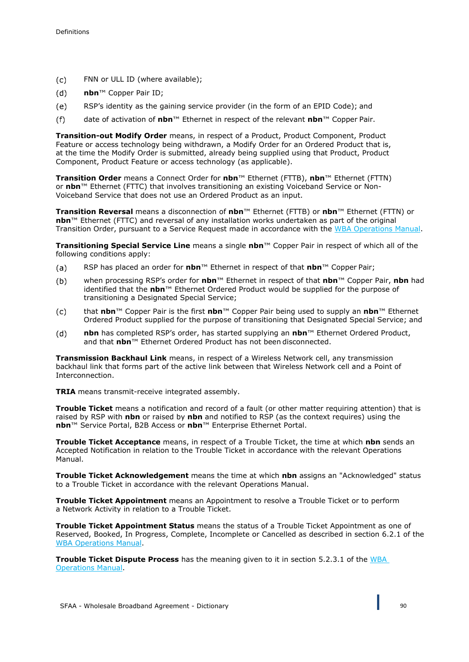- $(c)$ FNN or ULL ID (where available);
- $(d)$ **nbn**™ Copper Pair ID;
- $(e)$ RSP's identity as the gaining service provider (in the form of an EPID Code); and
- date of activation of **nbn**™ Ethernet in respect of the relevant **nbn**™ Copper Pair.  $(f)$

**Transition-out Modify Order** means, in respect of a Product, Product Component, Product Feature or access technology being withdrawn, a Modify Order for an Ordered Product that is, at the time the Modify Order is submitted, already being supplied using that Product, Product Component, Product Feature or access technology (as applicable).

**Transition Order** means a Connect Order for **nbn**™ Ethernet (FTTB), **nbn**™ Ethernet (FTTN) or **nbn**™ Ethernet (FTTC) that involves transitioning an existing Voiceband Service or Non-Voiceband Service that does not use an Ordered Product as an input.

**Transition Reversal** means a disconnection of **nbn**™ Ethernet (FTTB) or **nbn**™ Ethernet (FTTN) or **nbn**™ Ethernet (FTTC) and reversal of any installation works undertaken as part of the original Transition Order, pursuant to a Service Request made in accordance with the WBA Operations Manual.

**Transitioning Special Service Line** means a single **nbn**™ Copper Pair in respect of which all of the following conditions apply:

- RSP has placed an order for **nbn**™ Ethernet in respect of that **nbn**™ Copper Pair;  $(a)$
- when processing RSP's order for **nbn**™ Ethernet in respect of that **nbn**™ Copper Pair, **nbn** had  $(b)$ identified that the **nbn**™ Ethernet Ordered Product would be supplied for the purpose of transitioning a Designated Special Service;
- $(c)$ that **nbn**™ Copper Pair is the first **nbn**™ Copper Pair being used to supply an **nbn**™ Ethernet Ordered Product supplied for the purpose of transitioning that Designated Special Service; and
- $(d)$ **nbn** has completed RSP's order, has started supplying an **nbn**™ Ethernet Ordered Product, and that **nbn**™ Ethernet Ordered Product has not been disconnected.

**Transmission Backhaul Link** means, in respect of a Wireless Network cell, any transmission backhaul link that forms part of the active link between that Wireless Network cell and a Point of Interconnection.

**TRIA** means transmit-receive integrated assembly.

**Trouble Ticket** means a notification and record of a fault (or other matter requiring attention) that is raised by RSP with **nbn** or raised by **nbn** and notified to RSP (as the context requires) using the **nbn**™ Service Portal, B2B Access or **nbn**™ Enterprise Ethernet Portal.

**Trouble Ticket Acceptance** means, in respect of a Trouble Ticket, the time at which **nbn** sends an Accepted Notification in relation to the Trouble Ticket in accordance with the relevant Operations Manual.

**Trouble Ticket Acknowledgement** means the time at which **nbn** assigns an "Acknowledged" status to a Trouble Ticket in accordance with the relevant Operations Manual.

**Trouble Ticket Appointment** means an Appointment to resolve a Trouble Ticket or to perform a Network Activity in relation to a Trouble Ticket.

**Trouble Ticket Appointment Status** means the status of a Trouble Ticket Appointment as one of Reserved, Booked, In Progress, Complete, Incomplete or Cancelled as described in section 6.2.1 of the WBA Operations Manual.

**Trouble Ticket Dispute Process** has the meaning given to it in section 5.2.3.1 of the WBA Operations Manual.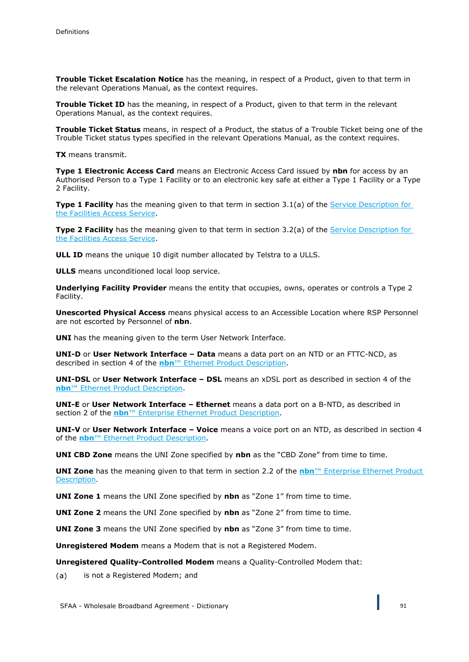**Trouble Ticket Escalation Notice** has the meaning, in respect of a Product, given to that term in the relevant Operations Manual, as the context requires.

**Trouble Ticket ID** has the meaning, in respect of a Product, given to that term in the relevant Operations Manual, as the context requires.

**Trouble Ticket Status** means, in respect of a Product, the status of a Trouble Ticket being one of the Trouble Ticket status types specified in the relevant Operations Manual, as the context requires.

**TX** means transmit.

**Type 1 Electronic Access Card** means an Electronic Access Card issued by **nbn** for access by an Authorised Person to a Type 1 Facility or to an electronic key safe at either a Type 1 Facility or a Type 2 Facility.

**Type 1 Facility** has the meaning given to that term in section 3.1(a) of the Service Description for the Facilities Access Service.

**Type 2 Facility** has the meaning given to that term in section 3.2(a) of the Service Description for the Facilities Access Service.

**ULL ID** means the unique 10 digit number allocated by Telstra to a ULLS.

**ULLS** means unconditioned local loop service.

**Underlying Facility Provider** means the entity that occupies, owns, operates or controls a Type 2 Facility.

**Unescorted Physical Access** means physical access to an Accessible Location where RSP Personnel are not escorted by Personnel of **nbn**.

**UNI** has the meaning given to the term User Network Interface.

**UNI-D** or **User Network Interface – Data** means a data port on an NTD or an FTTC-NCD, as described in section 4 of the **nbn**™ Ethernet Product Description.

**UNI-DSL** or **User Network Interface – DSL** means an xDSL port as described in section 4 of the **nbn**™ Ethernet Product Description.

**UNI-E** or **User Network Interface – Ethernet** means a data port on a B-NTD, as described in section 2 of the **nbn**™ Enterprise Ethernet Product Description.

**UNI-V** or **User Network Interface – Voice** means a voice port on an NTD, as described in section 4 of the **nbn**™ Ethernet Product Description.

**UNI CBD Zone** means the UNI Zone specified by **nbn** as the "CBD Zone" from time to time.

**UNI Zone** has the meaning given to that term in section 2.2 of the **nbn**™ Enterprise Ethernet Product Description.

**UNI Zone 1** means the UNI Zone specified by **nbn** as "Zone 1" from time to time.

**UNI Zone 2** means the UNI Zone specified by **nbn** as "Zone 2" from time to time.

**UNI Zone 3** means the UNI Zone specified by **nbn** as "Zone 3" from time to time.

**Unregistered Modem** means a Modem that is not a Registered Modem.

**Unregistered Quality-Controlled Modem** means a Quality-Controlled Modem that:

is not a Registered Modem; and $(a)$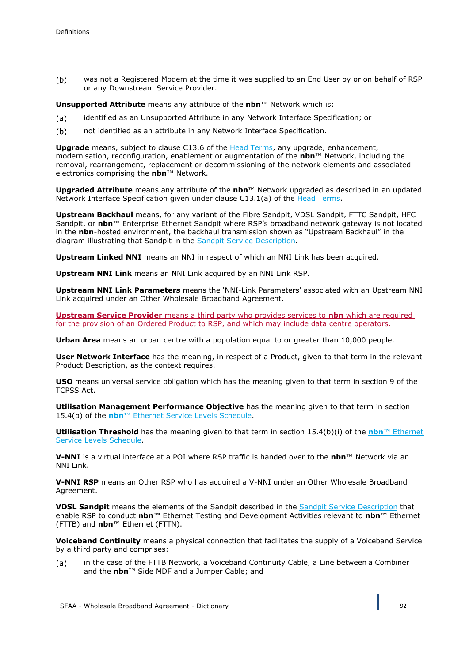$(b)$ was not a Registered Modem at the time it was supplied to an End User by or on behalf of RSP or any Downstream Service Provider.

**Unsupported Attribute** means any attribute of the **nbn**™ Network which is:

- identified as an Unsupported Attribute in any Network Interface Specification; or  $(a)$
- $(b)$ not identified as an attribute in any Network Interface Specification.

**Upgrade** means, subject to clause C13.6 of the Head Terms, any upgrade, enhancement, modernisation, reconfiguration, enablement or augmentation of the **nbn**™ Network, including the removal, rearrangement, replacement or decommissioning of the network elements and associated electronics comprising the **nbn**™ Network.

**Upgraded Attribute** means any attribute of the **nbn**™ Network upgraded as described in an updated Network Interface Specification given under clause C13.1(a) of the Head Terms.

**Upstream Backhaul** means, for any variant of the Fibre Sandpit, VDSL Sandpit, FTTC Sandpit, HFC Sandpit, or **nbn**™ Enterprise Ethernet Sandpit where RSP's broadband network gateway is not located in the **nbn**-hosted environment, the backhaul transmission shown as "Upstream Backhaul" in the diagram illustrating that Sandpit in the Sandpit Service Description.

**Upstream Linked NNI** means an NNI in respect of which an NNI Link has been acquired.

**Upstream NNI Link** means an NNI Link acquired by an NNI Link RSP.

**Upstream NNI Link Parameters** means the 'NNI-Link Parameters' associated with an Upstream NNI Link acquired under an Other Wholesale Broadband Agreement.

**Upstream Service Provider** means a third party who provides services to **nbn** which are required for the provision of an Ordered Product to RSP, and which may include data centre operators.

**Urban Area** means an urban centre with a population equal to or greater than 10,000 people.

**User Network Interface** has the meaning, in respect of a Product, given to that term in the relevant Product Description, as the context requires.

**USO** means universal service obligation which has the meaning given to that term in section 9 of the TCPSS Act.

**Utilisation Management Performance Objective** has the meaning given to that term in section 15.4(b) of the **nbn**™ Ethernet Service Levels Schedule.

**Utilisation Threshold** has the meaning given to that term in section 15.4(b)(i) of the **nbn**™ Ethernet Service Levels Schedule.

**V-NNI** is a virtual interface at a POI where RSP traffic is handed over to the **nbn**™ Network via an NNI Link.

**V-NNI RSP** means an Other RSP who has acquired a V-NNI under an Other Wholesale Broadband Agreement.

**VDSL Sandpit** means the elements of the Sandpit described in the Sandpit Service Description that enable RSP to conduct **nbn**™ Ethernet Testing and Development Activities relevant to **nbn**™ Ethernet (FTTB) and **nbn**™ Ethernet (FTTN).

**Voiceband Continuity** means a physical connection that facilitates the supply of a Voiceband Service by a third party and comprises:

in the case of the FTTB Network, a Voiceband Continuity Cable, a Line between a Combiner  $(a)$ and the **nbn**™ Side MDF and a Jumper Cable; and